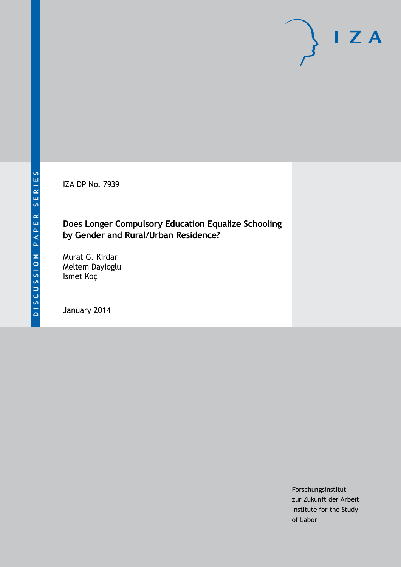IZA DP No. 7939

### **Does Longer Compulsory Education Equalize Schooling by Gender and Rural/Urban Residence?**

Murat G. Kirdar Meltem Dayioglu Ismet Koç

January 2014

Forschungsinstitut zur Zukunft der Arbeit Institute for the Study of Labor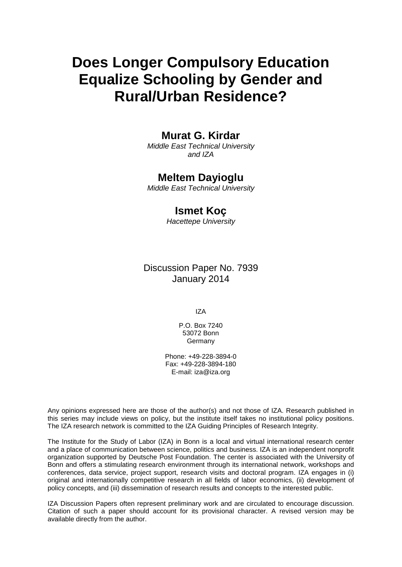# **Does Longer Compulsory Education Equalize Schooling by Gender and Rural/Urban Residence?**

### **Murat G. Kirdar**

*Middle East Technical University and IZA*

#### **Meltem Dayioglu**

*Middle East Technical University*

### **Ismet Koç**

*Hacettepe University*

Discussion Paper No. 7939 January 2014

IZA

P.O. Box 7240 53072 Bonn **Germany** 

Phone: +49-228-3894-0 Fax: +49-228-3894-180 E-mail: [iza@iza.org](mailto:iza@iza.org)

Any opinions expressed here are those of the author(s) and not those of IZA. Research published in this series may include views on policy, but the institute itself takes no institutional policy positions. The IZA research network is committed to the IZA Guiding Principles of Research Integrity.

The Institute for the Study of Labor (IZA) in Bonn is a local and virtual international research center and a place of communication between science, politics and business. IZA is an independent nonprofit organization supported by Deutsche Post Foundation. The center is associated with the University of Bonn and offers a stimulating research environment through its international network, workshops and conferences, data service, project support, research visits and doctoral program. IZA engages in (i) original and internationally competitive research in all fields of labor economics, (ii) development of policy concepts, and (iii) dissemination of research results and concepts to the interested public.

<span id="page-1-0"></span>IZA Discussion Papers often represent preliminary work and are circulated to encourage discussion. Citation of such a paper should account for its provisional character. A revised version may be available directly from the author.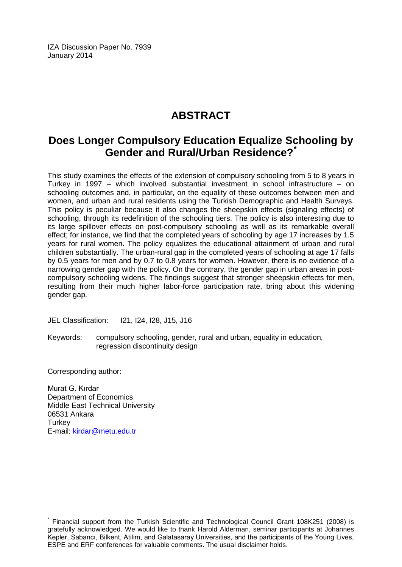IZA Discussion Paper No. 7939 January 2014

# **ABSTRACT**

## **Does Longer Compulsory Education Equalize Schooling by Gender and Rural/Urban Residence?[\\*](#page-1-0)**

This study examines the effects of the extension of compulsory schooling from 5 to 8 years in Turkey in 1997 – which involved substantial investment in school infrastructure – on schooling outcomes and, in particular, on the equality of these outcomes between men and women, and urban and rural residents using the Turkish Demographic and Health Surveys. This policy is peculiar because it also changes the sheepskin effects (signaling effects) of schooling, through its redefinition of the schooling tiers. The policy is also interesting due to its large spillover effects on post-compulsory schooling as well as its remarkable overall effect; for instance, we find that the completed years of schooling by age 17 increases by 1.5 years for rural women. The policy equalizes the educational attainment of urban and rural children substantially. The urban-rural gap in the completed years of schooling at age 17 falls by 0.5 years for men and by 0.7 to 0.8 years for women. However, there is no evidence of a narrowing gender gap with the policy. On the contrary, the gender gap in urban areas in postcompulsory schooling widens. The findings suggest that stronger sheepskin effects for men, resulting from their much higher labor-force participation rate, bring about this widening gender gap.

JEL Classification: I21, I24, I28, J15, J16

Keywords: compulsory schooling, gender, rural and urban, equality in education, regression discontinuity design

Corresponding author:

Murat G. Kırdar Department of Economics Middle East Technical University 06531 Ankara **Turkey** E-mail: [kirdar@metu.edu.tr](mailto:kirdar@metu.edu.tr)

Financial support from the Turkish Scientific and Technological Council Grant 108K251 (2008) is gratefully acknowledged. We would like to thank Harold Alderman, seminar participants at Johannes Kepler, Sabancı, Bilkent, Atilim, and Galatasaray Universities, and the participants of the Young Lives, ESPE and ERF conferences for valuable comments. The usual disclaimer holds.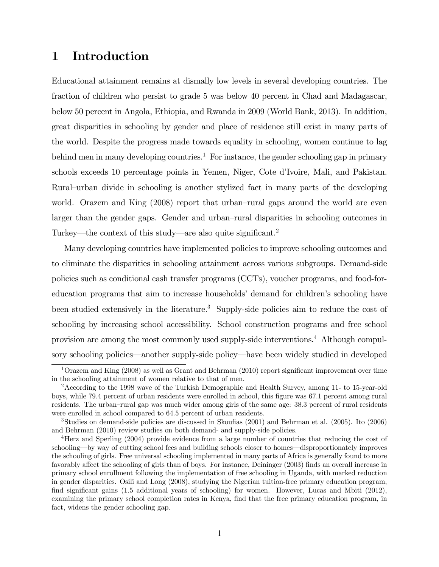### 1 Introduction

Educational attainment remains at dismally low levels in several developing countries. The fraction of children who persist to grade 5 was below 40 percent in Chad and Madagascar, below 50 percent in Angola, Ethiopia, and Rwanda in 2009 (World Bank, 2013). In addition, great disparities in schooling by gender and place of residence still exist in many parts of the world. Despite the progress made towards equality in schooling, women continue to lag behind men in many developing countries.<sup>1</sup> For instance, the gender schooling gap in primary schools exceeds 10 percentage points in Yemen, Niger, Cote d'Ivoire, Mali, and Pakistan. Rural—urban divide in schooling is another stylized fact in many parts of the developing world. Orazem and King (2008) report that urban—rural gaps around the world are even larger than the gender gaps. Gender and urban—rural disparities in schooling outcomes in Turkey–the context of this study–are also quite significant. 2

Many developing countries have implemented policies to improve schooling outcomes and to eliminate the disparities in schooling attainment across various subgroups. Demand-side policies such as conditional cash transfer programs (CCTs), voucher programs, and food-foreducation programs that aim to increase households' demand for children's schooling have been studied extensively in the literature.<sup>3</sup> Supply-side policies aim to reduce the cost of schooling by increasing school accessibility. School construction programs and free school provision are among the most commonly used supply-side interventions.<sup>4</sup> Although compulsory schooling policies–another supply-side policy–have been widely studied in developed

<sup>1</sup>Orazem and King (2008) as well as Grant and Behrman (2010) report significant improvement over time in the schooling attainment of women relative to that of men.

<sup>2</sup>According to the 1998 wave of the Turkish Demographic and Health Survey, among 11- to 15-year-old boys, while 79.4 percent of urban residents were enrolled in school, this figure was 67.1 percent among rural residents. The urban—rural gap was much wider among girls of the same age: 38.3 percent of rural residents were enrolled in school compared to 64.5 percent of urban residents.

<sup>3</sup>Studies on demand-side policies are discussed in Skoufias (2001) and Behrman et al. (2005). Ito (2006) and Behrman (2010) review studies on both demand- and supply-side policies.

<sup>4</sup>Herz and Sperling (2004) provide evidence from a large number of countries that reducing the cost of schooling–by way of cutting school fees and building schools closer to homes–disproportionately improves the schooling of girls. Free universal schooling implemented in many parts of Africa is generally found to more favorably affect the schooling of girls than of boys. For instance, Deininger (2003) finds an overall increase in primary school enrollment following the implementation of free schooling in Uganda, with marked reduction in gender disparities. Osili and Long (2008), studying the Nigerian tuition-free primary education program, find significant gains (1.5 additional years of schooling) for women. However, Lucas and Mbiti (2012), examining the primary school completion rates in Kenya, find that the free primary education program, in fact, widens the gender schooling gap.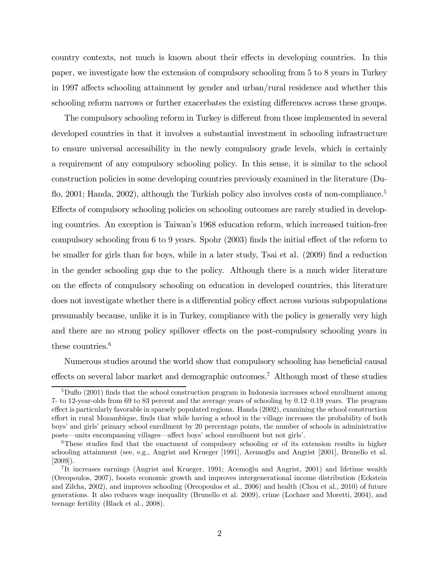country contexts, not much is known about their effects in developing countries. In this paper, we investigate how the extension of compulsory schooling from 5 to 8 years in Turkey in 1997 affects schooling attainment by gender and urban/rural residence and whether this schooling reform narrows or further exacerbates the existing differences across these groups.

The compulsory schooling reform in Turkey is different from those implemented in several developed countries in that it involves a substantial investment in schooling infrastructure to ensure universal accessibility in the newly compulsory grade levels, which is certainly a requirement of any compulsory schooling policy. In this sense, it is similar to the school construction policies in some developing countries previously examined in the literature (Duflo, 2001; Handa, 2002), although the Turkish policy also involves costs of non-compliance.<sup>5</sup> Effects of compulsory schooling policies on schooling outcomes are rarely studied in developing countries. An exception is Taiwan's 1968 education reform, which increased tuition-free compulsory schooling from 6 to 9 years. Spohr (2003) finds the initial effect of the reform to be smaller for girls than for boys, while in a later study, Tsai et al. (2009) find a reduction in the gender schooling gap due to the policy. Although there is a much wider literature on the effects of compulsory schooling on education in developed countries, this literature does not investigate whether there is a differential policy effect across various subpopulations presumably because, unlike it is in Turkey, compliance with the policy is generally very high and there are no strong policy spillover effects on the post-compulsory schooling years in these countries.<sup>6</sup>

Numerous studies around the world show that compulsory schooling has beneficial causal effects on several labor market and demographic outcomes.<sup>7</sup> Although most of these studies

 $5D$ uflo (2001) finds that the school construction program in Indonesia increases school enrollment among 7- to 12-year-olds from 69 to 83 percent and the average years of schooling by 0.12—0.19 years. The program effect is particularly favorable in sparsely populated regions. Handa (2002), examining the school construction effort in rural Mozambique, finds that while having a school in the village increases the probability of both boys' and girls' primary school enrollment by 20 percentage points, the number of schools in administrative posts–units encompassing villages–affect boys' school enrollment but not girls'.

<sup>&</sup>lt;sup>6</sup>These studies find that the enactment of compulsory schooling or of its extension results in higher schooling attainment (see, e.g., Angrist and Krueger [1991], Acemoğlu and Angrist [2001], Brunello et al. [2009]).

<sup>&</sup>lt;sup>7</sup>It increases earnings (Angrist and Krueger, 1991; Acemoğlu and Angrist, 2001) and lifetime wealth (Oreopoulos, 2007), boosts economic growth and improves intergenerational income distribution (Eckstein and Zilcha, 2002), and improves schooling (Oreopoulos et al., 2006) and health (Chou et al., 2010) of future generations. It also reduces wage inequality (Brunello et al. 2009), crime (Lochner and Moretti, 2004), and teenage fertility (Black et al., 2008).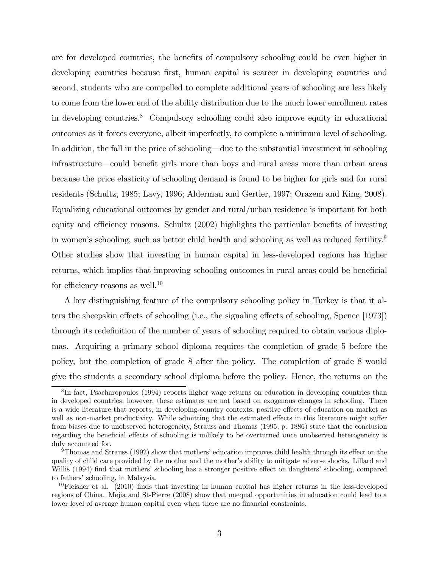are for developed countries, the benefits of compulsory schooling could be even higher in developing countries because first, human capital is scarcer in developing countries and second, students who are compelled to complete additional years of schooling are less likely to come from the lower end of the ability distribution due to the much lower enrollment rates in developing countries.<sup>8</sup> Compulsory schooling could also improve equity in educational outcomes as it forces everyone, albeit imperfectly, to complete a minimum level of schooling. In addition, the fall in the price of schooling–due to the substantial investment in schooling infrastructure–could benefit girls more than boys and rural areas more than urban areas because the price elasticity of schooling demand is found to be higher for girls and for rural residents (Schultz, 1985; Lavy, 1996; Alderman and Gertler, 1997; Orazem and King, 2008). Equalizing educational outcomes by gender and rural/urban residence is important for both equity and efficiency reasons. Schultz (2002) highlights the particular benefits of investing in women's schooling, such as better child health and schooling as well as reduced fertility.<sup>9</sup> Other studies show that investing in human capital in less-developed regions has higher returns, which implies that improving schooling outcomes in rural areas could be beneficial for efficiency reasons as well.<sup>10</sup>

A key distinguishing feature of the compulsory schooling policy in Turkey is that it alters the sheepskin effects of schooling (i.e., the signaling effects of schooling, Spence [1973]) through its redefinition of the number of years of schooling required to obtain various diplomas. Acquiring a primary school diploma requires the completion of grade 5 before the policy, but the completion of grade 8 after the policy. The completion of grade 8 would give the students a secondary school diploma before the policy. Hence, the returns on the

<sup>&</sup>lt;sup>8</sup>In fact, Psacharopoulos (1994) reports higher wage returns on education in developing countries than in developed countries; however, these estimates are not based on exogenous changes in schooling. There is a wide literature that reports, in developing-country contexts, positive effects of education on market as well as non-market productivity. While admitting that the estimated effects in this literature might suffer from biases due to unobserved heterogeneity, Strauss and Thomas (1995, p. 1886) state that the conclusion regarding the beneficial effects of schooling is unlikely to be overturned once unobserved heterogeneity is duly accounted for.

<sup>9</sup>Thomas and Strauss (1992) show that mothers' education improves child health through its effect on the quality of child care provided by the mother and the mother's ability to mitigate adverse shocks. Lillard and Willis (1994) find that mothers' schooling has a stronger positive effect on daughters' schooling, compared to fathers' schooling, in Malaysia.

 $10$ Fleisher et al. (2010) finds that investing in human capital has higher returns in the less-developed regions of China. Mejia and St-Pierre (2008) show that unequal opportunities in education could lead to a lower level of average human capital even when there are no financial constraints.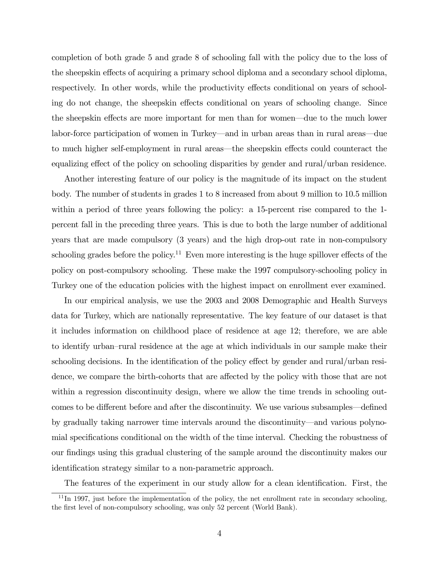completion of both grade 5 and grade 8 of schooling fall with the policy due to the loss of the sheepskin effects of acquiring a primary school diploma and a secondary school diploma, respectively. In other words, while the productivity effects conditional on years of schooling do not change, the sheepskin effects conditional on years of schooling change. Since the sheepskin effects are more important for men than for women–due to the much lower labor-force participation of women in Turkey–and in urban areas than in rural areas–due to much higher self-employment in rural areas–the sheepskin effects could counteract the equalizing effect of the policy on schooling disparities by gender and rural/urban residence.

Another interesting feature of our policy is the magnitude of its impact on the student body. The number of students in grades 1 to 8 increased from about 9 million to 10.5 million within a period of three years following the policy: a 15-percent rise compared to the 1 percent fall in the preceding three years. This is due to both the large number of additional years that are made compulsory (3 years) and the high drop-out rate in non-compulsory schooling grades before the policy.<sup>11</sup> Even more interesting is the huge spillover effects of the policy on post-compulsory schooling. These make the 1997 compulsory-schooling policy in Turkey one of the education policies with the highest impact on enrollment ever examined.

In our empirical analysis, we use the 2003 and 2008 Demographic and Health Surveys data for Turkey, which are nationally representative. The key feature of our dataset is that it includes information on childhood place of residence at age 12; therefore, we are able to identify urban—rural residence at the age at which individuals in our sample make their schooling decisions. In the identification of the policy effect by gender and rural/urban residence, we compare the birth-cohorts that are affected by the policy with those that are not within a regression discontinuity design, where we allow the time trends in schooling outcomes to be different before and after the discontinuity. We use various subsamples–defined by gradually taking narrower time intervals around the discontinuity–and various polynomial specifications conditional on the width of the time interval. Checking the robustness of our findings using this gradual clustering of the sample around the discontinuity makes our identification strategy similar to a non-parametric approach.

The features of the experiment in our study allow for a clean identification. First, the

 $11$ In 1997, just before the implementation of the policy, the net enrollment rate in secondary schooling, the first level of non-compulsory schooling, was only 52 percent (World Bank).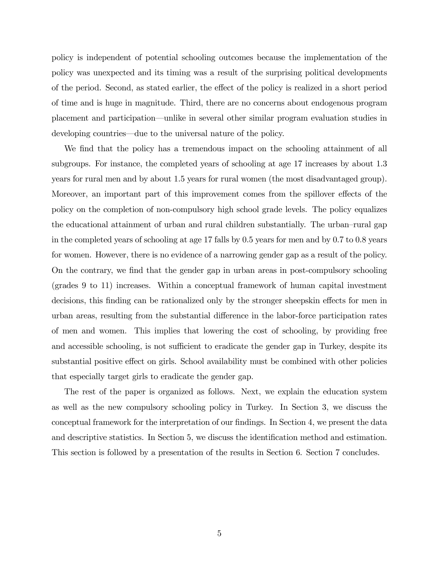policy is independent of potential schooling outcomes because the implementation of the policy was unexpected and its timing was a result of the surprising political developments of the period. Second, as stated earlier, the effect of the policy is realized in a short period of time and is huge in magnitude. Third, there are no concerns about endogenous program placement and participation–unlike in several other similar program evaluation studies in developing countries–due to the universal nature of the policy.

We find that the policy has a tremendous impact on the schooling attainment of all subgroups. For instance, the completed years of schooling at age 17 increases by about 1.3 years for rural men and by about 1.5 years for rural women (the most disadvantaged group). Moreover, an important part of this improvement comes from the spillover effects of the policy on the completion of non-compulsory high school grade levels. The policy equalizes the educational attainment of urban and rural children substantially. The urban—rural gap in the completed years of schooling at age 17 falls by 0.5 years for men and by 0.7 to 0.8 years for women. However, there is no evidence of a narrowing gender gap as a result of the policy. On the contrary, we find that the gender gap in urban areas in post-compulsory schooling (grades 9 to 11) increases. Within a conceptual framework of human capital investment decisions, this finding can be rationalized only by the stronger sheepskin effects for men in urban areas, resulting from the substantial difference in the labor-force participation rates of men and women. This implies that lowering the cost of schooling, by providing free and accessible schooling, is not sufficient to eradicate the gender gap in Turkey, despite its substantial positive effect on girls. School availability must be combined with other policies that especially target girls to eradicate the gender gap.

The rest of the paper is organized as follows. Next, we explain the education system as well as the new compulsory schooling policy in Turkey. In Section 3, we discuss the conceptual framework for the interpretation of our findings. In Section 4, we present the data and descriptive statistics. In Section 5, we discuss the identification method and estimation. This section is followed by a presentation of the results in Section 6. Section 7 concludes.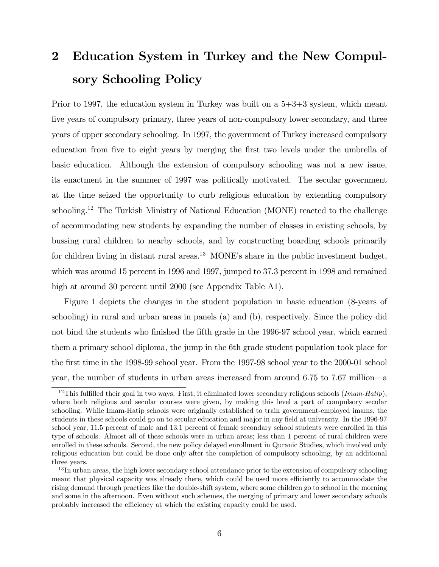# 2 Education System in Turkey and the New Compulsory Schooling Policy

Prior to 1997, the education system in Turkey was built on a 5+3+3 system, which meant five years of compulsory primary, three years of non-compulsory lower secondary, and three years of upper secondary schooling. In 1997, the government of Turkey increased compulsory education from five to eight years by merging the first two levels under the umbrella of basic education. Although the extension of compulsory schooling was not a new issue, its enactment in the summer of 1997 was politically motivated. The secular government at the time seized the opportunity to curb religious education by extending compulsory schooling.<sup>12</sup> The Turkish Ministry of National Education (MONE) reacted to the challenge of accommodating new students by expanding the number of classes in existing schools, by bussing rural children to nearby schools, and by constructing boarding schools primarily for children living in distant rural areas.<sup>13</sup> MONE's share in the public investment budget, which was around 15 percent in 1996 and 1997, jumped to 37.3 percent in 1998 and remained high at around 30 percent until 2000 (see Appendix Table A1).

Figure 1 depicts the changes in the student population in basic education (8-years of schooling) in rural and urban areas in panels (a) and (b), respectively. Since the policy did not bind the students who finished the fifth grade in the 1996-97 school year, which earned them a primary school diploma, the jump in the 6th grade student population took place for the first time in the 1998-99 school year. From the 1997-98 school year to the 2000-01 school year, the number of students in urban areas increased from around 6.75 to 7.67 million–a

<sup>&</sup>lt;sup>12</sup>This fulfilled their goal in two ways. First, it eliminated lower secondary religious schools (*Imam-Hatip*), where both religious and secular courses were given, by making this level a part of compulsory secular schooling. While Imam-Hatip schools were originally established to train government-employed imams, the students in these schools could go on to secular education and major in any field at university. In the 1996-97 school year, 11.5 percent of male and 13.1 percent of female secondary school students were enrolled in this type of schools. Almost all of these schools were in urban areas; less than 1 percent of rural children were enrolled in these schools. Second, the new policy delayed enrollment in Quranic Studies, which involved only religious education but could be done only after the completion of compulsory schooling, by an additional three years.

<sup>&</sup>lt;sup>13</sup>In urban areas, the high lower secondary school attendance prior to the extension of compulsory schooling meant that physical capacity was already there, which could be used more efficiently to accommodate the rising demand through practices like the double-shift system, where some children go to school in the morning and some in the afternoon. Even without such schemes, the merging of primary and lower secondary schools probably increased the efficiency at which the existing capacity could be used.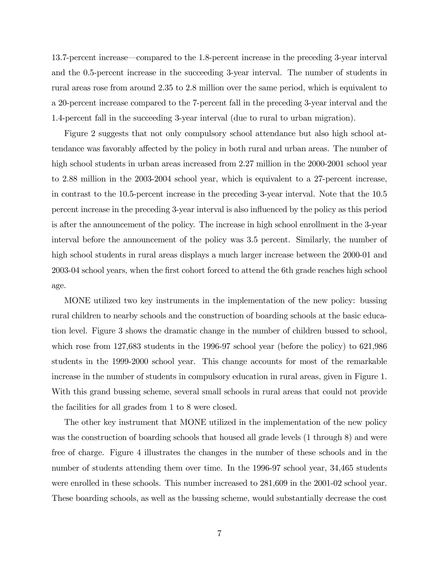13.7-percent increase–compared to the 1.8-percent increase in the preceding 3-year interval and the 0.5-percent increase in the succeeding 3-year interval. The number of students in rural areas rose from around 2.35 to 2.8 million over the same period, which is equivalent to a 20-percent increase compared to the 7-percent fall in the preceding 3-year interval and the 1.4-percent fall in the succeeding 3-year interval (due to rural to urban migration).

Figure 2 suggests that not only compulsory school attendance but also high school attendance was favorably affected by the policy in both rural and urban areas. The number of high school students in urban areas increased from 2.27 million in the 2000-2001 school year to 2.88 million in the 2003-2004 school year, which is equivalent to a 27-percent increase, in contrast to the 10.5-percent increase in the preceding 3-year interval. Note that the 10.5 percent increase in the preceding 3-year interval is also influenced by the policy as this period is after the announcement of the policy. The increase in high school enrollment in the 3-year interval before the announcement of the policy was 3.5 percent. Similarly, the number of high school students in rural areas displays a much larger increase between the 2000-01 and 2003-04 school years, when the first cohort forced to attend the 6th grade reaches high school age.

MONE utilized two key instruments in the implementation of the new policy: bussing rural children to nearby schools and the construction of boarding schools at the basic education level. Figure 3 shows the dramatic change in the number of children bussed to school, which rose from 127,683 students in the 1996-97 school year (before the policy) to 621,986 students in the 1999-2000 school year. This change accounts for most of the remarkable increase in the number of students in compulsory education in rural areas, given in Figure 1. With this grand bussing scheme, several small schools in rural areas that could not provide the facilities for all grades from 1 to 8 were closed.

The other key instrument that MONE utilized in the implementation of the new policy was the construction of boarding schools that housed all grade levels (1 through 8) and were free of charge. Figure 4 illustrates the changes in the number of these schools and in the number of students attending them over time. In the 1996-97 school year, 34,465 students were enrolled in these schools. This number increased to 281,609 in the 2001-02 school year. These boarding schools, as well as the bussing scheme, would substantially decrease the cost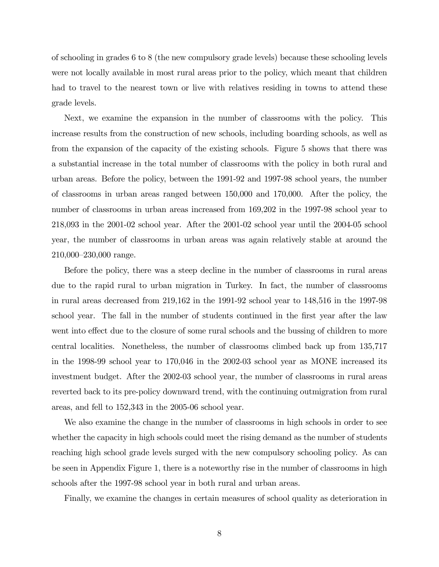of schooling in grades 6 to 8 (the new compulsory grade levels) because these schooling levels were not locally available in most rural areas prior to the policy, which meant that children had to travel to the nearest town or live with relatives residing in towns to attend these grade levels.

Next, we examine the expansion in the number of classrooms with the policy. This increase results from the construction of new schools, including boarding schools, as well as from the expansion of the capacity of the existing schools. Figure 5 shows that there was a substantial increase in the total number of classrooms with the policy in both rural and urban areas. Before the policy, between the 1991-92 and 1997-98 school years, the number of classrooms in urban areas ranged between 150,000 and 170,000. After the policy, the number of classrooms in urban areas increased from 169,202 in the 1997-98 school year to 218,093 in the 2001-02 school year. After the 2001-02 school year until the 2004-05 school year, the number of classrooms in urban areas was again relatively stable at around the 210,000—230,000 range.

Before the policy, there was a steep decline in the number of classrooms in rural areas due to the rapid rural to urban migration in Turkey. In fact, the number of classrooms in rural areas decreased from 219,162 in the 1991-92 school year to 148,516 in the 1997-98 school year. The fall in the number of students continued in the first year after the law went into effect due to the closure of some rural schools and the bussing of children to more central localities. Nonetheless, the number of classrooms climbed back up from 135,717 in the 1998-99 school year to 170,046 in the 2002-03 school year as MONE increased its investment budget. After the 2002-03 school year, the number of classrooms in rural areas reverted back to its pre-policy downward trend, with the continuing outmigration from rural areas, and fell to 152,343 in the 2005-06 school year.

We also examine the change in the number of classrooms in high schools in order to see whether the capacity in high schools could meet the rising demand as the number of students reaching high school grade levels surged with the new compulsory schooling policy. As can be seen in Appendix Figure 1, there is a noteworthy rise in the number of classrooms in high schools after the 1997-98 school year in both rural and urban areas.

Finally, we examine the changes in certain measures of school quality as deterioration in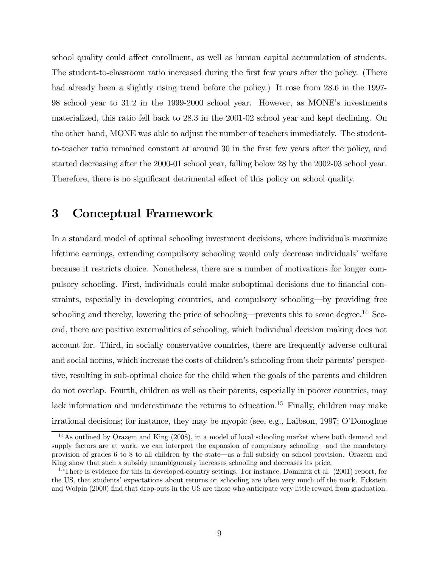school quality could affect enrollment, as well as human capital accumulation of students. The student-to-classroom ratio increased during the first few years after the policy. (There had already been a slightly rising trend before the policy.) It rose from 28.6 in the 1997-98 school year to 31.2 in the 1999-2000 school year. However, as MONE's investments materialized, this ratio fell back to 28.3 in the 2001-02 school year and kept declining. On the other hand, MONE was able to adjust the number of teachers immediately. The studentto-teacher ratio remained constant at around 30 in the first few years after the policy, and started decreasing after the 2000-01 school year, falling below 28 by the 2002-03 school year. Therefore, there is no significant detrimental effect of this policy on school quality.

### 3 Conceptual Framework

In a standard model of optimal schooling investment decisions, where individuals maximize lifetime earnings, extending compulsory schooling would only decrease individuals' welfare because it restricts choice. Nonetheless, there are a number of motivations for longer compulsory schooling. First, individuals could make suboptimal decisions due to financial constraints, especially in developing countries, and compulsory schooling–by providing free schooling and thereby, lowering the price of schooling—prevents this to some degree.<sup>14</sup> Second, there are positive externalities of schooling, which individual decision making does not account for. Third, in socially conservative countries, there are frequently adverse cultural and social norms, which increase the costs of children's schooling from their parents' perspective, resulting in sub-optimal choice for the child when the goals of the parents and children do not overlap. Fourth, children as well as their parents, especially in poorer countries, may lack information and underestimate the returns to education.<sup>15</sup> Finally, children may make irrational decisions; for instance, they may be myopic (see, e.g., Laibson, 1997; O'Donoghue

<sup>14</sup>As outlined by Orazem and King (2008), in a model of local schooling market where both demand and supply factors are at work, we can interpret the expansion of compulsory schooling–and the mandatory provision of grades 6 to 8 to all children by the state–as a full subsidy on school provision. Orazem and King show that such a subsidy unambiguously increases schooling and decreases its price.

<sup>&</sup>lt;sup>15</sup>There is evidence for this in developed-country settings. For instance, Dominitz et al. (2001) report, for the US, that students' expectations about returns on schooling are often very much off the mark. Eckstein and Wolpin (2000) find that drop-outs in the US are those who anticipate very little reward from graduation.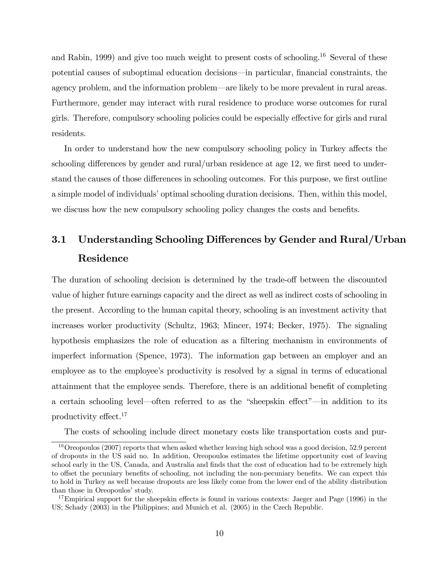and Rabin, 1999) and give too much weight to present costs of schooling.<sup>16</sup> Several of these potential causes of suboptimal education decisions–in particular, financial constraints, the agency problem, and the information problem–are likely to be more prevalent in rural areas. Furthermore, gender may interact with rural residence to produce worse outcomes for rural girls. Therefore, compulsory schooling policies could be especially effective for girls and rural residents.

In order to understand how the new compulsory schooling policy in Turkey affects the schooling differences by gender and rural/urban residence at age 12, we first need to understand the causes of those differences in schooling outcomes. For this purpose, we first outline a simple model of individuals' optimal schooling duration decisions. Then, within this model, we discuss how the new compulsory schooling policy changes the costs and benefits.

# 3.1 Understanding Schooling Differences by Gender and Rural/Urban Residence

The duration of schooling decision is determined by the trade-off between the discounted value of higher future earnings capacity and the direct as well as indirect costs of schooling in the present. According to the human capital theory, schooling is an investment activity that increases worker productivity (Schultz, 1963; Mincer, 1974; Becker, 1975). The signaling hypothesis emphasizes the role of education as a filtering mechanism in environments of imperfect information (Spence, 1973). The information gap between an employer and an employee as to the employee's productivity is resolved by a signal in terms of educational attainment that the employee sends. Therefore, there is an additional benefit of completing a certain schooling level–often referred to as the "sheepskin effect"–in addition to its productivity effect.<sup>17</sup>

The costs of schooling include direct monetary costs like transportation costs and pur-

<sup>&</sup>lt;sup>16</sup>Oreopoulos (2007) reports that when asked whether leaving high school was a good decision, 52.9 percent of dropouts in the US said no. In addition, Oreopoulos estimates the lifetime opportunity cost of leaving school early in the US, Canada, and Australia and finds that the cost of education had to be extremely high to offset the pecuniary benefits of schooling, not including the non-pecuniary benefits. We can expect this to hold in Turkey as well because dropouts are less likely come from the lower end of the ability distribution than those in Oreopoulos' study.

<sup>&</sup>lt;sup>17</sup>Empirical support for the sheepskin effects is found in various contexts: Jaeger and Page (1996) in the US; Schady (2003) in the Philippines; and Munich et al. (2005) in the Czech Republic.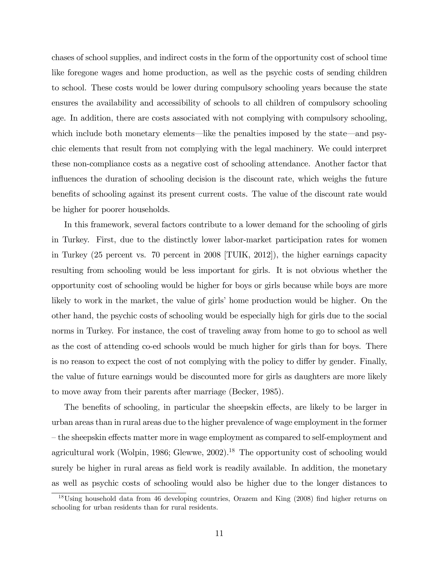chases of school supplies, and indirect costs in the form of the opportunity cost of school time like foregone wages and home production, as well as the psychic costs of sending children to school. These costs would be lower during compulsory schooling years because the state ensures the availability and accessibility of schools to all children of compulsory schooling age. In addition, there are costs associated with not complying with compulsory schooling, which include both monetary elements—like the penalties imposed by the state—and psychic elements that result from not complying with the legal machinery. We could interpret these non-compliance costs as a negative cost of schooling attendance. Another factor that influences the duration of schooling decision is the discount rate, which weighs the future benefits of schooling against its present current costs. The value of the discount rate would be higher for poorer households.

In this framework, several factors contribute to a lower demand for the schooling of girls in Turkey. First, due to the distinctly lower labor-market participation rates for women in Turkey (25 percent vs. 70 percent in 2008 [TUIK, 2012]), the higher earnings capacity resulting from schooling would be less important for girls. It is not obvious whether the opportunity cost of schooling would be higher for boys or girls because while boys are more likely to work in the market, the value of girls' home production would be higher. On the other hand, the psychic costs of schooling would be especially high for girls due to the social norms in Turkey. For instance, the cost of traveling away from home to go to school as well as the cost of attending co-ed schools would be much higher for girls than for boys. There is no reason to expect the cost of not complying with the policy to differ by gender. Finally, the value of future earnings would be discounted more for girls as daughters are more likely to move away from their parents after marriage (Becker, 1985).

The benefits of schooling, in particular the sheepskin effects, are likely to be larger in urban areas than in rural areas due to the higher prevalence of wage employment in the former — the sheepskin effects matter more in wage employment as compared to self-employment and agricultural work (Wolpin, 1986; Glewwe,  $2002$ ).<sup>18</sup> The opportunity cost of schooling would surely be higher in rural areas as field work is readily available. In addition, the monetary as well as psychic costs of schooling would also be higher due to the longer distances to

<sup>&</sup>lt;sup>18</sup>Using household data from 46 developing countries, Orazem and King (2008) find higher returns on schooling for urban residents than for rural residents.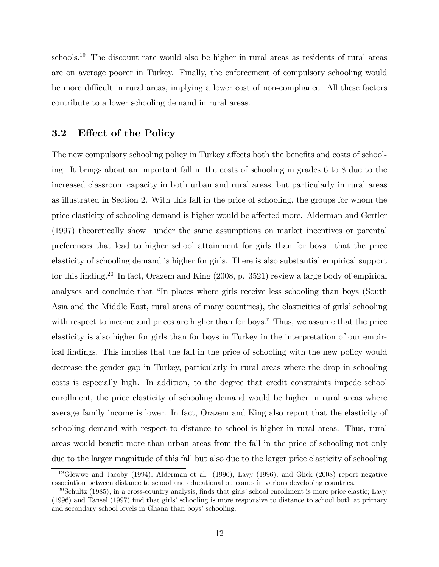schools.<sup>19</sup> The discount rate would also be higher in rural areas as residents of rural areas are on average poorer in Turkey. Finally, the enforcement of compulsory schooling would be more difficult in rural areas, implying a lower cost of non-compliance. All these factors contribute to a lower schooling demand in rural areas.

#### 3.2 Effect of the Policy

The new compulsory schooling policy in Turkey affects both the benefits and costs of schooling. It brings about an important fall in the costs of schooling in grades 6 to 8 due to the increased classroom capacity in both urban and rural areas, but particularly in rural areas as illustrated in Section 2. With this fall in the price of schooling, the groups for whom the price elasticity of schooling demand is higher would be affected more. Alderman and Gertler (1997) theoretically show–under the same assumptions on market incentives or parental preferences that lead to higher school attainment for girls than for boys–that the price elasticity of schooling demand is higher for girls. There is also substantial empirical support for this finding.<sup>20</sup> In fact, Orazem and King  $(2008, p. 3521)$  review a large body of empirical analyses and conclude that "In places where girls receive less schooling than boys (South Asia and the Middle East, rural areas of many countries), the elasticities of girls' schooling with respect to income and prices are higher than for boys." Thus, we assume that the price elasticity is also higher for girls than for boys in Turkey in the interpretation of our empirical findings. This implies that the fall in the price of schooling with the new policy would decrease the gender gap in Turkey, particularly in rural areas where the drop in schooling costs is especially high. In addition, to the degree that credit constraints impede school enrollment, the price elasticity of schooling demand would be higher in rural areas where average family income is lower. In fact, Orazem and King also report that the elasticity of schooling demand with respect to distance to school is higher in rural areas. Thus, rural areas would benefit more than urban areas from the fall in the price of schooling not only due to the larger magnitude of this fall but also due to the larger price elasticity of schooling

 $19\text{Glew}$  and Jacoby (1994), Alderman et al. (1996), Lavy (1996), and Glick (2008) report negative association between distance to school and educational outcomes in various developing countries.

<sup>20</sup>Schultz (1985), in a cross-country analysis, finds that girls' school enrollment is more price elastic; Lavy (1996) and Tansel (1997) find that girls' schooling is more responsive to distance to school both at primary and secondary school levels in Ghana than boys' schooling.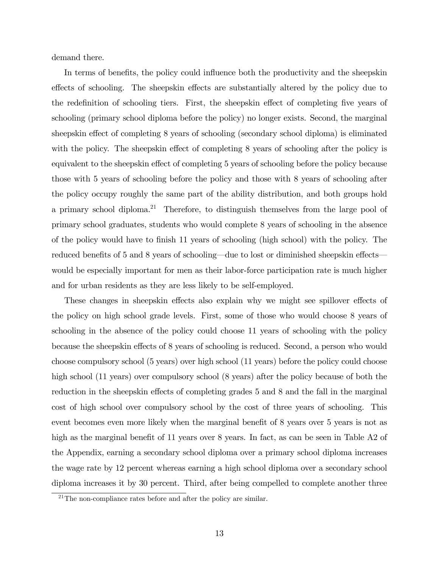demand there.

In terms of benefits, the policy could influence both the productivity and the sheepskin effects of schooling. The sheepskin effects are substantially altered by the policy due to the redefinition of schooling tiers. First, the sheepskin effect of completing five years of schooling (primary school diploma before the policy) no longer exists. Second, the marginal sheepskin effect of completing 8 years of schooling (secondary school diploma) is eliminated with the policy. The sheepskin effect of completing 8 years of schooling after the policy is equivalent to the sheepskin effect of completing 5 years of schooling before the policy because those with 5 years of schooling before the policy and those with 8 years of schooling after the policy occupy roughly the same part of the ability distribution, and both groups hold a primary school diploma.<sup>21</sup> Therefore, to distinguish themselves from the large pool of primary school graduates, students who would complete 8 years of schooling in the absence of the policy would have to finish 11 years of schooling (high school) with the policy. The reduced benefits of 5 and 8 years of schooling–due to lost or diminished sheepskin effects– would be especially important for men as their labor-force participation rate is much higher and for urban residents as they are less likely to be self-employed.

These changes in sheepskin effects also explain why we might see spillover effects of the policy on high school grade levels. First, some of those who would choose 8 years of schooling in the absence of the policy could choose 11 years of schooling with the policy because the sheepskin effects of 8 years of schooling is reduced. Second, a person who would choose compulsory school (5 years) over high school (11 years) before the policy could choose high school (11 years) over compulsory school (8 years) after the policy because of both the reduction in the sheepskin effects of completing grades 5 and 8 and the fall in the marginal cost of high school over compulsory school by the cost of three years of schooling. This event becomes even more likely when the marginal benefit of 8 years over 5 years is not as high as the marginal benefit of 11 years over 8 years. In fact, as can be seen in Table A2 of the Appendix, earning a secondary school diploma over a primary school diploma increases the wage rate by 12 percent whereas earning a high school diploma over a secondary school diploma increases it by 30 percent. Third, after being compelled to complete another three

 $21$ The non-compliance rates before and after the policy are similar.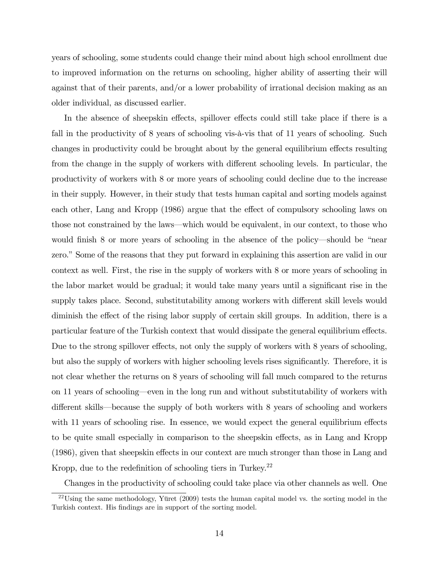years of schooling, some students could change their mind about high school enrollment due to improved information on the returns on schooling, higher ability of asserting their will against that of their parents, and/or a lower probability of irrational decision making as an older individual, as discussed earlier.

In the absence of sheepskin effects, spillover effects could still take place if there is a fall in the productivity of 8 years of schooling vis-à-vis that of 11 years of schooling. Such changes in productivity could be brought about by the general equilibrium effects resulting from the change in the supply of workers with different schooling levels. In particular, the productivity of workers with 8 or more years of schooling could decline due to the increase in their supply. However, in their study that tests human capital and sorting models against each other, Lang and Kropp (1986) argue that the effect of compulsory schooling laws on those not constrained by the laws–which would be equivalent, in our context, to those who would finish 8 or more years of schooling in the absence of the policy–should be "near zero." Some of the reasons that they put forward in explaining this assertion are valid in our context as well. First, the rise in the supply of workers with 8 or more years of schooling in the labor market would be gradual; it would take many years until a significant rise in the supply takes place. Second, substitutability among workers with different skill levels would diminish the effect of the rising labor supply of certain skill groups. In addition, there is a particular feature of the Turkish context that would dissipate the general equilibrium effects. Due to the strong spillover effects, not only the supply of workers with 8 years of schooling, but also the supply of workers with higher schooling levels rises significantly. Therefore, it is not clear whether the returns on 8 years of schooling will fall much compared to the returns on 11 years of schooling–even in the long run and without substitutability of workers with different skills–because the supply of both workers with 8 years of schooling and workers with 11 years of schooling rise. In essence, we would expect the general equilibrium effects to be quite small especially in comparison to the sheepskin effects, as in Lang and Kropp (1986), given that sheepskin effects in our context are much stronger than those in Lang and Kropp, due to the redefinition of schooling tiers in Turkey.<sup>22</sup>

Changes in the productivity of schooling could take place via other channels as well. One

<sup>&</sup>lt;sup>22</sup>Using the same methodology, Yüret  $(2009)$  tests the human capital model vs. the sorting model in the Turkish context. His findings are in support of the sorting model.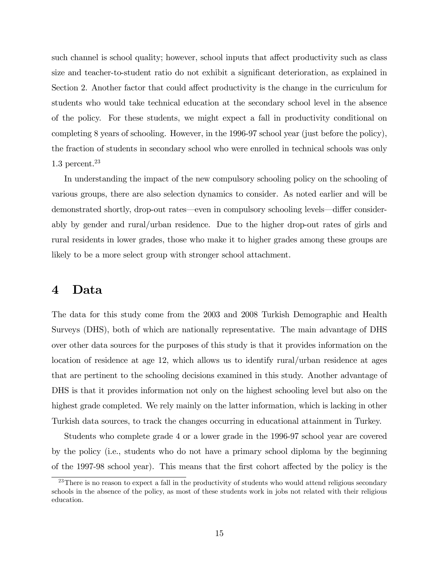such channel is school quality; however, school inputs that affect productivity such as class size and teacher-to-student ratio do not exhibit a significant deterioration, as explained in Section 2. Another factor that could affect productivity is the change in the curriculum for students who would take technical education at the secondary school level in the absence of the policy. For these students, we might expect a fall in productivity conditional on completing 8 years of schooling. However, in the 1996-97 school year (just before the policy), the fraction of students in secondary school who were enrolled in technical schools was only  $1.3$  percent.<sup>23</sup>

In understanding the impact of the new compulsory schooling policy on the schooling of various groups, there are also selection dynamics to consider. As noted earlier and will be demonstrated shortly, drop-out rates–even in compulsory schooling levels–differ considerably by gender and rural/urban residence. Due to the higher drop-out rates of girls and rural residents in lower grades, those who make it to higher grades among these groups are likely to be a more select group with stronger school attachment.

#### 4 Data

The data for this study come from the 2003 and 2008 Turkish Demographic and Health Surveys (DHS), both of which are nationally representative. The main advantage of DHS over other data sources for the purposes of this study is that it provides information on the location of residence at age 12, which allows us to identify rural/urban residence at ages that are pertinent to the schooling decisions examined in this study. Another advantage of DHS is that it provides information not only on the highest schooling level but also on the highest grade completed. We rely mainly on the latter information, which is lacking in other Turkish data sources, to track the changes occurring in educational attainment in Turkey.

Students who complete grade 4 or a lower grade in the 1996-97 school year are covered by the policy (i.e., students who do not have a primary school diploma by the beginning of the 1997-98 school year). This means that the first cohort affected by the policy is the

<sup>&</sup>lt;sup>23</sup>There is no reason to expect a fall in the productivity of students who would attend religious secondary schools in the absence of the policy, as most of these students work in jobs not related with their religious education.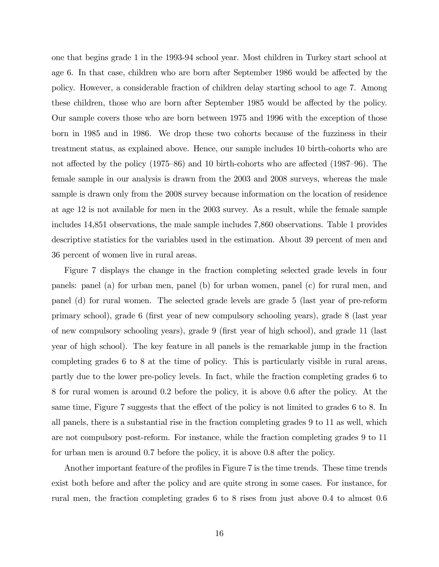one that begins grade 1 in the 1993-94 school year. Most children in Turkey start school at age 6. In that case, children who are born after September 1986 would be affected by the policy. However, a considerable fraction of children delay starting school to age 7. Among these children, those who are born after September 1985 would be affected by the policy. Our sample covers those who are born between 1975 and 1996 with the exception of those born in 1985 and in 1986. We drop these two cohorts because of the fuzziness in their treatment status, as explained above. Hence, our sample includes 10 birth-cohorts who are not affected by the policy (1975—86) and 10 birth-cohorts who are affected (1987—96). The female sample in our analysis is drawn from the 2003 and 2008 surveys, whereas the male sample is drawn only from the 2008 survey because information on the location of residence at age 12 is not available for men in the 2003 survey. As a result, while the female sample includes 14,851 observations, the male sample includes 7,860 observations. Table 1 provides descriptive statistics for the variables used in the estimation. About 39 percent of men and 36 percent of women live in rural areas.

Figure 7 displays the change in the fraction completing selected grade levels in four panels: panel (a) for urban men, panel (b) for urban women, panel (c) for rural men, and panel (d) for rural women. The selected grade levels are grade 5 (last year of pre-reform primary school), grade 6 (first year of new compulsory schooling years), grade 8 (last year of new compulsory schooling years), grade 9 (first year of high school), and grade 11 (last year of high school). The key feature in all panels is the remarkable jump in the fraction completing grades 6 to 8 at the time of policy. This is particularly visible in rural areas, partly due to the lower pre-policy levels. In fact, while the fraction completing grades 6 to 8 for rural women is around 0.2 before the policy, it is above 0.6 after the policy. At the same time, Figure 7 suggests that the effect of the policy is not limited to grades 6 to 8. In all panels, there is a substantial rise in the fraction completing grades 9 to 11 as well, which are not compulsory post-reform. For instance, while the fraction completing grades 9 to 11 for urban men is around 0.7 before the policy, it is above 0.8 after the policy.

Another important feature of the profiles in Figure 7 is the time trends. These time trends exist both before and after the policy and are quite strong in some cases. For instance, for rural men, the fraction completing grades 6 to 8 rises from just above 0.4 to almost 0.6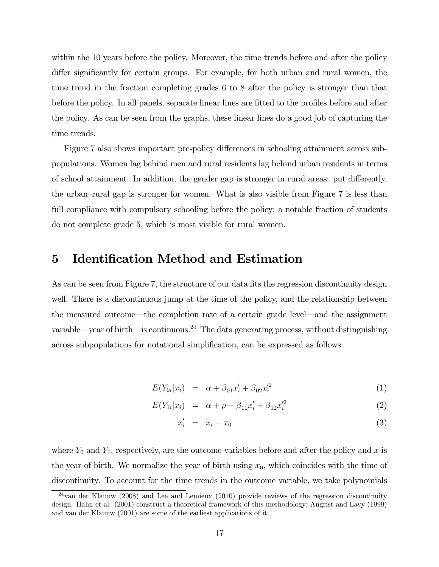within the 10 years before the policy. Moreover, the time trends before and after the policy differ significantly for certain groups. For example, for both urban and rural women, the time trend in the fraction completing grades 6 to 8 after the policy is stronger than that before the policy. In all panels, separate linear lines are fitted to the profiles before and after the policy. As can be seen from the graphs, these linear lines do a good job of capturing the time trends.

Figure 7 also shows important pre-policy differences in schooling attainment across subpopulations. Women lag behind men and rural residents lag behind urban residents in terms of school attainment. In addition, the gender gap is stronger in rural areas: put differently, the urban—rural gap is stronger for women. What is also visible from Figure 7 is less than full compliance with compulsory schooling before the policy; a notable fraction of students do not complete grade 5, which is most visible for rural women.

### 5 Identification Method and Estimation

As can be seen from Figure 7, the structure of our data fits the regression discontinuity design well. There is a discontinuous jump at the time of the policy, and the relationship between the measured outcome–the completion rate of a certain grade level–and the assignment variable—year of birth—is continuous.<sup>24</sup> The data generating process, without distinguishing across subpopulations for notational simplification, can be expressed as follows:

$$
E(Y_{0i}|x_i) = \alpha + \beta_{01}x'_i + \beta_{02}x'^2_i \tag{1}
$$

$$
E(Y_{1i}|x_i) = \alpha + \rho + \beta_{11}x'_i + \beta_{12}x'^2_i \tag{2}
$$

$$
x_i' = x_i - x_0 \tag{3}
$$

where  $Y_0$  and  $Y_1$ , respectively, are the outcome variables before and after the policy and x is the year of birth. We normalize the year of birth using  $x_0$ , which coincides with the time of discontinuity. To account for the time trends in the outcome variable, we take polynomials

<sup>24</sup>van der Klauuw (2008) and Lee and Lemieux (2010) provide reviews of the regression discontinuity design. Hahn et al. (2001) construct a theoretical framework of this methodology; Angrist and Lavy (1999) and van der Klauuw (2001) are some of the earliest applications of it.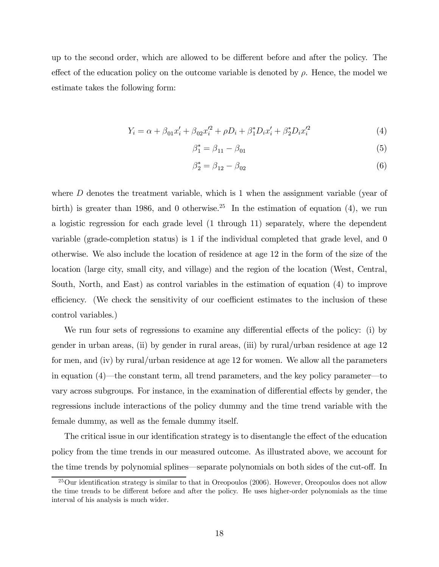up to the second order, which are allowed to be different before and after the policy. The effect of the education policy on the outcome variable is denoted by  $\rho$ . Hence, the model we estimate takes the following form:

$$
Y_i = \alpha + \beta_{01} x'_i + \beta_{02} x'^2_i + \rho D_i + \beta_1^* D_i x'_i + \beta_2^* D_i x'^2_i \tag{4}
$$

$$
\beta_1^* = \beta_{11} - \beta_{01} \tag{5}
$$

$$
\beta_2^* = \beta_{12} - \beta_{02} \tag{6}
$$

where  $D$  denotes the treatment variable, which is 1 when the assignment variable (year of birth) is greater than 1986, and 0 otherwise.<sup>25</sup> In the estimation of equation (4), we run a logistic regression for each grade level (1 through 11) separately, where the dependent variable (grade-completion status) is 1 if the individual completed that grade level, and 0 otherwise. We also include the location of residence at age 12 in the form of the size of the location (large city, small city, and village) and the region of the location (West, Central, South, North, and East) as control variables in the estimation of equation (4) to improve efficiency. (We check the sensitivity of our coefficient estimates to the inclusion of these control variables.)

We run four sets of regressions to examine any differential effects of the policy: (i) by gender in urban areas, (ii) by gender in rural areas, (iii) by rural/urban residence at age 12 for men, and (iv) by rural/urban residence at age 12 for women. We allow all the parameters in equation (4)–the constant term, all trend parameters, and the key policy parameter–to vary across subgroups. For instance, in the examination of differential effects by gender, the regressions include interactions of the policy dummy and the time trend variable with the female dummy, as well as the female dummy itself.

The critical issue in our identification strategy is to disentangle the effect of the education policy from the time trends in our measured outcome. As illustrated above, we account for the time trends by polynomial splines–separate polynomials on both sides of the cut-off. In

<sup>25</sup>Our identification strategy is similar to that in Oreopoulos (2006). However, Oreopoulos does not allow the time trends to be different before and after the policy. He uses higher-order polynomials as the time interval of his analysis is much wider.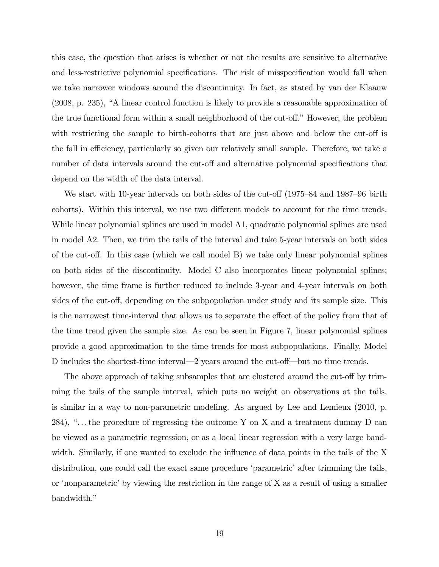this case, the question that arises is whether or not the results are sensitive to alternative and less-restrictive polynomial specifications. The risk of misspecification would fall when we take narrower windows around the discontinuity. In fact, as stated by van der Klaauw (2008, p. 235), "A linear control function is likely to provide a reasonable approximation of the true functional form within a small neighborhood of the cut-off." However, the problem with restricting the sample to birth-cohorts that are just above and below the cut-off is the fall in efficiency, particularly so given our relatively small sample. Therefore, we take a number of data intervals around the cut-off and alternative polynomial specifications that depend on the width of the data interval.

We start with 10-year intervals on both sides of the cut-off (1975—84 and 1987—96 birth cohorts). Within this interval, we use two different models to account for the time trends. While linear polynomial splines are used in model A1, quadratic polynomial splines are used in model A2. Then, we trim the tails of the interval and take 5-year intervals on both sides of the cut-off. In this case (which we call model B) we take only linear polynomial splines on both sides of the discontinuity. Model C also incorporates linear polynomial splines; however, the time frame is further reduced to include 3-year and 4-year intervals on both sides of the cut-off, depending on the subpopulation under study and its sample size. This is the narrowest time-interval that allows us to separate the effect of the policy from that of the time trend given the sample size. As can be seen in Figure 7, linear polynomial splines provide a good approximation to the time trends for most subpopulations. Finally, Model D includes the shortest-time interval–2 years around the cut-off–but no time trends.

The above approach of taking subsamples that are clustered around the cut-off by trimming the tails of the sample interval, which puts no weight on observations at the tails, is similar in a way to non-parametric modeling. As argued by Lee and Lemieux (2010, p. 284), " $\dots$  the procedure of regressing the outcome Y on X and a treatment dummy D can be viewed as a parametric regression, or as a local linear regression with a very large bandwidth. Similarly, if one wanted to exclude the influence of data points in the tails of the X distribution, one could call the exact same procedure 'parametric' after trimming the tails, or 'nonparametric' by viewing the restriction in the range of X as a result of using a smaller bandwidth."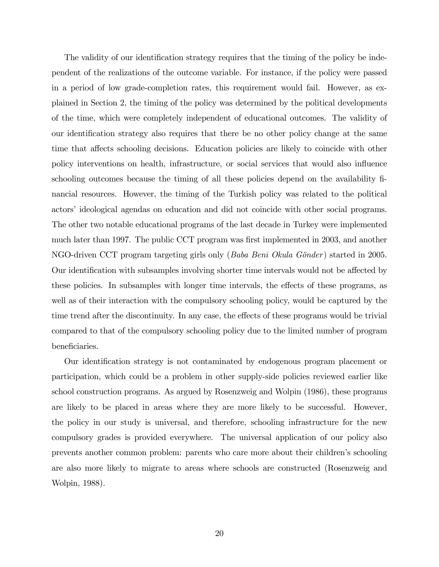The validity of our identification strategy requires that the timing of the policy be independent of the realizations of the outcome variable. For instance, if the policy were passed in a period of low grade-completion rates, this requirement would fail. However, as explained in Section 2, the timing of the policy was determined by the political developments of the time, which were completely independent of educational outcomes. The validity of our identification strategy also requires that there be no other policy change at the same time that affects schooling decisions. Education policies are likely to coincide with other policy interventions on health, infrastructure, or social services that would also influence schooling outcomes because the timing of all these policies depend on the availability financial resources. However, the timing of the Turkish policy was related to the political actors' ideological agendas on education and did not coincide with other social programs. The other two notable educational programs of the last decade in Turkey were implemented much later than 1997. The public CCT program was first implemented in 2003, and another NGO-driven CCT program targeting girls only (Baba Beni Okula Gönder) started in 2005. Our identification with subsamples involving shorter time intervals would not be affected by these policies. In subsamples with longer time intervals, the effects of these programs, as well as of their interaction with the compulsory schooling policy, would be captured by the time trend after the discontinuity. In any case, the effects of these programs would be trivial compared to that of the compulsory schooling policy due to the limited number of program beneficiaries.

Our identification strategy is not contaminated by endogenous program placement or participation, which could be a problem in other supply-side policies reviewed earlier like school construction programs. As argued by Rosenzweig and Wolpin (1986), these programs are likely to be placed in areas where they are more likely to be successful. However, the policy in our study is universal, and therefore, schooling infrastructure for the new compulsory grades is provided everywhere. The universal application of our policy also prevents another common problem: parents who care more about their children's schooling are also more likely to migrate to areas where schools are constructed (Rosenzweig and Wolpin, 1988).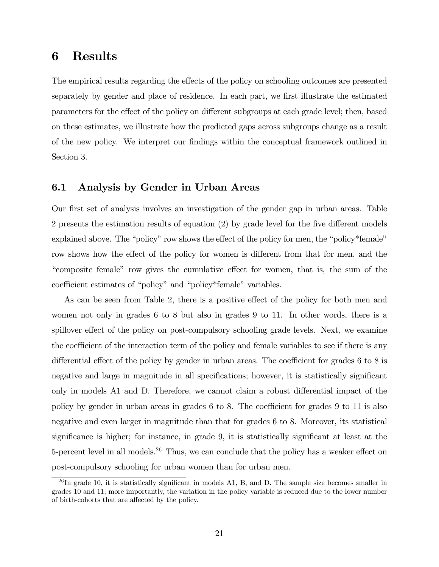### 6 Results

The empirical results regarding the effects of the policy on schooling outcomes are presented separately by gender and place of residence. In each part, we first illustrate the estimated parameters for the effect of the policy on different subgroups at each grade level; then, based on these estimates, we illustrate how the predicted gaps across subgroups change as a result of the new policy. We interpret our findings within the conceptual framework outlined in Section 3.

#### 6.1 Analysis by Gender in Urban Areas

Our first set of analysis involves an investigation of the gender gap in urban areas. Table 2 presents the estimation results of equation (2) by grade level for the five different models explained above. The "policy" row shows the effect of the policy for men, the "policy\*female" row shows how the effect of the policy for women is different from that for men, and the "composite female" row gives the cumulative effect for women, that is, the sum of the coefficient estimates of "policy" and "policy\*female" variables.

As can be seen from Table 2, there is a positive effect of the policy for both men and women not only in grades 6 to 8 but also in grades 9 to 11. In other words, there is a spillover effect of the policy on post-compulsory schooling grade levels. Next, we examine the coefficient of the interaction term of the policy and female variables to see if there is any differential effect of the policy by gender in urban areas. The coefficient for grades 6 to 8 is negative and large in magnitude in all specifications; however, it is statistically significant only in models A1 and D. Therefore, we cannot claim a robust differential impact of the policy by gender in urban areas in grades 6 to 8. The coefficient for grades 9 to 11 is also negative and even larger in magnitude than that for grades 6 to 8. Moreover, its statistical significance is higher; for instance, in grade 9, it is statistically significant at least at the 5-percent level in all models.<sup>26</sup> Thus, we can conclude that the policy has a weaker effect on post-compulsory schooling for urban women than for urban men.

 $^{26}$ In grade 10, it is statistically significant in models A1, B, and D. The sample size becomes smaller in grades 10 and 11; more importantly, the variation in the policy variable is reduced due to the lower number of birth-cohorts that are affected by the policy.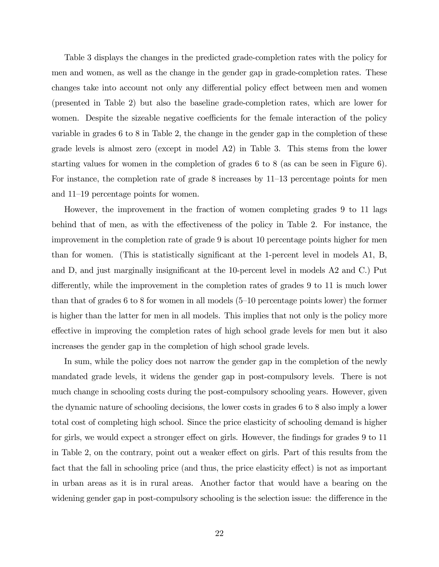Table 3 displays the changes in the predicted grade-completion rates with the policy for men and women, as well as the change in the gender gap in grade-completion rates. These changes take into account not only any differential policy effect between men and women (presented in Table 2) but also the baseline grade-completion rates, which are lower for women. Despite the sizeable negative coefficients for the female interaction of the policy variable in grades 6 to 8 in Table 2, the change in the gender gap in the completion of these grade levels is almost zero (except in model A2) in Table 3. This stems from the lower starting values for women in the completion of grades 6 to 8 (as can be seen in Figure 6). For instance, the completion rate of grade 8 increases by 11—13 percentage points for men and 11—19 percentage points for women.

However, the improvement in the fraction of women completing grades 9 to 11 lags behind that of men, as with the effectiveness of the policy in Table 2. For instance, the improvement in the completion rate of grade 9 is about 10 percentage points higher for men than for women. (This is statistically significant at the 1-percent level in models A1, B, and D, and just marginally insignificant at the 10-percent level in models A2 and C.) Put differently, while the improvement in the completion rates of grades 9 to 11 is much lower than that of grades 6 to 8 for women in all models (5—10 percentage points lower) the former is higher than the latter for men in all models. This implies that not only is the policy more effective in improving the completion rates of high school grade levels for men but it also increases the gender gap in the completion of high school grade levels.

In sum, while the policy does not narrow the gender gap in the completion of the newly mandated grade levels, it widens the gender gap in post-compulsory levels. There is not much change in schooling costs during the post-compulsory schooling years. However, given the dynamic nature of schooling decisions, the lower costs in grades 6 to 8 also imply a lower total cost of completing high school. Since the price elasticity of schooling demand is higher for girls, we would expect a stronger effect on girls. However, the findings for grades 9 to 11 in Table 2, on the contrary, point out a weaker effect on girls. Part of this results from the fact that the fall in schooling price (and thus, the price elasticity effect) is not as important in urban areas as it is in rural areas. Another factor that would have a bearing on the widening gender gap in post-compulsory schooling is the selection issue: the difference in the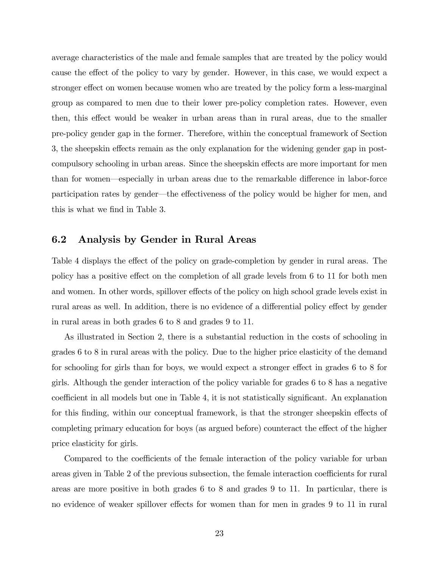average characteristics of the male and female samples that are treated by the policy would cause the effect of the policy to vary by gender. However, in this case, we would expect a stronger effect on women because women who are treated by the policy form a less-marginal group as compared to men due to their lower pre-policy completion rates. However, even then, this effect would be weaker in urban areas than in rural areas, due to the smaller pre-policy gender gap in the former. Therefore, within the conceptual framework of Section 3, the sheepskin effects remain as the only explanation for the widening gender gap in postcompulsory schooling in urban areas. Since the sheepskin effects are more important for men than for women–especially in urban areas due to the remarkable difference in labor-force participation rates by gender–the effectiveness of the policy would be higher for men, and this is what we find in Table 3.

#### 6.2 Analysis by Gender in Rural Areas

Table 4 displays the effect of the policy on grade-completion by gender in rural areas. The policy has a positive effect on the completion of all grade levels from 6 to 11 for both men and women. In other words, spillover effects of the policy on high school grade levels exist in rural areas as well. In addition, there is no evidence of a differential policy effect by gender in rural areas in both grades 6 to 8 and grades 9 to 11.

As illustrated in Section 2, there is a substantial reduction in the costs of schooling in grades 6 to 8 in rural areas with the policy. Due to the higher price elasticity of the demand for schooling for girls than for boys, we would expect a stronger effect in grades 6 to 8 for girls. Although the gender interaction of the policy variable for grades 6 to 8 has a negative coefficient in all models but one in Table 4, it is not statistically significant. An explanation for this finding, within our conceptual framework, is that the stronger sheepskin effects of completing primary education for boys (as argued before) counteract the effect of the higher price elasticity for girls.

Compared to the coefficients of the female interaction of the policy variable for urban areas given in Table 2 of the previous subsection, the female interaction coefficients for rural areas are more positive in both grades 6 to 8 and grades 9 to 11. In particular, there is no evidence of weaker spillover effects for women than for men in grades 9 to 11 in rural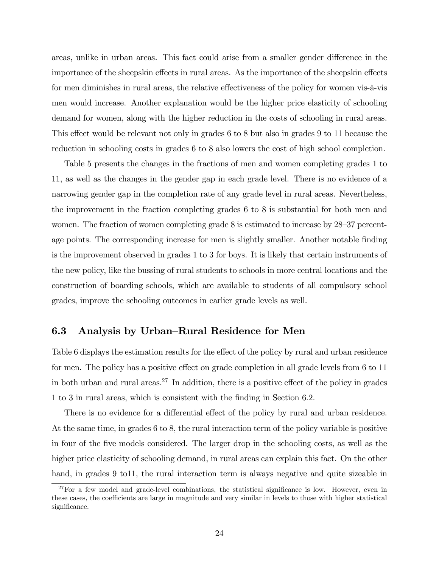areas, unlike in urban areas. This fact could arise from a smaller gender difference in the importance of the sheepskin effects in rural areas. As the importance of the sheepskin effects for men diminishes in rural areas, the relative effectiveness of the policy for women vis-à-vis men would increase. Another explanation would be the higher price elasticity of schooling demand for women, along with the higher reduction in the costs of schooling in rural areas. This effect would be relevant not only in grades 6 to 8 but also in grades 9 to 11 because the reduction in schooling costs in grades 6 to 8 also lowers the cost of high school completion.

Table 5 presents the changes in the fractions of men and women completing grades 1 to 11, as well as the changes in the gender gap in each grade level. There is no evidence of a narrowing gender gap in the completion rate of any grade level in rural areas. Nevertheless, the improvement in the fraction completing grades 6 to 8 is substantial for both men and women. The fraction of women completing grade 8 is estimated to increase by 28—37 percentage points. The corresponding increase for men is slightly smaller. Another notable finding is the improvement observed in grades 1 to 3 for boys. It is likely that certain instruments of the new policy, like the bussing of rural students to schools in more central locations and the construction of boarding schools, which are available to students of all compulsory school grades, improve the schooling outcomes in earlier grade levels as well.

#### 6.3 Analysis by Urban—Rural Residence for Men

Table 6 displays the estimation results for the effect of the policy by rural and urban residence for men. The policy has a positive effect on grade completion in all grade levels from 6 to 11 in both urban and rural areas.<sup>27</sup> In addition, there is a positive effect of the policy in grades 1 to 3 in rural areas, which is consistent with the finding in Section 6.2.

There is no evidence for a differential effect of the policy by rural and urban residence. At the same time, in grades 6 to 8, the rural interaction term of the policy variable is positive in four of the five models considered. The larger drop in the schooling costs, as well as the higher price elasticity of schooling demand, in rural areas can explain this fact. On the other hand, in grades 9 to 11, the rural interaction term is always negative and quite sizeable in

 $^{27}$ For a few model and grade-level combinations, the statistical significance is low. However, even in these cases, the coefficients are large in magnitude and very similar in levels to those with higher statistical significance.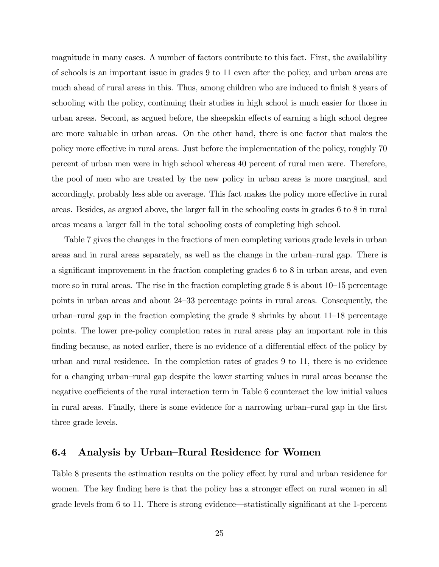magnitude in many cases. A number of factors contribute to this fact. First, the availability of schools is an important issue in grades 9 to 11 even after the policy, and urban areas are much ahead of rural areas in this. Thus, among children who are induced to finish 8 years of schooling with the policy, continuing their studies in high school is much easier for those in urban areas. Second, as argued before, the sheepskin effects of earning a high school degree are more valuable in urban areas. On the other hand, there is one factor that makes the policy more effective in rural areas. Just before the implementation of the policy, roughly 70 percent of urban men were in high school whereas 40 percent of rural men were. Therefore, the pool of men who are treated by the new policy in urban areas is more marginal, and accordingly, probably less able on average. This fact makes the policy more effective in rural areas. Besides, as argued above, the larger fall in the schooling costs in grades 6 to 8 in rural areas means a larger fall in the total schooling costs of completing high school.

Table 7 gives the changes in the fractions of men completing various grade levels in urban areas and in rural areas separately, as well as the change in the urban—rural gap. There is a significant improvement in the fraction completing grades 6 to 8 in urban areas, and even more so in rural areas. The rise in the fraction completing grade 8 is about 10—15 percentage points in urban areas and about 24—33 percentage points in rural areas. Consequently, the urban—rural gap in the fraction completing the grade 8 shrinks by about 11—18 percentage points. The lower pre-policy completion rates in rural areas play an important role in this finding because, as noted earlier, there is no evidence of a differential effect of the policy by urban and rural residence. In the completion rates of grades 9 to 11, there is no evidence for a changing urban—rural gap despite the lower starting values in rural areas because the negative coefficients of the rural interaction term in Table 6 counteract the low initial values in rural areas. Finally, there is some evidence for a narrowing urban—rural gap in the first three grade levels.

#### 6.4 Analysis by Urban—Rural Residence for Women

Table 8 presents the estimation results on the policy effect by rural and urban residence for women. The key finding here is that the policy has a stronger effect on rural women in all grade levels from 6 to 11. There is strong evidence–statistically significant at the 1-percent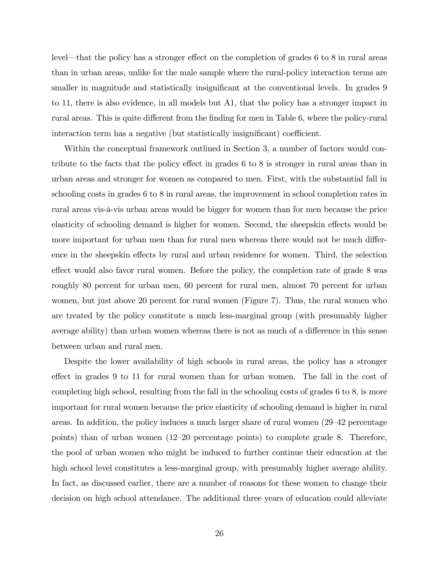level–that the policy has a stronger effect on the completion of grades 6 to 8 in rural areas than in urban areas, unlike for the male sample where the rural-policy interaction terms are smaller in magnitude and statistically insignificant at the conventional levels. In grades 9 to 11, there is also evidence, in all models but A1, that the policy has a stronger impact in rural areas. This is quite different from the finding for men in Table 6, where the policy-rural interaction term has a negative (but statistically insignificant) coefficient.

Within the conceptual framework outlined in Section 3, a number of factors would contribute to the facts that the policy effect in grades 6 to 8 is stronger in rural areas than in urban areas and stronger for women as compared to men. First, with the substantial fall in schooling costs in grades 6 to 8 in rural areas, the improvement in school completion rates in rural areas vis-à-vis urban areas would be bigger for women than for men because the price elasticity of schooling demand is higher for women. Second, the sheepskin effects would be more important for urban men than for rural men whereas there would not be much difference in the sheepskin effects by rural and urban residence for women. Third, the selection effect would also favor rural women. Before the policy, the completion rate of grade 8 was roughly 80 percent for urban men, 60 percent for rural men, almost 70 percent for urban women, but just above 20 percent for rural women (Figure 7). Thus, the rural women who are treated by the policy constitute a much less-marginal group (with presumably higher average ability) than urban women whereas there is not as much of a difference in this sense between urban and rural men.

Despite the lower availability of high schools in rural areas, the policy has a stronger effect in grades 9 to 11 for rural women than for urban women. The fall in the cost of completing high school, resulting from the fall in the schooling costs of grades 6 to 8, is more important for rural women because the price elasticity of schooling demand is higher in rural areas. In addition, the policy induces a much larger share of rural women (29—42 percentage points) than of urban women (12—20 percentage points) to complete grade 8. Therefore, the pool of urban women who might be induced to further continue their education at the high school level constitutes a less-marginal group, with presumably higher average ability. In fact, as discussed earlier, there are a number of reasons for these women to change their decision on high school attendance. The additional three years of education could alleviate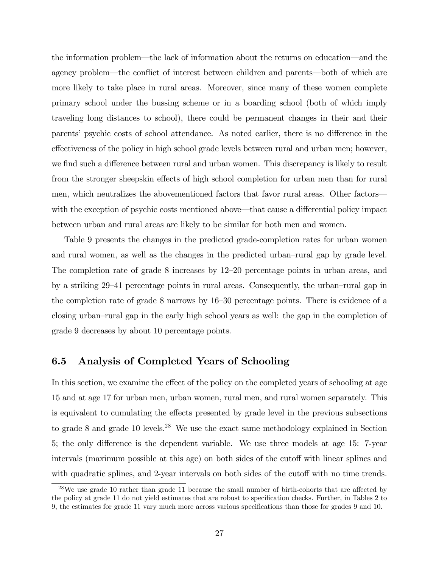the information problem–the lack of information about the returns on education–and the agency problem–the conflict of interest between children and parents–both of which are more likely to take place in rural areas. Moreover, since many of these women complete primary school under the bussing scheme or in a boarding school (both of which imply traveling long distances to school), there could be permanent changes in their and their parents' psychic costs of school attendance. As noted earlier, there is no difference in the effectiveness of the policy in high school grade levels between rural and urban men; however, we find such a difference between rural and urban women. This discrepancy is likely to result from the stronger sheepskin effects of high school completion for urban men than for rural men, which neutralizes the abovementioned factors that favor rural areas. Other factors– with the exception of psychic costs mentioned above–that cause a differential policy impact between urban and rural areas are likely to be similar for both men and women.

Table 9 presents the changes in the predicted grade-completion rates for urban women and rural women, as well as the changes in the predicted urban—rural gap by grade level. The completion rate of grade 8 increases by 12—20 percentage points in urban areas, and by a striking 29—41 percentage points in rural areas. Consequently, the urban—rural gap in the completion rate of grade 8 narrows by 16—30 percentage points. There is evidence of a closing urban—rural gap in the early high school years as well: the gap in the completion of grade 9 decreases by about 10 percentage points.

#### 6.5 Analysis of Completed Years of Schooling

In this section, we examine the effect of the policy on the completed years of schooling at age 15 and at age 17 for urban men, urban women, rural men, and rural women separately. This is equivalent to cumulating the effects presented by grade level in the previous subsections to grade 8 and grade 10 levels.<sup>28</sup> We use the exact same methodology explained in Section 5; the only difference is the dependent variable. We use three models at age 15: 7-year intervals (maximum possible at this age) on both sides of the cutoff with linear splines and with quadratic splines, and 2-year intervals on both sides of the cutoff with no time trends.

 $^{28}$ We use grade 10 rather than grade 11 because the small number of birth-cohorts that are affected by the policy at grade 11 do not yield estimates that are robust to specification checks. Further, in Tables 2 to 9, the estimates for grade 11 vary much more across various specifications than those for grades 9 and 10.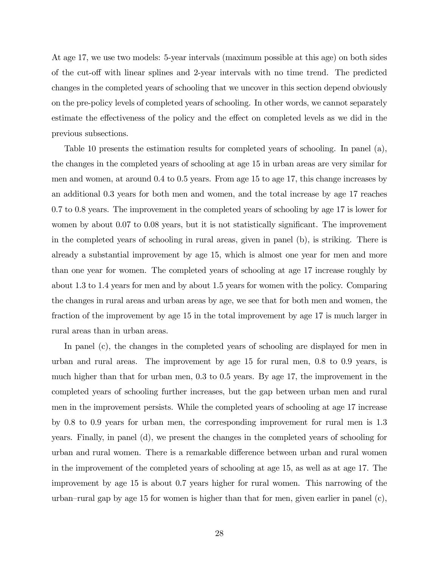At age 17, we use two models: 5-year intervals (maximum possible at this age) on both sides of the cut-off with linear splines and 2-year intervals with no time trend. The predicted changes in the completed years of schooling that we uncover in this section depend obviously on the pre-policy levels of completed years of schooling. In other words, we cannot separately estimate the effectiveness of the policy and the effect on completed levels as we did in the previous subsections.

Table 10 presents the estimation results for completed years of schooling. In panel (a), the changes in the completed years of schooling at age 15 in urban areas are very similar for men and women, at around 0.4 to 0.5 years. From age 15 to age 17, this change increases by an additional 0.3 years for both men and women, and the total increase by age 17 reaches 0.7 to 0.8 years. The improvement in the completed years of schooling by age 17 is lower for women by about 0.07 to 0.08 years, but it is not statistically significant. The improvement in the completed years of schooling in rural areas, given in panel (b), is striking. There is already a substantial improvement by age 15, which is almost one year for men and more than one year for women. The completed years of schooling at age 17 increase roughly by about 1.3 to 1.4 years for men and by about 1.5 years for women with the policy. Comparing the changes in rural areas and urban areas by age, we see that for both men and women, the fraction of the improvement by age 15 in the total improvement by age 17 is much larger in rural areas than in urban areas.

In panel (c), the changes in the completed years of schooling are displayed for men in urban and rural areas. The improvement by age 15 for rural men, 0.8 to 0.9 years, is much higher than that for urban men, 0.3 to 0.5 years. By age 17, the improvement in the completed years of schooling further increases, but the gap between urban men and rural men in the improvement persists. While the completed years of schooling at age 17 increase by 0.8 to 0.9 years for urban men, the corresponding improvement for rural men is 1.3 years. Finally, in panel (d), we present the changes in the completed years of schooling for urban and rural women. There is a remarkable difference between urban and rural women in the improvement of the completed years of schooling at age 15, as well as at age 17. The improvement by age 15 is about 0.7 years higher for rural women. This narrowing of the urban—rural gap by age 15 for women is higher than that for men, given earlier in panel (c),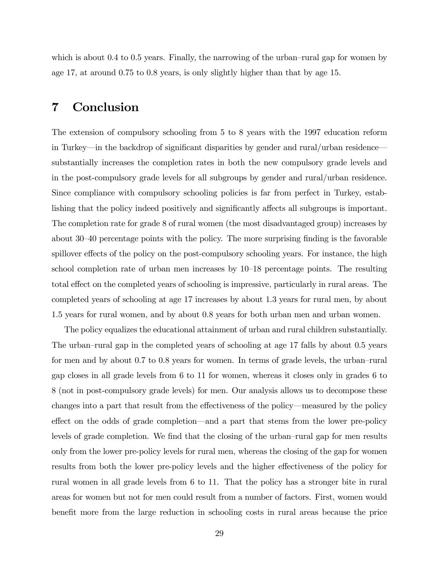which is about 0.4 to 0.5 years. Finally, the narrowing of the urban-rural gap for women by age 17, at around 0.75 to 0.8 years, is only slightly higher than that by age 15.

### 7 Conclusion

The extension of compulsory schooling from 5 to 8 years with the 1997 education reform in Turkey–in the backdrop of significant disparities by gender and rural/urban residence– substantially increases the completion rates in both the new compulsory grade levels and in the post-compulsory grade levels for all subgroups by gender and rural/urban residence. Since compliance with compulsory schooling policies is far from perfect in Turkey, establishing that the policy indeed positively and significantly affects all subgroups is important. The completion rate for grade 8 of rural women (the most disadvantaged group) increases by about 30—40 percentage points with the policy. The more surprising finding is the favorable spillover effects of the policy on the post-compulsory schooling years. For instance, the high school completion rate of urban men increases by 10—18 percentage points. The resulting total effect on the completed years of schooling is impressive, particularly in rural areas. The completed years of schooling at age 17 increases by about 1.3 years for rural men, by about 1.5 years for rural women, and by about 0.8 years for both urban men and urban women.

The policy equalizes the educational attainment of urban and rural children substantially. The urban—rural gap in the completed years of schooling at age 17 falls by about 0.5 years for men and by about 0.7 to 0.8 years for women. In terms of grade levels, the urban—rural gap closes in all grade levels from 6 to 11 for women, whereas it closes only in grades 6 to 8 (not in post-compulsory grade levels) for men. Our analysis allows us to decompose these changes into a part that result from the effectiveness of the policy–measured by the policy effect on the odds of grade completion–and a part that stems from the lower pre-policy levels of grade completion. We find that the closing of the urban—rural gap for men results only from the lower pre-policy levels for rural men, whereas the closing of the gap for women results from both the lower pre-policy levels and the higher effectiveness of the policy for rural women in all grade levels from 6 to 11. That the policy has a stronger bite in rural areas for women but not for men could result from a number of factors. First, women would benefit more from the large reduction in schooling costs in rural areas because the price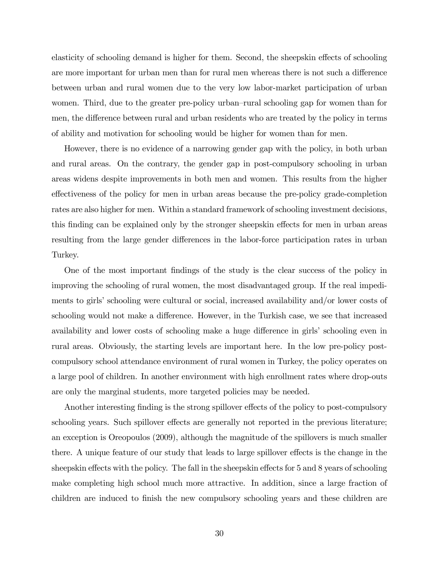elasticity of schooling demand is higher for them. Second, the sheepskin effects of schooling are more important for urban men than for rural men whereas there is not such a difference between urban and rural women due to the very low labor-market participation of urban women. Third, due to the greater pre-policy urban—rural schooling gap for women than for men, the difference between rural and urban residents who are treated by the policy in terms of ability and motivation for schooling would be higher for women than for men.

However, there is no evidence of a narrowing gender gap with the policy, in both urban and rural areas. On the contrary, the gender gap in post-compulsory schooling in urban areas widens despite improvements in both men and women. This results from the higher effectiveness of the policy for men in urban areas because the pre-policy grade-completion rates are also higher for men. Within a standard framework of schooling investment decisions, this finding can be explained only by the stronger sheepskin effects for men in urban areas resulting from the large gender differences in the labor-force participation rates in urban Turkey.

One of the most important findings of the study is the clear success of the policy in improving the schooling of rural women, the most disadvantaged group. If the real impediments to girls' schooling were cultural or social, increased availability and/or lower costs of schooling would not make a difference. However, in the Turkish case, we see that increased availability and lower costs of schooling make a huge difference in girls' schooling even in rural areas. Obviously, the starting levels are important here. In the low pre-policy postcompulsory school attendance environment of rural women in Turkey, the policy operates on a large pool of children. In another environment with high enrollment rates where drop-outs are only the marginal students, more targeted policies may be needed.

Another interesting finding is the strong spillover effects of the policy to post-compulsory schooling years. Such spillover effects are generally not reported in the previous literature; an exception is Oreopoulos (2009), although the magnitude of the spillovers is much smaller there. A unique feature of our study that leads to large spillover effects is the change in the sheepskin effects with the policy. The fall in the sheepskin effects for 5 and 8 years of schooling make completing high school much more attractive. In addition, since a large fraction of children are induced to finish the new compulsory schooling years and these children are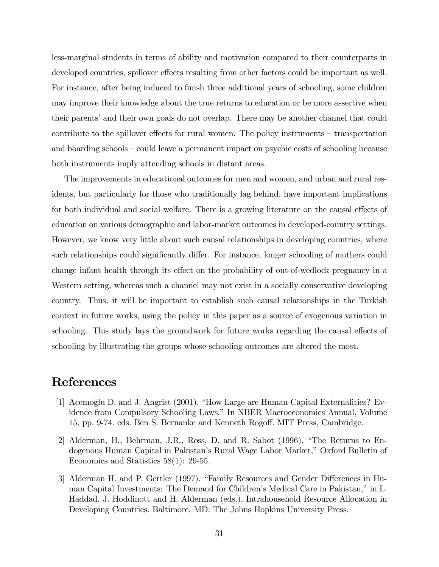less-marginal students in terms of ability and motivation compared to their counterparts in developed countries, spillover effects resulting from other factors could be important as well. For instance, after being induced to finish three additional years of schooling, some children may improve their knowledge about the true returns to education or be more assertive when their parents' and their own goals do not overlap. There may be another channel that could contribute to the spillover effects for rural women. The policy instruments — transportation and boarding schools — could leave a permanent impact on psychic costs of schooling because both instruments imply attending schools in distant areas.

The improvements in educational outcomes for men and women, and urban and rural residents, but particularly for those who traditionally lag behind, have important implications for both individual and social welfare. There is a growing literature on the causal effects of education on various demographic and labor-market outcomes in developed-country settings. However, we know very little about such causal relationships in developing countries, where such relationships could significantly differ. For instance, longer schooling of mothers could change infant health through its effect on the probability of out-of-wedlock pregnancy in a Western setting, whereas such a channel may not exist in a socially conservative developing country. Thus, it will be important to establish such causal relationships in the Turkish context in future works, using the policy in this paper as a source of exogenous variation in schooling. This study lays the groundwork for future works regarding the causal effects of schooling by illustrating the groups whose schooling outcomes are altered the most.

### References

- [1] Acemoğlu D. and J. Angrist (2001). "How Large are Human-Capital Externalities? Evidence from Compulsory Schooling Laws." In NBER Macroeconomics Annual, Volume 15, pp. 9-74. eds. Ben S. Bernanke and Kenneth Rogoff. MIT Press, Cambridge.
- [2] Alderman, H., Behrman, J.R., Ross, D. and R. Sabot (1996). "The Returns to Endogenous Human Capital in Pakistan's Rural Wage Labor Market," Oxford Bulletin of Economics and Statistics 58(1): 29-55.
- [3] Alderman H. and P. Gertler (1997). "Family Resources and Gender Differences in Human Capital Investments: The Demand for Children's Medical Care in Pakistan," in L. Haddad, J. Hoddinott and H. Alderman (eds.), Intrahousehold Resource Allocation in Developing Countries. Baltimore, MD: The Johns Hopkins University Press.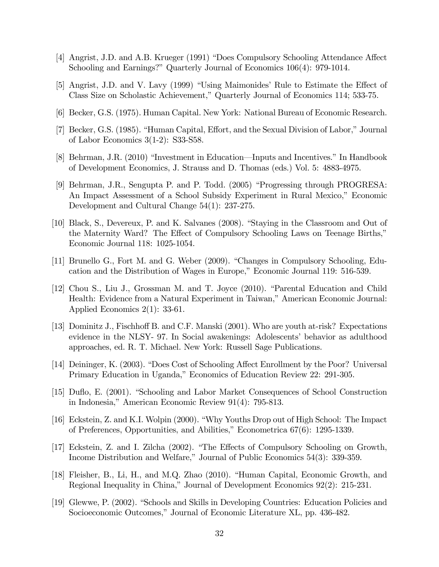- [4] Angrist, J.D. and A.B. Krueger (1991) "Does Compulsory Schooling Attendance Affect Schooling and Earnings?" Quarterly Journal of Economics 106(4): 979-1014.
- [5] Angrist, J.D. and V. Lavy (1999) "Using Maimonides' Rule to Estimate the Effect of Class Size on Scholastic Achievement," Quarterly Journal of Economics 114; 533-75.
- [6] Becker, G.S. (1975). Human Capital. New York: National Bureau of Economic Research.
- [7] Becker, G.S. (1985). "Human Capital, Effort, and the Sexual Division of Labor," Journal of Labor Economics 3(1-2): S33-S58.
- [8] Behrman, J.R. (2010) "Investment in Education–Inputs and Incentives." In Handbook of Development Economics, J. Strauss and D. Thomas (eds.) Vol. 5: 4883-4975.
- [9] Behrman, J.R., Sengupta P. and P. Todd. (2005) "Progressing through PROGRESA: An Impact Assessment of a School Subsidy Experiment in Rural Mexico," Economic Development and Cultural Change 54(1): 237-275.
- [10] Black, S., Devereux, P. and K. Salvanes (2008). "Staying in the Classroom and Out of the Maternity Ward? The Effect of Compulsory Schooling Laws on Teenage Births," Economic Journal 118: 1025-1054.
- [11] Brunello G., Fort M. and G. Weber (2009). "Changes in Compulsory Schooling, Education and the Distribution of Wages in Europe," Economic Journal 119: 516-539.
- [12] Chou S., Liu J., Grossman M. and T. Joyce (2010). "Parental Education and Child Health: Evidence from a Natural Experiment in Taiwan," American Economic Journal: Applied Economics 2(1): 33-61.
- [13] Dominitz J., Fischhoff B. and C.F. Manski (2001). Who are youth at-risk? Expectations evidence in the NLSY- 97. In Social awakenings: Adolescents' behavior as adulthood approaches, ed. R. T. Michael. New York: Russell Sage Publications.
- [14] Deininger, K. (2003). "Does Cost of Schooling Affect Enrollment by the Poor? Universal Primary Education in Uganda," Economics of Education Review 22: 291-305.
- [15] Duflo, E. (2001). "Schooling and Labor Market Consequences of School Construction in Indonesia," American Economic Review 91(4): 795-813.
- [16] Eckstein, Z. and K.I. Wolpin (2000). "Why Youths Drop out of High School: The Impact of Preferences, Opportunities, and Abilities," Econometrica 67(6): 1295-1339.
- [17] Eckstein, Z. and I. Zilcha (2002). "The Effects of Compulsory Schooling on Growth, Income Distribution and Welfare," Journal of Public Economics 54(3): 339-359.
- [18] Fleisher, B., Li, H., and M.Q. Zhao (2010). "Human Capital, Economic Growth, and Regional Inequality in China," Journal of Development Economics 92(2): 215-231.
- [19] Glewwe, P. (2002). "Schools and Skills in Developing Countries: Education Policies and Socioeconomic Outcomes," Journal of Economic Literature XL, pp. 436-482.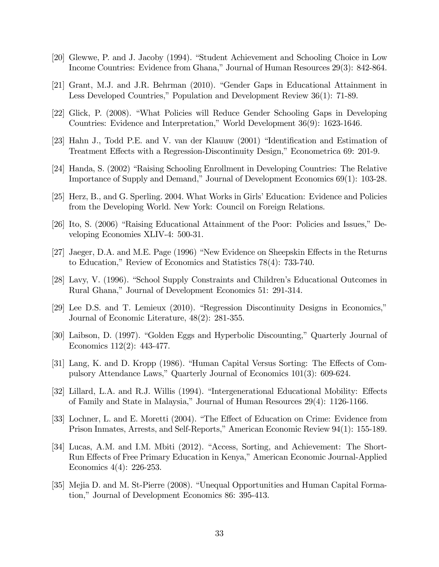- [20] Glewwe, P. and J. Jacoby (1994). "Student Achievement and Schooling Choice in Low Income Countries: Evidence from Ghana," Journal of Human Resources 29(3): 842-864.
- [21] Grant, M.J. and J.R. Behrman (2010). "Gender Gaps in Educational Attainment in Less Developed Countries," Population and Development Review 36(1): 71-89.
- [22] Glick, P. (2008). "What Policies will Reduce Gender Schooling Gaps in Developing Countries: Evidence and Interpretation," World Development 36(9): 1623-1646.
- [23] Hahn J., Todd P.E. and V. van der Klauuw (2001) "Identification and Estimation of Treatment Effects with a Regression-Discontinuity Design," Econometrica 69: 201-9.
- [24] Handa, S. (2002) "Raising Schooling Enrollment in Developing Countries: The Relative Importance of Supply and Demand," Journal of Development Economics 69(1): 103-28.
- [25] Herz, B., and G. Sperling. 2004. What Works in Girls' Education: Evidence and Policies from the Developing World. New York: Council on Foreign Relations.
- [26] Ito, S. (2006) "Raising Educational Attainment of the Poor: Policies and Issues," Developing Economies XLIV-4: 500-31.
- [27] Jaeger, D.A. and M.E. Page (1996) "New Evidence on Sheepskin Effects in the Returns to Education," Review of Economics and Statistics 78(4): 733-740.
- [28] Lavy, V. (1996). "School Supply Constraints and Children's Educational Outcomes in Rural Ghana," Journal of Development Economics 51: 291-314.
- [29] Lee D.S. and T. Lemieux (2010). "Regression Discontinuity Designs in Economics," Journal of Economic Literature, 48(2): 281-355.
- [30] Laibson, D. (1997). "Golden Eggs and Hyperbolic Discounting," Quarterly Journal of Economics 112(2): 443-477.
- [31] Lang, K. and D. Kropp (1986). "Human Capital Versus Sorting: The Effects of Compulsory Attendance Laws," Quarterly Journal of Economics 101(3): 609-624.
- [32] Lillard, L.A. and R.J. Willis (1994). "Intergenerational Educational Mobility: Effects of Family and State in Malaysia," Journal of Human Resources 29(4): 1126-1166.
- [33] Lochner, L. and E. Moretti (2004). "The Effect of Education on Crime: Evidence from Prison Inmates, Arrests, and Self-Reports," American Economic Review 94(1): 155-189.
- [34] Lucas, A.M. and I.M. Mbiti (2012). "Access, Sorting, and Achievement: The Short-Run Effects of Free Primary Education in Kenya," American Economic Journal-Applied Economics 4(4): 226-253.
- [35] Mejia D. and M. St-Pierre (2008). "Unequal Opportunities and Human Capital Formation," Journal of Development Economics 86: 395-413.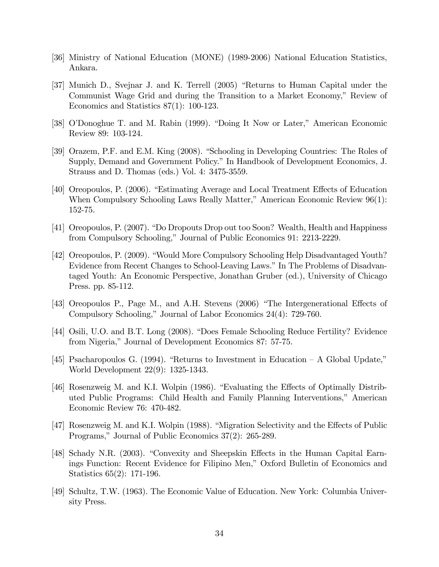- [36] Ministry of National Education (MONE) (1989-2006) National Education Statistics, Ankara.
- [37] Munich D., Svejnar J. and K. Terrell (2005) "Returns to Human Capital under the Communist Wage Grid and during the Transition to a Market Economy," Review of Economics and Statistics 87(1): 100-123.
- [38] O'Donoghue T. and M. Rabin (1999). "Doing It Now or Later," American Economic Review 89: 103-124.
- [39] Orazem, P.F. and E.M. King (2008). "Schooling in Developing Countries: The Roles of Supply, Demand and Government Policy." In Handbook of Development Economics, J. Strauss and D. Thomas (eds.) Vol. 4: 3475-3559.
- [40] Oreopoulos, P. (2006). "Estimating Average and Local Treatment Effects of Education When Compulsory Schooling Laws Really Matter," American Economic Review 96(1): 152-75.
- [41] Oreopoulos, P. (2007). "Do Dropouts Drop out too Soon? Wealth, Health and Happiness from Compulsory Schooling," Journal of Public Economics 91: 2213-2229.
- [42] Oreopoulos, P. (2009). "Would More Compulsory Schooling Help Disadvantaged Youth? Evidence from Recent Changes to School-Leaving Laws." In The Problems of Disadvantaged Youth: An Economic Perspective, Jonathan Gruber (ed.), University of Chicago Press. pp. 85-112.
- [43] Oreopoulos P., Page M., and A.H. Stevens (2006) "The Intergenerational Effects of Compulsory Schooling," Journal of Labor Economics 24(4): 729-760.
- [44] Osili, U.O. and B.T. Long (2008). "Does Female Schooling Reduce Fertility? Evidence from Nigeria," Journal of Development Economics 87: 57-75.
- [45] Psacharopoulos G. (1994). "Returns to Investment in Education A Global Update," World Development 22(9): 1325-1343.
- [46] Rosenzweig M. and K.I. Wolpin (1986). "Evaluating the Effects of Optimally Distributed Public Programs: Child Health and Family Planning Interventions," American Economic Review 76: 470-482.
- [47] Rosenzweig M. and K.I. Wolpin (1988). "Migration Selectivity and the Effects of Public Programs," Journal of Public Economics 37(2): 265-289.
- [48] Schady N.R. (2003). "Convexity and Sheepskin Effects in the Human Capital Earnings Function: Recent Evidence for Filipino Men," Oxford Bulletin of Economics and Statistics 65(2): 171-196.
- [49] Schultz, T.W. (1963). The Economic Value of Education. New York: Columbia University Press.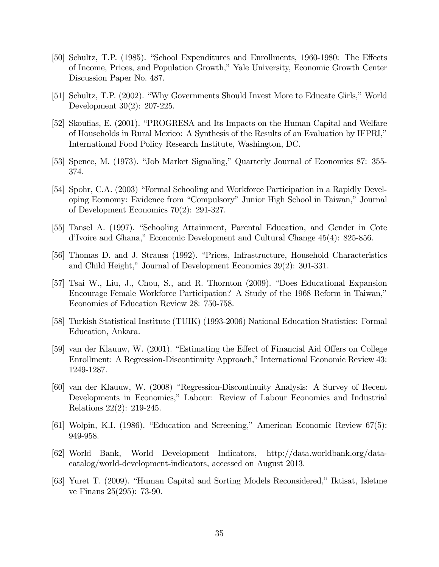- [50] Schultz, T.P. (1985). "School Expenditures and Enrollments, 1960-1980: The Effects of Income, Prices, and Population Growth," Yale University, Economic Growth Center Discussion Paper No. 487.
- [51] Schultz, T.P. (2002). "Why Governments Should Invest More to Educate Girls," World Development 30(2): 207-225.
- [52] Skoufias, E. (2001). "PROGRESA and Its Impacts on the Human Capital and Welfare of Households in Rural Mexico: A Synthesis of the Results of an Evaluation by IFPRI," International Food Policy Research Institute, Washington, DC.
- [53] Spence, M. (1973). "Job Market Signaling," Quarterly Journal of Economics 87: 355- 374.
- [54] Spohr, C.A. (2003) "Formal Schooling and Workforce Participation in a Rapidly Developing Economy: Evidence from "Compulsory" Junior High School in Taiwan," Journal of Development Economics 70(2): 291-327.
- [55] Tansel A. (1997). "Schooling Attainment, Parental Education, and Gender in Cote d'Ivoire and Ghana," Economic Development and Cultural Change 45(4): 825-856.
- [56] Thomas D. and J. Strauss (1992). "Prices, Infrastructure, Household Characteristics and Child Height," Journal of Development Economics 39(2): 301-331.
- [57] Tsai W., Liu, J., Chou, S., and R. Thornton (2009). "Does Educational Expansion Encourage Female Workforce Participation? A Study of the 1968 Reform in Taiwan," Economics of Education Review 28: 750-758.
- [58] Turkish Statistical Institute (TUIK) (1993-2006) National Education Statistics: Formal Education, Ankara.
- [59] van der Klauuw, W. (2001). "Estimating the Effect of Financial Aid Offers on College Enrollment: A Regression-Discontinuity Approach," International Economic Review 43: 1249-1287.
- [60] van der Klauuw, W. (2008) "Regression-Discontinuity Analysis: A Survey of Recent Developments in Economics," Labour: Review of Labour Economics and Industrial Relations 22(2): 219-245.
- [61] Wolpin, K.I. (1986). "Education and Screening," American Economic Review 67(5): 949-958.
- [62] World Bank, World Development Indicators, http://data.worldbank.org/datacatalog/world-development-indicators, accessed on August 2013.
- [63] Yuret T. (2009). "Human Capital and Sorting Models Reconsidered," Iktisat, Isletme ve Finans 25(295): 73-90.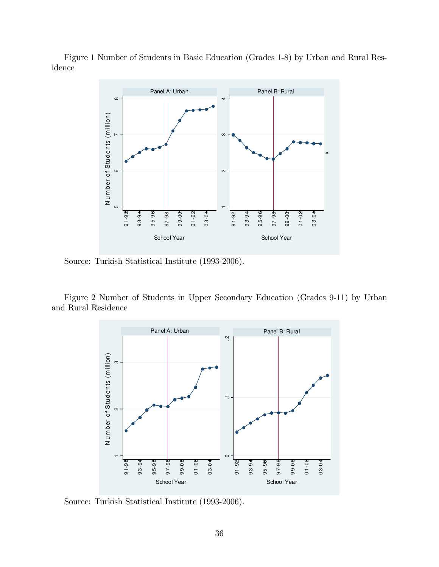Figure 1 Number of Students in Basic Education (Grades 1-8) by Urban and Rural Residence



Source: Turkish Statistical Institute (1993-2006).

Figure 2 Number of Students in Upper Secondary Education (Grades 9-11) by Urban and Rural Residence



Source: Turkish Statistical Institute (1993-2006).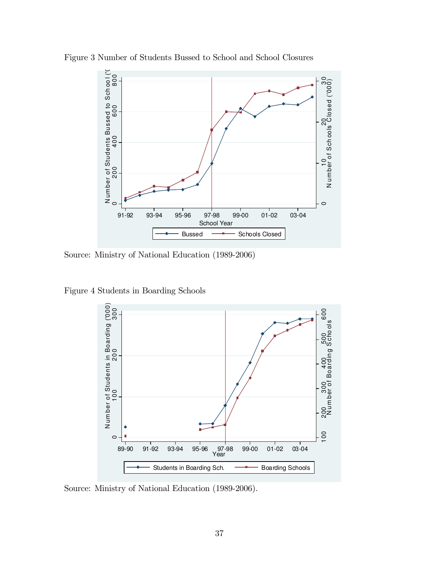

Figure 3 Number of Students Bussed to School and School Closures

Source: Ministry of National Education (1989-2006)

Figure 4 Students in Boarding Schools



Source: Ministry of National Education (1989-2006).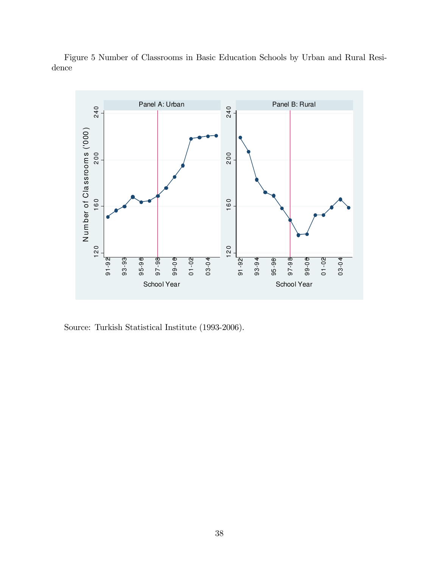

Figure 5 Number of Classrooms in Basic Education Schools by Urban and Rural Residence

Source: Turkish Statistical Institute (1993-2006).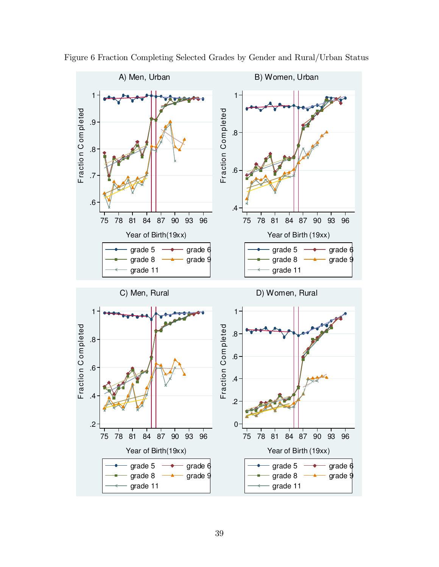

Figure 6 Fraction Completing Selected Grades by Gender and Rural/Urban Status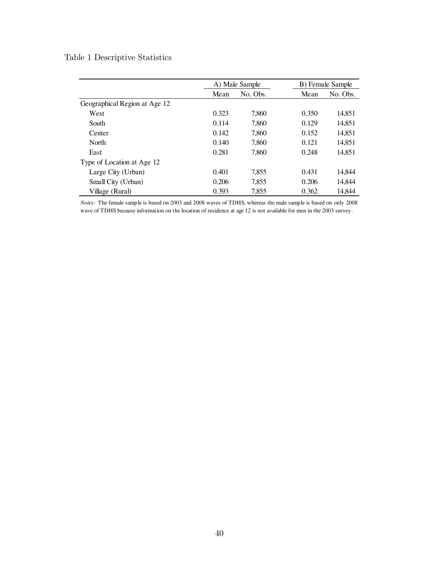#### Table 1 Descriptive Statistics

|                               |       | A) Male Sample |       | B) Female Sample |
|-------------------------------|-------|----------------|-------|------------------|
|                               | Mean  | No. Obs.       | Mean  | No. Obs.         |
| Geographical Region at Age 12 |       |                |       |                  |
| West                          | 0.323 | 7.860          | 0.350 | 14.851           |
| South                         | 0.114 | 7,860          | 0.129 | 14,851           |
| Center                        | 0.142 | 7,860          | 0.152 | 14,851           |
| North                         | 0.140 | 7,860          | 0.121 | 14,851           |
| East                          | 0.281 | 7.860          | 0.248 | 14.851           |
| Type of Location at Age 12    |       |                |       |                  |
| Large City (Urban)            | 0.401 | 7,855          | 0.431 | 14,844           |
| Small City (Urban)            | 0.206 | 7,855          | 0.206 | 14.844           |
| Village (Rural)               | 0.393 | 7.855          | 0.362 | 14.844           |

*Notes:* The female sample is based on 2003 and 2008 waves of TDHS, whereas the male sample is based on only 2008 wave of TDHS because information on the location of residence at age 12 is not available for men in the 2003 survey.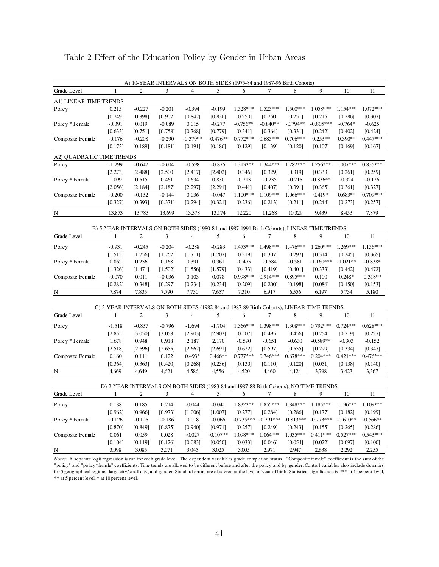|                           |                                                                                             |                  |                  | A) 10-YEAR INTERVALS ON BOTH SIDES (1975-84 and 1987-96 Birth Cohorts) |                      |                       |                       |                       |                       |                       |                       |
|---------------------------|---------------------------------------------------------------------------------------------|------------------|------------------|------------------------------------------------------------------------|----------------------|-----------------------|-----------------------|-----------------------|-----------------------|-----------------------|-----------------------|
| Grade Level               | $\mathbf{1}$                                                                                | 2                | 3                | 4                                                                      | 5                    | 6                     | 7                     | 8                     | 9                     | 10                    | 11                    |
| A1) LINEAR TIME TRENDS    |                                                                                             |                  |                  |                                                                        |                      |                       |                       |                       |                       |                       |                       |
| Policy                    | 0.215                                                                                       | $-0.227$         | $-0.201$         | $-0.394$                                                               | $-0.199$             | $1.528***$            | $1.525***$            | $1.500***$            | 1.058***              | 1.154***              | 1.072***              |
|                           | [0.749]                                                                                     | [0.898]          | [0.907]          | [0.842]                                                                | [0.836]              | [0.250]               | [0.250]               | [0.251]               | [0.215]               | [0.286]               | [0.307]               |
| Policy * Female           | $-0.391$                                                                                    | 0.019            | $-0.089$         | 0.015                                                                  | $-0.277$             | $-0.756**$            | $-0.840**$            | $-0.794**$            | $-0.805***$           | $-0.764*$             | $-0.625$              |
|                           | [0.633]                                                                                     | [0.751]          | [0.758]          | [0.768]                                                                | [0.779]              | [0.341]               | [0.364]               | [0.331]               | [0.242]               | [0.402]               | [0.424]               |
| Composite Female          | $-0.176$                                                                                    | $-0.208$         | $-0.290$         | $-0.379**$                                                             | $-0.476**$           | $0.772***$            | $0.685***$            | $0.706***$            | $0.253**$             | $0.390**$             | $0.447***$            |
|                           | [0.173]                                                                                     | [0.189]          | [0.181]          | [0.191]                                                                | [0.186]              | [0.129]               | [0.139]               | [0.120]               | [0.107]               | [0.169]               | [0.167]               |
| A2) QUADRATIC TIME TRENDS |                                                                                             |                  |                  |                                                                        |                      |                       |                       |                       |                       |                       |                       |
| Policy                    | $-1.299$                                                                                    | $-0.647$         | $-0.604$         | $-0.598$                                                               | $-0.876$             | $1.313***$            | 1.344***              | $1.282***$            | $1.256***$            | $1.007***$            | $0.835***$            |
|                           | [2.273]                                                                                     | [2.488]          | [2.500]          | [2.417]                                                                | [2.402]              | [0.346]               | [0.329]               | [0.319]               | [0.333]               | [0.261]               | [0.259]               |
| Policy * Female           | 1.099                                                                                       | 0.515            | 0.461            | 0.634                                                                  | 0.830                | $-0.213$              | $-0.235$              | $-0.216$              | $-0.836**$            | $-0.324$              | $-0.126$              |
|                           | [2.056]                                                                                     | [2.184]          | [2.187]          | [2.297]                                                                | [2.291]              | [0.441]               | [0.407]               | [0.391]               | [0.365]               | [0.361]               | [0.327]               |
| Composite Female          | $-0.200$                                                                                    | $-0.132$         | $-0.144$         | 0.036                                                                  | $-0.047$             | $1.100***$            | 1.109***              | 1.066***              | $0.419*$              | $0.683**$             | $0.709***$            |
|                           | [0.327]                                                                                     | [0.393]          | [0.371]          | [0.294]                                                                | [0.321]              | [0.236]               | [0.213]               | [0.211]               | [0.244]               | [0.273]               | [0.257]               |
| N                         | 13,873                                                                                      | 13,783           | 13,699           | 13,578                                                                 | 13,174               | 12,220                | 11,268                | 10,329                | 9,439                 | 8,453                 | 7,879                 |
|                           |                                                                                             |                  |                  |                                                                        |                      |                       |                       |                       |                       |                       |                       |
|                           | B) 5-YEAR INTERVALS ON BOTH SIDES (1980-84 and 1987-1991 Birth Cohorts), LINEAR TIME TRENDS |                  |                  |                                                                        |                      |                       |                       |                       |                       |                       |                       |
| Grade Level               | 1                                                                                           | 2                | 3                | 4                                                                      | 5                    | 6                     | 7                     | 8                     | 9                     | $10\,$                | 11                    |
| Policy                    | $-0.931$                                                                                    | $-0.245$         | $-0.204$         | $-0.288$                                                               | $-0.283$             | 1.473***              | 1.498***              | 1.476***              | 1.260***              | 1.269***              | 1.156***              |
|                           | [1.515]                                                                                     | [1.756]          | [1.767]          | [1.711]                                                                | [1.707]              | [0.319]               | [0.307]               | [0.297]               | [0.314]               | [0.345]               | [0.365]               |
| Policy * Female           | 0.862                                                                                       | 0.256            | 0.168            | 0.391                                                                  | 0.361                | $-0.475$              | $-0.584$              | $-0.581$              | -1.160***             | $-1.021**$            | $-0.838*$             |
|                           | [1.326]                                                                                     | [1.471]          | [1.502]          | [1.556]                                                                | [1.579]              | [0.433]               | [0.419]               | [0.401]               | [0.333]               | [0.442]               | $[0.472]$             |
| Composite Female          | $-0.070$                                                                                    | 0.011            | $-0.036$         | 0.103                                                                  | 0.078                | 0.998***              | $0.914***$            | $0.895***$            | 0.100                 | $0.248*$              | $0.318**$             |
|                           | [0.282]                                                                                     | [0.348]          | [0.297]          | [0.234]                                                                | [0.234]              | [0.209]               | [0.200]               | [0.198]               | [0.086]               | [0.150]               | [0.153]               |
| N                         | 7,874                                                                                       | 7,835            | 7,790            | 7,730                                                                  | 7,657                | 7,310                 | 6,917                 | 6,556                 | 6,197                 | 5,734                 | 5,180                 |
|                           | C) 3-YEAR INTERVALS ON BOTH SIDES (1982-84 and 1987-89 Birth Cohorts), LINEAR TIME TRENDS   |                  |                  |                                                                        |                      |                       |                       |                       |                       |                       |                       |
| Grade Level               | 1                                                                                           | $\overline{c}$   | 3                | $\overline{4}$                                                         | 5                    | 6                     | 7                     | 8                     | 9                     | $10\,$                | 11                    |
|                           |                                                                                             |                  |                  |                                                                        |                      |                       |                       |                       |                       |                       |                       |
| Policy                    | $-1.518$                                                                                    | $-0.837$         | $-0.796$         | $-1.694$                                                               | $-1.704$             | 1.366***              | 1.398***              | 1.308***              | $0.792***$            | $0.724***$            | $0.628***$            |
|                           | [2.855]                                                                                     | [3.050]          | [3.058]          | [2.903]                                                                | [2.902]              | [0.507]               | [0.495]               | [0.456]               | [0.254]               | [0.219]               | [0.227]               |
| Policy * Female           | 1.678                                                                                       | 0.948            | 0.918            | 2.187                                                                  | 2.170                | $-0.590$              | $-0.651$              | $-0.630$              | $-0.589**$            | $-0.303$              | $-0.152$              |
|                           | [2.518]                                                                                     | [2.696]          | [2.655]          | [2.662]<br>$0.493*$                                                    | [2.691]              | [0.622]<br>$0.777***$ | [0.597]<br>$0.746***$ | [0.555]<br>$0.678***$ | [0.299]<br>$0.204***$ | [0.334]<br>$0.421***$ | [0.347]<br>$0.476***$ |
| Composite Female          | 0.160<br>[0.364]                                                                            | 0.111<br>[0.363] | 0.122<br>[0.420] | [0.268]                                                                | $0.466**$<br>[0.236] | [0.130]               | [0.110]               | [0.120]               | [0.051]               | [0.138]               | [0.140]               |
| N                         | 4,669                                                                                       | 4,649            | 4,621            | 4,586                                                                  | 4,556                | 4,520                 | 4,460                 | 4,124                 | 3,798                 | 3,423                 | 3,367                 |
|                           |                                                                                             |                  |                  |                                                                        |                      |                       |                       |                       |                       |                       |                       |
|                           | D) 2-YEAR INTERVALS ON BOTH SIDES (1983-84 and 1987-88 Birth Cohorts), NO TIME TRENDS       |                  |                  |                                                                        |                      |                       |                       |                       |                       |                       |                       |
| Grade Level               | $\mathbf{1}$                                                                                | 2                | 3                | 4                                                                      | 5                    | 6                     | 7                     | 8                     | 9                     | 10                    | 11                    |
| Policy                    | 0.188                                                                                       | 0.185            | 0.214            | $-0.044$                                                               | $-0.041$             | $1.832***$            | 1.855***              | 1.848***              | $1.185***$            | 1.136***              | 1.109***              |
|                           | [0.962]                                                                                     | [0.966]          | [0.973]          | [1.006]                                                                | [1.007]              | [0.277]               | [0.284]               | [0.286]               | [0.177]               | [0.182]               | [0.199]               |
| Policy * Female           | $-0.126$                                                                                    | $-0.126$         | $-0.186$         | 0.018                                                                  | $-0.066$             | $-0.735***$           | $-0.791***$           | $-0.813***$           | $-0.773***$           | $-0.610**$            | $-0.566**$            |
|                           | [0.870]                                                                                     | [0.849]          | [0.875]          | [0.940]                                                                | [0.971]              | [0.257]               | [0.249]               | [0.243]               | [0.155]               | [0.265]               | [0.286]               |
| Composite Female          | 0.061                                                                                       | 0.059            | 0.028            | $-0.027$                                                               | $-0.107**$           | 1.098***              | 1.064***              | 1.035***              | $0.411***$            | $0.527***$            | $0.543***$            |
|                           | [0.104]                                                                                     | [0.119]          | [0.126]          | [0.083]                                                                | [0.050]              | [0.033]               | [0.046]               | [0.054]               | [0.022]               | [0.097]               | [0.100]               |
| $\underline{N}$           | 3,098                                                                                       | 3,085            | 3,071            | 3,045                                                                  | 3,025                | 3,005                 | 2,971                 | 2,947                 | 2,638                 | 2,292                 | 2,255                 |

Table 2 Effect of the Education Policy by Gender in Urban Areas

*Notes:* A separate logit regression is run for each grade level. The dependent variable is grade completion status. "Composite female" coefficient is the sum of the "policy" and "policy\*female" coefficients. Time trends are allowed to be different before and after the policy and by gender. Control variables also include dummies for 5 geographical regions, large city/small city, and gender. Standard errors are clustered at the level of year of birth. Statistical significance is \*\*\* at 1 percent level, \*\* at 5 percent level, \* at 10 percent level.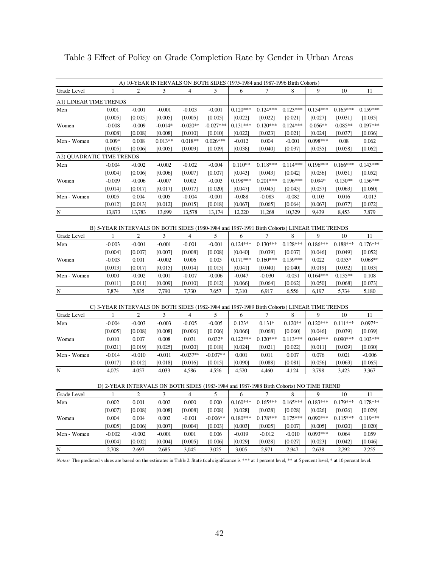|                           |                                                                                                   |                   |                   |                          | A) 10-YEAR INTERVALS ON BOTH SIDES (1975-1984 and 1987-1996 Birth Cohorts) |                       |                       |                       |                       |                       |                       |
|---------------------------|---------------------------------------------------------------------------------------------------|-------------------|-------------------|--------------------------|----------------------------------------------------------------------------|-----------------------|-----------------------|-----------------------|-----------------------|-----------------------|-----------------------|
| Grade Level               | 1                                                                                                 | 2                 | 3                 | $\overline{4}$           | 5                                                                          | 6                     | 7                     | 8                     | 9                     | 10                    | 11                    |
| A1) LINEAR TIME TRENDS    |                                                                                                   |                   |                   |                          |                                                                            |                       |                       |                       |                       |                       |                       |
| Men                       | 0.001                                                                                             | $-0.001$          | $-0.001$          | $-0.003$                 | $-0.001$                                                                   | $0.120***$            | $0.124***$            | $0.123***$            | $0.154***$            | $0.165***$            | $0.159***$            |
|                           | [0.005]                                                                                           | [0.005]           | [0.005]           | [0.005]                  | [0.005]                                                                    | [0.022]               | [0.022]               | [0.021]               | [0.027]               | [0.031]               | [0.035]               |
| Women                     | $-0.008$                                                                                          | $-0.009$          | $-0.014*$         | $-0.020**$               | $-0.027***$                                                                | $0.131***$            | $0.120***$            | $0.124***$            | $0.056**$             | $0.085**$             | $0.097***$            |
|                           | [0.008]                                                                                           | [0.008]           | [0.008]           | [0.010]                  | [0.010]                                                                    | [0.022]               | [0.023]               | [0.021]               | [0.024]               | $[0.037]$             | [0.036]               |
| Men - Women               | $0.009*$                                                                                          | 0.008             | $0.013**$         | $0.018**$                | $0.026***$                                                                 | $-0.012$              | 0.004                 | $-0.001$              | $0.098***$            | 0.08                  | 0.062                 |
|                           | [0.005]                                                                                           | [0.006]           | [0.005]           | [0.009]                  | [0.009]                                                                    | [0.038]               | [0.040]               | [0.037]               | [0.035]               | [0.058]               | [0.062]               |
| A2) QUADRATIC TIME TRENDS |                                                                                                   |                   |                   |                          |                                                                            |                       |                       |                       |                       |                       |                       |
| Men                       | $-0.004$                                                                                          | $-0.002$          | $-0.002$          | $-0.002$                 | $-0.004$                                                                   | $0.110**$             | $0.118***$            | $0.114***$            | $0.196***$            | $0.166***$            | $0.143***$            |
|                           | [0.004]                                                                                           | [0.006]           | [0.006]           | [0.007]                  | [0.007]                                                                    | [0.043]               | [0.043]               | [0.042]               | [0.056]               | [0.051]               | [0.052]               |
| Women                     | $-0.009$                                                                                          | $-0.006$          | $-0.007$          | 0.002                    | $-0.003$                                                                   | $0.198***$            | $0.201***$            | $0.196***$            | $0.094*$              | $0.150**$             | $0.156***$            |
|                           | [0.014]                                                                                           | [0.017]           | [0.017]           | [0.017]                  | [0.020]                                                                    | [0.047]               | [0.045]               | [0.045]               | [0.057]               | [0.063]               | [0.060]               |
| Men - Women               | 0.005                                                                                             | 0.004             | 0.005             | $-0.004$                 | $-0.001$                                                                   | $-0.088$              | $-0.083$              | $-0.082$              | 0.103                 | 0.016                 | $-0.013$              |
| ${\bf N}$                 | [0.012]<br>13,873                                                                                 | [0.013]<br>13,783 | [0.012]<br>13,699 | [0.015]<br>13,578        | [0.018]<br>13,174                                                          | [0.067]<br>12,220     | [0.065]<br>11,268     | [0.064]<br>10,329     | [0.067]<br>9,439      | $[0.077]$<br>8,453    | [0.072]<br>7,879      |
|                           |                                                                                                   |                   |                   |                          |                                                                            |                       |                       |                       |                       |                       |                       |
|                           | B) 5-YEAR INTERVALS ON BOTH SIDES (1980-1984 and 1987-1991 Birth Cohorts) LINEAR TIME TRENDS      |                   |                   |                          |                                                                            |                       |                       |                       |                       |                       |                       |
| Grade Level               | $\mathbf{1}$                                                                                      | $\overline{c}$    | 3                 | $\overline{\mathcal{L}}$ | 5                                                                          | 6                     | 7                     | 8                     | 9                     | 10                    | 11                    |
| Men                       | $-0.003$                                                                                          | $-0.001$          | $-0.001$          | $-0.001$                 | $-0.001$                                                                   | $0.124***$            | $0.130***$            | $0.128***$            | $0.186***$            | $0.188***$            | $0.176***$            |
|                           | [0.004]                                                                                           | [0.007]           | [0.007]           | [0.008]                  | [0.008]                                                                    | [0.040]               | [0.039]               | [0.037]               | [0.046]               | [0.049]               | [0.052]               |
| Women                     | $-0.003$                                                                                          | 0.001             | $-0.002$          | 0.006                    | 0.005                                                                      | $0.171***$            | $0.160***$            | $0.159***$            | 0.022                 | $0.053*$              | $0.068**$             |
|                           | [0.013]                                                                                           | [0.017]           | [0.015]           | [0.014]                  | [0.015]                                                                    | [0.041]               | [0.040]               | [0.040]               | [0.019]               | [0.032]               | [0.033]               |
| Men - Women               | 0.000                                                                                             | $-0.002$          | 0.001             | $-0.007$                 | $-0.006$                                                                   | $-0.047$              | $-0.030$              | $-0.031$              | $0.164***$            | $0.135**$             | 0.108                 |
|                           | [0.011]                                                                                           | [0.011]           | [0.009]           | [0.010]                  | $[0.012]$                                                                  | [0.066]               | [0.064]               | [0.062]               | [0.050]               | [0.068]               | [0.073]               |
| N                         | 7,874                                                                                             | 7,835             | 7,790             | 7,730                    | 7,657                                                                      | 7,310                 | 6,917                 | 6,556                 | 6,197                 | 5,734                 | 5,180                 |
|                           |                                                                                                   |                   |                   |                          |                                                                            |                       |                       |                       |                       |                       |                       |
|                           | C) 3-YEAR INTERVALS ON BOTH SIDES (1982-1984 and 1987-1989 Birth Cohorts) LINEAR TIME TRENDS<br>1 | 2                 | 3                 | 4                        | 5                                                                          |                       |                       | 8                     |                       |                       |                       |
| Grade Level               |                                                                                                   |                   |                   |                          |                                                                            | 6                     | 7                     |                       | 9                     | 10                    | 11                    |
| Men                       | $-0.004$                                                                                          | $-0.003$          | $-0.003$          | $-0.005$                 | $-0.005$                                                                   | $0.123*$              | $0.131*$              | $0.120**$             | $0.120***$            | $0.111***$            | $0.097**$             |
| Women                     | [0.005]<br>0.010                                                                                  | [0.008]<br>0.007  | [0.008]<br>0.008  | [0.006]<br>0.031         | [0.006]<br>$0.032*$                                                        | [0.066]<br>$0.122***$ | [0.068]<br>$0.120***$ | [0.060]<br>$0.113***$ | [0.046]<br>$0.044***$ | [0.039]<br>$0.090***$ | [0.039]<br>$0.103***$ |
|                           | [0.021]                                                                                           | [0.019]           | [0.025]           | [0.020]                  | [0.018]                                                                    | [0.024]               | [0.021]               | [0.022]               | [0.011]               | [0.029]               | [0.030]               |
| Men - Women               | $-0.014$                                                                                          | $-0.010$          | $-0.011$          | $-0.037**$               | $-0.037**$                                                                 | 0.001                 | 0.011                 | 0.007                 | 0.076                 | 0.021                 | $-0.006$              |
|                           | [0.017]                                                                                           | [0.012]           | [0.018]           | [0.016]                  | [0.015]                                                                    | [0.090]               | [0.088]               | [0.081]               | [0.056]               | [0.063]               | [0.065]               |
| N                         | 4,075                                                                                             | 4,057             | 4,033             | 4,586                    | 4,556                                                                      | 4,520                 | 4,460                 | 4,124                 | 3,798                 | 3,423                 | 3,367                 |
|                           |                                                                                                   |                   |                   |                          |                                                                            |                       |                       |                       |                       |                       |                       |
|                           | D) 2-YEAR INTERVALS ON BOTH SIDES (1983-1984 and 1987-1988 Birth Cohorts) NO TIME TREND           |                   |                   |                          |                                                                            |                       |                       |                       |                       |                       |                       |
| Grade Level               | $\mathbf{1}$                                                                                      | $\boldsymbol{2}$  | 3                 | 4                        | 5                                                                          | 6                     | 7                     | 8                     | 9                     | 10                    | 11                    |
| Men                       | 0.002                                                                                             | 0.001             | 0.002             | 0.000                    | 0.000                                                                      | $0.160***$            | $0.165***$            | $0.165***$            | $0.183***$            | $0.179***$            | $0.178***$            |
|                           | [0.007]                                                                                           | [0.008]           | [0.008]           | [0.008]                  | [0.008]                                                                    | [0.028]               | [0.028]               | [0.028]               | [0.026]               | [0.026]               | [0.029]               |
| Women                     | 0.004                                                                                             | 0.004             | 0.002             | $-0.001$                 | $-0.006**$                                                                 | $0.180***$            | $0.178***$            | $0.175***$            | $0.090***$            | $0.115***$            | $0.119***$            |
|                           | [0.005]                                                                                           | [0.006]           | [0.007]           | [0.004]                  | [0.003]                                                                    | [0.003]               | [0.005]               | [0.007]               | [0.005]               | $[0.020]$             | [0.020]               |
| Men - Women               | $-0.002$                                                                                          | $-0.002$          | $-0.001$          | 0.001                    | 0.006                                                                      | $-0.019$              | $-0.012$              | $-0.010$              | $0.093***$            | 0.064                 | 0.059                 |
|                           | [0.004]                                                                                           | [0.002]           | [0.004]           | [0.005]                  | [0.006]                                                                    | [0.029]               | [0.028]               | [0.027]               | [0.023]               | [0.042]               | [0.046]               |
| ${\bf N}$                 | 2,708                                                                                             | 2,697             | 2,685             | 3,045                    | 3,025                                                                      | 3,005                 | 2,971                 | 2,947                 | 2,638                 | 2,292                 | 2,255                 |

Table 3 Effect of Policy on Grade Completion Rate by Gender in Urban Areas

*Notes:* The predicted values are based on the estimates in Table 2. Statistical significance is \*\*\* at 1 percent level, \*\* at 5 percent level, \* at 10 percent level.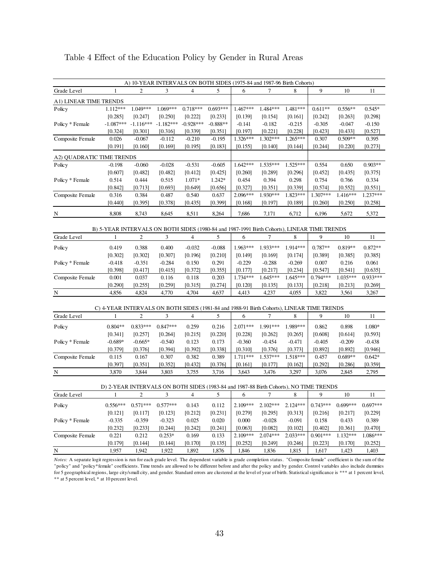| A) 10-YEAR INTERVALS ON BOTH SIDES (1975-84 and 1987-96 Birth Cohorts)<br>9<br>$\overline{4}$<br>5<br>7<br>Grade Level<br>2<br>3<br>6<br>8<br>10<br>11<br>1<br>A1) LINEAR TIME TRENDS<br>1.049***<br>1.069***<br>$0.718***$<br>$0.693***$<br>1.484***<br>1.481***<br>$0.545*$<br>1.112***<br>$1.467***$<br>$0.611**$<br>$0.556**$<br>Policy<br>[0.222]<br>[0.298]<br>[0.285]<br>[0.247]<br>[0.250]<br>[0.233]<br>[0.139]<br>[0.154]<br>[0.161]<br>[0.242]<br>[0.263]<br>$-1.087***$<br>$-1.116***$<br>$-1.182***$<br>$-0.928***$<br>$-0.888**$<br>$-0.150$<br>Policy * Female<br>$-0.141$<br>$-0.182$<br>$-0.215$<br>$-0.305$<br>$-0.047$<br>[0.324]<br>[0.301]<br>[0.316]<br>[0.339]<br>[0.197]<br>[0.221]<br>[0.228]<br>[0.423]<br>[0.433]<br>[0.527]<br>[0.351]<br>0.026<br>1.326***<br>$1.302***$<br>1.265***<br>$0.509**$<br>0.395<br>Composite Female<br>$-0.067$<br>$-0.112$<br>$-0.210$<br>$-0.195$<br>0.307<br>[0.191]<br>[0.195]<br>[0.244]<br>[0.273]<br>[0.160]<br>[0.169]<br>[0.183]<br>[0.155]<br>[0.140]<br>[0.144]<br>[0.220]<br>A2) QUADRATIC TIME TRENDS<br>$-0.060$<br>$0.903**$<br>$-0.028$<br>$-0.531$<br>$-0.605$<br>$1.642***$<br>1.535***<br>1.525***<br>0.554<br>0.650<br>$-0.198$<br>Policy<br>[0.607]<br>[0.482]<br>[0.482]<br>[0.412]<br>[0.425]<br>[0.260]<br>[0.296]<br>[0.452]<br>[0.375]<br>[0.289]<br>[0.435]<br>1.071*<br>0.394<br>0.334<br>Policy * Female<br>0.514<br>0.444<br>0.515<br>1.242*<br>0.454<br>0.298<br>0.754<br>0.766<br>[0.842]<br>[0.693]<br>[0.327]<br>[0.351]<br>[0.339]<br>[0.574]<br>[0.552]<br>[0.551]<br>[0.713]<br>[0.649]<br>[0.656]<br>1.237***<br>0.540<br>2.096***<br>1.930***<br>1.823***<br>1.307***<br>1.416***<br>Composite Female<br>0.316<br>0.384<br>0.487<br>0.637<br>[0.440]<br>[0.395]<br>[0.378]<br>[0.435]<br>[0.399]<br>[0.168]<br>[0.197]<br>[0.189]<br>$[0.260]$<br>[0.250]<br>[0.258]<br>8,511<br>8,808<br>8,743<br>8,645<br>8,264<br>7,686<br>7,171<br>6,712<br>6,196<br>5,672<br>5,372<br>N<br>B) 5-YEAR INTERVALS ON BOTH SIDES (1980-84 and 1987-1991 Birth Cohorts), LINEAR TIME TRENDS<br>3<br>$\overline{4}$<br>5<br>$\tau$<br>9<br>$\overline{c}$<br>6<br>8<br>$10\,$<br>11<br>Grade Level<br>1<br>1.963***<br>1.933***<br>1.914***<br>$0.819**$<br>0.419<br>0.388<br>0.400<br>$-0.032$<br>$-0.088$<br>$0.787**$<br>$0.872**$<br>Policy<br>[0.302]<br>[0.302]<br>[0.196]<br>[0.210]<br>[0.307]<br>[0.149]<br>[0.169]<br>[0.174]<br>[0.389]<br>[0.385]<br>[0.385]<br>$-0.351$<br>$-0.284$<br>0.291<br>$-0.229$<br>$-0.288$<br>$-0.269$<br>0.007<br>0.216<br>0.061<br>Policy * Female<br>$-0.418$<br>0.150<br>[0.398]<br>[0.635]<br>[0.417]<br>[0.415]<br>[0.372]<br>[0.355]<br>[0.177]<br>[0.217]<br>[0.234]<br>[0.547]<br>[0.541]<br>Composite Female<br>0.001<br>1.734***<br>1.645***<br>1.035***<br>$0.933***$<br>0.037<br>0.116<br>0.118<br>0.203<br>$1.645***$<br>$0.794***$<br>[0.290]<br>[0.255]<br>[0.259]<br>[0.315]<br>[0.274]<br>[0.120]<br>[0.218]<br>[0.269]<br>[0.135]<br>[0.133]<br>[0.213]<br>N<br>4,856<br>4,824<br>4,770<br>4,704<br>4,637<br>4,413<br>4,237<br>3,822<br>3,267<br>4,055<br>3,561<br>C) 4-YEAR INTERVALS ON BOTH SIDES (1981-84 and 1988-91 Birth Cohorts), LINEAR TIME TRENDS<br>$\mathbf{2}$<br>3<br>$\overline{4}$<br>5<br>6<br>9<br>$10\,$<br>11<br>7<br>8<br>Grade Level<br>1<br>$0.833***$<br>0.259<br>$0.804**$<br>$0.847***$<br>0.216<br>$2.071***$<br>1.991***<br>1.989***<br>0.862<br>0.898<br>1.080*<br>Policy |
|-------------------------------------------------------------------------------------------------------------------------------------------------------------------------------------------------------------------------------------------------------------------------------------------------------------------------------------------------------------------------------------------------------------------------------------------------------------------------------------------------------------------------------------------------------------------------------------------------------------------------------------------------------------------------------------------------------------------------------------------------------------------------------------------------------------------------------------------------------------------------------------------------------------------------------------------------------------------------------------------------------------------------------------------------------------------------------------------------------------------------------------------------------------------------------------------------------------------------------------------------------------------------------------------------------------------------------------------------------------------------------------------------------------------------------------------------------------------------------------------------------------------------------------------------------------------------------------------------------------------------------------------------------------------------------------------------------------------------------------------------------------------------------------------------------------------------------------------------------------------------------------------------------------------------------------------------------------------------------------------------------------------------------------------------------------------------------------------------------------------------------------------------------------------------------------------------------------------------------------------------------------------------------------------------------------------------------------------------------------------------------------------------------------------------------------------------------------------------------------------------------------------------------------------------------------------------------------------------------------------------------------------------------------------------------------------------------------------------------------------------------------------------------------------------------------------------------------------------------------------------------------------------------------------------------------------------------------------------------------------------------------------------------------------------------------------------------------------------------------------------------------------------------------------------------------------------------------------------------------------------------------------------------------------------------------------------------------------------------------------------------------------------------------------------------------------------|
|                                                                                                                                                                                                                                                                                                                                                                                                                                                                                                                                                                                                                                                                                                                                                                                                                                                                                                                                                                                                                                                                                                                                                                                                                                                                                                                                                                                                                                                                                                                                                                                                                                                                                                                                                                                                                                                                                                                                                                                                                                                                                                                                                                                                                                                                                                                                                                                                                                                                                                                                                                                                                                                                                                                                                                                                                                                                                                                                                                                                                                                                                                                                                                                                                                                                                                                                                                                                                                                 |
|                                                                                                                                                                                                                                                                                                                                                                                                                                                                                                                                                                                                                                                                                                                                                                                                                                                                                                                                                                                                                                                                                                                                                                                                                                                                                                                                                                                                                                                                                                                                                                                                                                                                                                                                                                                                                                                                                                                                                                                                                                                                                                                                                                                                                                                                                                                                                                                                                                                                                                                                                                                                                                                                                                                                                                                                                                                                                                                                                                                                                                                                                                                                                                                                                                                                                                                                                                                                                                                 |
|                                                                                                                                                                                                                                                                                                                                                                                                                                                                                                                                                                                                                                                                                                                                                                                                                                                                                                                                                                                                                                                                                                                                                                                                                                                                                                                                                                                                                                                                                                                                                                                                                                                                                                                                                                                                                                                                                                                                                                                                                                                                                                                                                                                                                                                                                                                                                                                                                                                                                                                                                                                                                                                                                                                                                                                                                                                                                                                                                                                                                                                                                                                                                                                                                                                                                                                                                                                                                                                 |
|                                                                                                                                                                                                                                                                                                                                                                                                                                                                                                                                                                                                                                                                                                                                                                                                                                                                                                                                                                                                                                                                                                                                                                                                                                                                                                                                                                                                                                                                                                                                                                                                                                                                                                                                                                                                                                                                                                                                                                                                                                                                                                                                                                                                                                                                                                                                                                                                                                                                                                                                                                                                                                                                                                                                                                                                                                                                                                                                                                                                                                                                                                                                                                                                                                                                                                                                                                                                                                                 |
|                                                                                                                                                                                                                                                                                                                                                                                                                                                                                                                                                                                                                                                                                                                                                                                                                                                                                                                                                                                                                                                                                                                                                                                                                                                                                                                                                                                                                                                                                                                                                                                                                                                                                                                                                                                                                                                                                                                                                                                                                                                                                                                                                                                                                                                                                                                                                                                                                                                                                                                                                                                                                                                                                                                                                                                                                                                                                                                                                                                                                                                                                                                                                                                                                                                                                                                                                                                                                                                 |
|                                                                                                                                                                                                                                                                                                                                                                                                                                                                                                                                                                                                                                                                                                                                                                                                                                                                                                                                                                                                                                                                                                                                                                                                                                                                                                                                                                                                                                                                                                                                                                                                                                                                                                                                                                                                                                                                                                                                                                                                                                                                                                                                                                                                                                                                                                                                                                                                                                                                                                                                                                                                                                                                                                                                                                                                                                                                                                                                                                                                                                                                                                                                                                                                                                                                                                                                                                                                                                                 |
|                                                                                                                                                                                                                                                                                                                                                                                                                                                                                                                                                                                                                                                                                                                                                                                                                                                                                                                                                                                                                                                                                                                                                                                                                                                                                                                                                                                                                                                                                                                                                                                                                                                                                                                                                                                                                                                                                                                                                                                                                                                                                                                                                                                                                                                                                                                                                                                                                                                                                                                                                                                                                                                                                                                                                                                                                                                                                                                                                                                                                                                                                                                                                                                                                                                                                                                                                                                                                                                 |
|                                                                                                                                                                                                                                                                                                                                                                                                                                                                                                                                                                                                                                                                                                                                                                                                                                                                                                                                                                                                                                                                                                                                                                                                                                                                                                                                                                                                                                                                                                                                                                                                                                                                                                                                                                                                                                                                                                                                                                                                                                                                                                                                                                                                                                                                                                                                                                                                                                                                                                                                                                                                                                                                                                                                                                                                                                                                                                                                                                                                                                                                                                                                                                                                                                                                                                                                                                                                                                                 |
|                                                                                                                                                                                                                                                                                                                                                                                                                                                                                                                                                                                                                                                                                                                                                                                                                                                                                                                                                                                                                                                                                                                                                                                                                                                                                                                                                                                                                                                                                                                                                                                                                                                                                                                                                                                                                                                                                                                                                                                                                                                                                                                                                                                                                                                                                                                                                                                                                                                                                                                                                                                                                                                                                                                                                                                                                                                                                                                                                                                                                                                                                                                                                                                                                                                                                                                                                                                                                                                 |
|                                                                                                                                                                                                                                                                                                                                                                                                                                                                                                                                                                                                                                                                                                                                                                                                                                                                                                                                                                                                                                                                                                                                                                                                                                                                                                                                                                                                                                                                                                                                                                                                                                                                                                                                                                                                                                                                                                                                                                                                                                                                                                                                                                                                                                                                                                                                                                                                                                                                                                                                                                                                                                                                                                                                                                                                                                                                                                                                                                                                                                                                                                                                                                                                                                                                                                                                                                                                                                                 |
|                                                                                                                                                                                                                                                                                                                                                                                                                                                                                                                                                                                                                                                                                                                                                                                                                                                                                                                                                                                                                                                                                                                                                                                                                                                                                                                                                                                                                                                                                                                                                                                                                                                                                                                                                                                                                                                                                                                                                                                                                                                                                                                                                                                                                                                                                                                                                                                                                                                                                                                                                                                                                                                                                                                                                                                                                                                                                                                                                                                                                                                                                                                                                                                                                                                                                                                                                                                                                                                 |
|                                                                                                                                                                                                                                                                                                                                                                                                                                                                                                                                                                                                                                                                                                                                                                                                                                                                                                                                                                                                                                                                                                                                                                                                                                                                                                                                                                                                                                                                                                                                                                                                                                                                                                                                                                                                                                                                                                                                                                                                                                                                                                                                                                                                                                                                                                                                                                                                                                                                                                                                                                                                                                                                                                                                                                                                                                                                                                                                                                                                                                                                                                                                                                                                                                                                                                                                                                                                                                                 |
|                                                                                                                                                                                                                                                                                                                                                                                                                                                                                                                                                                                                                                                                                                                                                                                                                                                                                                                                                                                                                                                                                                                                                                                                                                                                                                                                                                                                                                                                                                                                                                                                                                                                                                                                                                                                                                                                                                                                                                                                                                                                                                                                                                                                                                                                                                                                                                                                                                                                                                                                                                                                                                                                                                                                                                                                                                                                                                                                                                                                                                                                                                                                                                                                                                                                                                                                                                                                                                                 |
|                                                                                                                                                                                                                                                                                                                                                                                                                                                                                                                                                                                                                                                                                                                                                                                                                                                                                                                                                                                                                                                                                                                                                                                                                                                                                                                                                                                                                                                                                                                                                                                                                                                                                                                                                                                                                                                                                                                                                                                                                                                                                                                                                                                                                                                                                                                                                                                                                                                                                                                                                                                                                                                                                                                                                                                                                                                                                                                                                                                                                                                                                                                                                                                                                                                                                                                                                                                                                                                 |
|                                                                                                                                                                                                                                                                                                                                                                                                                                                                                                                                                                                                                                                                                                                                                                                                                                                                                                                                                                                                                                                                                                                                                                                                                                                                                                                                                                                                                                                                                                                                                                                                                                                                                                                                                                                                                                                                                                                                                                                                                                                                                                                                                                                                                                                                                                                                                                                                                                                                                                                                                                                                                                                                                                                                                                                                                                                                                                                                                                                                                                                                                                                                                                                                                                                                                                                                                                                                                                                 |
|                                                                                                                                                                                                                                                                                                                                                                                                                                                                                                                                                                                                                                                                                                                                                                                                                                                                                                                                                                                                                                                                                                                                                                                                                                                                                                                                                                                                                                                                                                                                                                                                                                                                                                                                                                                                                                                                                                                                                                                                                                                                                                                                                                                                                                                                                                                                                                                                                                                                                                                                                                                                                                                                                                                                                                                                                                                                                                                                                                                                                                                                                                                                                                                                                                                                                                                                                                                                                                                 |
|                                                                                                                                                                                                                                                                                                                                                                                                                                                                                                                                                                                                                                                                                                                                                                                                                                                                                                                                                                                                                                                                                                                                                                                                                                                                                                                                                                                                                                                                                                                                                                                                                                                                                                                                                                                                                                                                                                                                                                                                                                                                                                                                                                                                                                                                                                                                                                                                                                                                                                                                                                                                                                                                                                                                                                                                                                                                                                                                                                                                                                                                                                                                                                                                                                                                                                                                                                                                                                                 |
|                                                                                                                                                                                                                                                                                                                                                                                                                                                                                                                                                                                                                                                                                                                                                                                                                                                                                                                                                                                                                                                                                                                                                                                                                                                                                                                                                                                                                                                                                                                                                                                                                                                                                                                                                                                                                                                                                                                                                                                                                                                                                                                                                                                                                                                                                                                                                                                                                                                                                                                                                                                                                                                                                                                                                                                                                                                                                                                                                                                                                                                                                                                                                                                                                                                                                                                                                                                                                                                 |
|                                                                                                                                                                                                                                                                                                                                                                                                                                                                                                                                                                                                                                                                                                                                                                                                                                                                                                                                                                                                                                                                                                                                                                                                                                                                                                                                                                                                                                                                                                                                                                                                                                                                                                                                                                                                                                                                                                                                                                                                                                                                                                                                                                                                                                                                                                                                                                                                                                                                                                                                                                                                                                                                                                                                                                                                                                                                                                                                                                                                                                                                                                                                                                                                                                                                                                                                                                                                                                                 |
|                                                                                                                                                                                                                                                                                                                                                                                                                                                                                                                                                                                                                                                                                                                                                                                                                                                                                                                                                                                                                                                                                                                                                                                                                                                                                                                                                                                                                                                                                                                                                                                                                                                                                                                                                                                                                                                                                                                                                                                                                                                                                                                                                                                                                                                                                                                                                                                                                                                                                                                                                                                                                                                                                                                                                                                                                                                                                                                                                                                                                                                                                                                                                                                                                                                                                                                                                                                                                                                 |
|                                                                                                                                                                                                                                                                                                                                                                                                                                                                                                                                                                                                                                                                                                                                                                                                                                                                                                                                                                                                                                                                                                                                                                                                                                                                                                                                                                                                                                                                                                                                                                                                                                                                                                                                                                                                                                                                                                                                                                                                                                                                                                                                                                                                                                                                                                                                                                                                                                                                                                                                                                                                                                                                                                                                                                                                                                                                                                                                                                                                                                                                                                                                                                                                                                                                                                                                                                                                                                                 |
|                                                                                                                                                                                                                                                                                                                                                                                                                                                                                                                                                                                                                                                                                                                                                                                                                                                                                                                                                                                                                                                                                                                                                                                                                                                                                                                                                                                                                                                                                                                                                                                                                                                                                                                                                                                                                                                                                                                                                                                                                                                                                                                                                                                                                                                                                                                                                                                                                                                                                                                                                                                                                                                                                                                                                                                                                                                                                                                                                                                                                                                                                                                                                                                                                                                                                                                                                                                                                                                 |
|                                                                                                                                                                                                                                                                                                                                                                                                                                                                                                                                                                                                                                                                                                                                                                                                                                                                                                                                                                                                                                                                                                                                                                                                                                                                                                                                                                                                                                                                                                                                                                                                                                                                                                                                                                                                                                                                                                                                                                                                                                                                                                                                                                                                                                                                                                                                                                                                                                                                                                                                                                                                                                                                                                                                                                                                                                                                                                                                                                                                                                                                                                                                                                                                                                                                                                                                                                                                                                                 |
|                                                                                                                                                                                                                                                                                                                                                                                                                                                                                                                                                                                                                                                                                                                                                                                                                                                                                                                                                                                                                                                                                                                                                                                                                                                                                                                                                                                                                                                                                                                                                                                                                                                                                                                                                                                                                                                                                                                                                                                                                                                                                                                                                                                                                                                                                                                                                                                                                                                                                                                                                                                                                                                                                                                                                                                                                                                                                                                                                                                                                                                                                                                                                                                                                                                                                                                                                                                                                                                 |
|                                                                                                                                                                                                                                                                                                                                                                                                                                                                                                                                                                                                                                                                                                                                                                                                                                                                                                                                                                                                                                                                                                                                                                                                                                                                                                                                                                                                                                                                                                                                                                                                                                                                                                                                                                                                                                                                                                                                                                                                                                                                                                                                                                                                                                                                                                                                                                                                                                                                                                                                                                                                                                                                                                                                                                                                                                                                                                                                                                                                                                                                                                                                                                                                                                                                                                                                                                                                                                                 |
|                                                                                                                                                                                                                                                                                                                                                                                                                                                                                                                                                                                                                                                                                                                                                                                                                                                                                                                                                                                                                                                                                                                                                                                                                                                                                                                                                                                                                                                                                                                                                                                                                                                                                                                                                                                                                                                                                                                                                                                                                                                                                                                                                                                                                                                                                                                                                                                                                                                                                                                                                                                                                                                                                                                                                                                                                                                                                                                                                                                                                                                                                                                                                                                                                                                                                                                                                                                                                                                 |
|                                                                                                                                                                                                                                                                                                                                                                                                                                                                                                                                                                                                                                                                                                                                                                                                                                                                                                                                                                                                                                                                                                                                                                                                                                                                                                                                                                                                                                                                                                                                                                                                                                                                                                                                                                                                                                                                                                                                                                                                                                                                                                                                                                                                                                                                                                                                                                                                                                                                                                                                                                                                                                                                                                                                                                                                                                                                                                                                                                                                                                                                                                                                                                                                                                                                                                                                                                                                                                                 |
|                                                                                                                                                                                                                                                                                                                                                                                                                                                                                                                                                                                                                                                                                                                                                                                                                                                                                                                                                                                                                                                                                                                                                                                                                                                                                                                                                                                                                                                                                                                                                                                                                                                                                                                                                                                                                                                                                                                                                                                                                                                                                                                                                                                                                                                                                                                                                                                                                                                                                                                                                                                                                                                                                                                                                                                                                                                                                                                                                                                                                                                                                                                                                                                                                                                                                                                                                                                                                                                 |
|                                                                                                                                                                                                                                                                                                                                                                                                                                                                                                                                                                                                                                                                                                                                                                                                                                                                                                                                                                                                                                                                                                                                                                                                                                                                                                                                                                                                                                                                                                                                                                                                                                                                                                                                                                                                                                                                                                                                                                                                                                                                                                                                                                                                                                                                                                                                                                                                                                                                                                                                                                                                                                                                                                                                                                                                                                                                                                                                                                                                                                                                                                                                                                                                                                                                                                                                                                                                                                                 |
|                                                                                                                                                                                                                                                                                                                                                                                                                                                                                                                                                                                                                                                                                                                                                                                                                                                                                                                                                                                                                                                                                                                                                                                                                                                                                                                                                                                                                                                                                                                                                                                                                                                                                                                                                                                                                                                                                                                                                                                                                                                                                                                                                                                                                                                                                                                                                                                                                                                                                                                                                                                                                                                                                                                                                                                                                                                                                                                                                                                                                                                                                                                                                                                                                                                                                                                                                                                                                                                 |
| [0.341]<br>[0.257]<br>[0.264]<br>[0.215]<br>[0.220]<br>[0.228]<br>[0.262]<br>[0.265]<br>[0.608]<br>[0.614]<br>[0.593]                                                                                                                                                                                                                                                                                                                                                                                                                                                                                                                                                                                                                                                                                                                                                                                                                                                                                                                                                                                                                                                                                                                                                                                                                                                                                                                                                                                                                                                                                                                                                                                                                                                                                                                                                                                                                                                                                                                                                                                                                                                                                                                                                                                                                                                                                                                                                                                                                                                                                                                                                                                                                                                                                                                                                                                                                                                                                                                                                                                                                                                                                                                                                                                                                                                                                                                           |
| $-0.689*$<br>$-0.665*$<br>0.123<br>0.173<br>$-0.360$<br>$-0.454$<br>$-0.209$<br>$-0.438$<br>Policy * Female<br>$-0.540$<br>$-0.471$<br>$-0.405$                                                                                                                                                                                                                                                                                                                                                                                                                                                                                                                                                                                                                                                                                                                                                                                                                                                                                                                                                                                                                                                                                                                                                                                                                                                                                                                                                                                                                                                                                                                                                                                                                                                                                                                                                                                                                                                                                                                                                                                                                                                                                                                                                                                                                                                                                                                                                                                                                                                                                                                                                                                                                                                                                                                                                                                                                                                                                                                                                                                                                                                                                                                                                                                                                                                                                                 |
| [0.392]<br>[0.892]<br>[0.379]<br>[0.376]<br>[0.394]<br>[0.338]<br>[0.310]<br>[0.376]<br>[0.373]<br>[0.892]<br>[0.946]                                                                                                                                                                                                                                                                                                                                                                                                                                                                                                                                                                                                                                                                                                                                                                                                                                                                                                                                                                                                                                                                                                                                                                                                                                                                                                                                                                                                                                                                                                                                                                                                                                                                                                                                                                                                                                                                                                                                                                                                                                                                                                                                                                                                                                                                                                                                                                                                                                                                                                                                                                                                                                                                                                                                                                                                                                                                                                                                                                                                                                                                                                                                                                                                                                                                                                                           |
| 0.382<br>0.389<br>1.711***<br>$1.537***$<br>1.518***<br>$0.689**$<br>$0.642*$<br>Composite Female<br>0.115<br>0.167<br>0.307<br>0.457                                                                                                                                                                                                                                                                                                                                                                                                                                                                                                                                                                                                                                                                                                                                                                                                                                                                                                                                                                                                                                                                                                                                                                                                                                                                                                                                                                                                                                                                                                                                                                                                                                                                                                                                                                                                                                                                                                                                                                                                                                                                                                                                                                                                                                                                                                                                                                                                                                                                                                                                                                                                                                                                                                                                                                                                                                                                                                                                                                                                                                                                                                                                                                                                                                                                                                           |
| [0.397]<br>[0.351]<br>[0.352]<br>[0.432]<br>[0.376]<br>[0.161]<br>[0.292]<br>[0.359]<br>[0.177]<br>[0.162]<br>[0.286]                                                                                                                                                                                                                                                                                                                                                                                                                                                                                                                                                                                                                                                                                                                                                                                                                                                                                                                                                                                                                                                                                                                                                                                                                                                                                                                                                                                                                                                                                                                                                                                                                                                                                                                                                                                                                                                                                                                                                                                                                                                                                                                                                                                                                                                                                                                                                                                                                                                                                                                                                                                                                                                                                                                                                                                                                                                                                                                                                                                                                                                                                                                                                                                                                                                                                                                           |
| 3,870<br>3,755<br>2,795<br>3,844<br>3,803<br>3,716<br>3,643<br>3,476<br>3,297<br>3,076<br>2,845<br>N                                                                                                                                                                                                                                                                                                                                                                                                                                                                                                                                                                                                                                                                                                                                                                                                                                                                                                                                                                                                                                                                                                                                                                                                                                                                                                                                                                                                                                                                                                                                                                                                                                                                                                                                                                                                                                                                                                                                                                                                                                                                                                                                                                                                                                                                                                                                                                                                                                                                                                                                                                                                                                                                                                                                                                                                                                                                                                                                                                                                                                                                                                                                                                                                                                                                                                                                            |
| D) 2-YEAR INTERVALS ON BOTH SIDES (1983-84 and 1987-88 Birth Cohorts), NO TIME TRENDS                                                                                                                                                                                                                                                                                                                                                                                                                                                                                                                                                                                                                                                                                                                                                                                                                                                                                                                                                                                                                                                                                                                                                                                                                                                                                                                                                                                                                                                                                                                                                                                                                                                                                                                                                                                                                                                                                                                                                                                                                                                                                                                                                                                                                                                                                                                                                                                                                                                                                                                                                                                                                                                                                                                                                                                                                                                                                                                                                                                                                                                                                                                                                                                                                                                                                                                                                           |
| 3<br>$\overline{4}$<br>5<br>8<br>10<br>2<br>6<br>7<br>9<br>11<br>Grade Level<br>1                                                                                                                                                                                                                                                                                                                                                                                                                                                                                                                                                                                                                                                                                                                                                                                                                                                                                                                                                                                                                                                                                                                                                                                                                                                                                                                                                                                                                                                                                                                                                                                                                                                                                                                                                                                                                                                                                                                                                                                                                                                                                                                                                                                                                                                                                                                                                                                                                                                                                                                                                                                                                                                                                                                                                                                                                                                                                                                                                                                                                                                                                                                                                                                                                                                                                                                                                               |
| $2.124***$<br>$0.699***$<br>$0.697***$<br>$0.556***$<br>$0.571***$<br>$0.577***$<br>2.109***<br>$2.102***$<br>$0.743***$<br>Policy<br>0.143<br>0.112                                                                                                                                                                                                                                                                                                                                                                                                                                                                                                                                                                                                                                                                                                                                                                                                                                                                                                                                                                                                                                                                                                                                                                                                                                                                                                                                                                                                                                                                                                                                                                                                                                                                                                                                                                                                                                                                                                                                                                                                                                                                                                                                                                                                                                                                                                                                                                                                                                                                                                                                                                                                                                                                                                                                                                                                                                                                                                                                                                                                                                                                                                                                                                                                                                                                                            |
| [0.121]<br>[0.212]<br>[0.231]<br>[0.279]<br>[0.295]<br>[0.216]<br>[0.229]<br>[0.117]<br>[0.123]<br>[0.313]<br>[0.217]                                                                                                                                                                                                                                                                                                                                                                                                                                                                                                                                                                                                                                                                                                                                                                                                                                                                                                                                                                                                                                                                                                                                                                                                                                                                                                                                                                                                                                                                                                                                                                                                                                                                                                                                                                                                                                                                                                                                                                                                                                                                                                                                                                                                                                                                                                                                                                                                                                                                                                                                                                                                                                                                                                                                                                                                                                                                                                                                                                                                                                                                                                                                                                                                                                                                                                                           |
| $-0.335$<br>0.020<br>0.000<br>$-0.028$<br>0.433<br>0.389<br>Policy * Female<br>$-0.359$<br>$-0.323$<br>0.025<br>$-0.091$<br>0.158                                                                                                                                                                                                                                                                                                                                                                                                                                                                                                                                                                                                                                                                                                                                                                                                                                                                                                                                                                                                                                                                                                                                                                                                                                                                                                                                                                                                                                                                                                                                                                                                                                                                                                                                                                                                                                                                                                                                                                                                                                                                                                                                                                                                                                                                                                                                                                                                                                                                                                                                                                                                                                                                                                                                                                                                                                                                                                                                                                                                                                                                                                                                                                                                                                                                                                               |
| [0.232]<br>[0.233]<br>[0.244]<br>[0.242]<br>[0.241]<br>[0.063]<br>[0.082]<br>[0.102]<br>[0.402]<br>[0.361]<br>[0.470]                                                                                                                                                                                                                                                                                                                                                                                                                                                                                                                                                                                                                                                                                                                                                                                                                                                                                                                                                                                                                                                                                                                                                                                                                                                                                                                                                                                                                                                                                                                                                                                                                                                                                                                                                                                                                                                                                                                                                                                                                                                                                                                                                                                                                                                                                                                                                                                                                                                                                                                                                                                                                                                                                                                                                                                                                                                                                                                                                                                                                                                                                                                                                                                                                                                                                                                           |
| $0.901***$<br>1.086***<br>Composite Female<br>0.221<br>0.212<br>$0.253*$<br>0.169<br>0.133<br>$2.109***$<br>$2.074***$<br>$2.033***$<br>$1.132***$                                                                                                                                                                                                                                                                                                                                                                                                                                                                                                                                                                                                                                                                                                                                                                                                                                                                                                                                                                                                                                                                                                                                                                                                                                                                                                                                                                                                                                                                                                                                                                                                                                                                                                                                                                                                                                                                                                                                                                                                                                                                                                                                                                                                                                                                                                                                                                                                                                                                                                                                                                                                                                                                                                                                                                                                                                                                                                                                                                                                                                                                                                                                                                                                                                                                                              |
| [0.179]<br>[0.170]<br>[0.252]<br>[0.223]<br>[0.252]<br>[0.144]<br>[0.144]<br>[0.135]<br>[0.249]<br>[0.246]<br>[0.170]                                                                                                                                                                                                                                                                                                                                                                                                                                                                                                                                                                                                                                                                                                                                                                                                                                                                                                                                                                                                                                                                                                                                                                                                                                                                                                                                                                                                                                                                                                                                                                                                                                                                                                                                                                                                                                                                                                                                                                                                                                                                                                                                                                                                                                                                                                                                                                                                                                                                                                                                                                                                                                                                                                                                                                                                                                                                                                                                                                                                                                                                                                                                                                                                                                                                                                                           |
| 1,957<br>1,942<br>1,922<br>1,892<br>1,876<br>1,836<br>1,617<br>1,423<br>1,403<br>$\overline{\mathbf{N}}$<br>1,846<br>1,815                                                                                                                                                                                                                                                                                                                                                                                                                                                                                                                                                                                                                                                                                                                                                                                                                                                                                                                                                                                                                                                                                                                                                                                                                                                                                                                                                                                                                                                                                                                                                                                                                                                                                                                                                                                                                                                                                                                                                                                                                                                                                                                                                                                                                                                                                                                                                                                                                                                                                                                                                                                                                                                                                                                                                                                                                                                                                                                                                                                                                                                                                                                                                                                                                                                                                                                      |

| Table 4 Effect of the Education Policy by Gender in Rural Areas |  |  |  |  |  |  |
|-----------------------------------------------------------------|--|--|--|--|--|--|
|-----------------------------------------------------------------|--|--|--|--|--|--|

*Notes:* A separate logit regression is run for each grade level. The dependent variable is grade completion status. "Composite female" coefficient is the sum of the "policy" and "policy\*female" coefficients. Time trends are allowed to be different before and after the policy and by gender. Control variables also include dummies for 5 geographical regions, large city/small city, and gender. Standard errors are clustered at the level of year of birth. Statistical significance is \*\*\* at 1 percent level, \*\* at 5 percent level, \* at 10 percent level.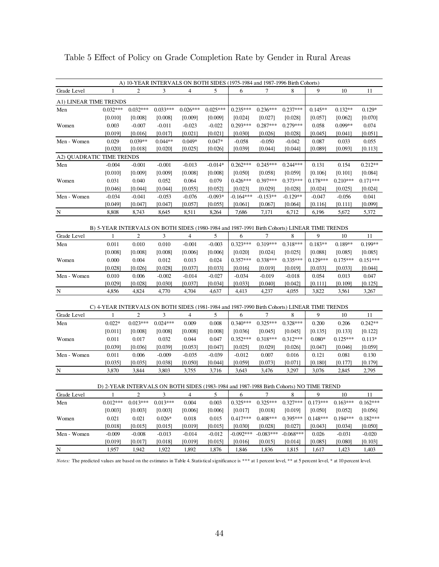|                           |                                                                                                         |                     |                       |                     |                      | A) 10-YEAR INTERVALS ON BOTH SIDES (1975-1984 and 1987-1996 Birth Cohorts) |                       |                      |                     |                     |                  |
|---------------------------|---------------------------------------------------------------------------------------------------------|---------------------|-----------------------|---------------------|----------------------|----------------------------------------------------------------------------|-----------------------|----------------------|---------------------|---------------------|------------------|
| Grade Level               | 1                                                                                                       | 2                   | 3                     | $\overline{4}$      | 5                    | 6                                                                          | 7                     | 8                    | 9                   | 10                  | 11               |
| A1) LINEAR TIME TRENDS    |                                                                                                         |                     |                       |                     |                      |                                                                            |                       |                      |                     |                     |                  |
| Men                       | $0.032***$                                                                                              | $0.032***$          | $0.033***$            | $0.026***$          | $0.025***$           | $0.235***$                                                                 | $0.236***$            | $0.237***$           | $0.145**$           | $0.132**$           | $0.129*$         |
|                           | [0.010]                                                                                                 | [0.008]             | [0.008]               | [0.009]             | [0.009]              | [0.024]                                                                    | [0.027]               | [0.028]              | [0.057]             | [0.062]             | [0.070]          |
| Women                     | 0.003                                                                                                   | $-0.007$            | $-0.011$              | $-0.023$            | $-0.022$             | $0.293***$                                                                 | $0.287***$            | $0.279***$           | 0.058               | $0.099**$           | 0.074            |
|                           | [0.019]                                                                                                 | [0.016]             | [0.017]               | [0.021]             | [0.021]              | [0.030]                                                                    | [0.026]               | [0.028]              | [0.045]             | [0.041]             | [0.051]          |
| Men - Women               | 0.029                                                                                                   | $0.039**$           | $0.044**$             | $0.049*$            | $0.047*$             | $-0.058$                                                                   | $-0.050$              | $-0.042$             | 0.087               | 0.033               | 0.055            |
|                           | [0.020]                                                                                                 | [0.018]             | [0.020]               | [0.025]             | [0.026]              | [0.039]                                                                    | [0.044]               | [0.044]              | [0.089]             | [0.093]             | [0.113]          |
| A2) QUADRATIC TIME TRENDS |                                                                                                         |                     |                       |                     |                      |                                                                            |                       |                      |                     |                     |                  |
| Men                       | $-0.004$                                                                                                | $-0.001$            | $-0.001$              | $-0.013$            | $-0.014*$            | $0.262***$                                                                 | $0.245***$            | $0.244***$           | 0.131               | 0.154               | $0.212**$        |
|                           | [0.010]                                                                                                 | [0.009]             | [0.009]               | [0.008]             | [0.008]              | [0.050]                                                                    | [0.058]               | [0.059]              | [0.106]             | [0.101]             | [0.084]          |
| Women                     | 0.031                                                                                                   | 0.040               | 0.052                 | 0.064               | 0.079                | $0.426***$                                                                 | $0.397***$            | $0.373***$           | $0.178***$          | $0.210***$          | $0.171***$       |
|                           | [0.046]                                                                                                 | [0.044]             | [0.044]               | [0.055]             | [0.052]              | [0.023]                                                                    | [0.029]               | [0.028]              | [0.024]             | [0.025]             | [0.024]          |
| Men - Women               | $-0.034$<br>[0.049]                                                                                     | $-0.041$<br>[0.047] | $-0.053$<br>$[0.047]$ | $-0.076$<br>[0.057] | $-0.093*$<br>[0.055] | $-0.164***$<br>[0.061]                                                     | $-0.153**$<br>[0.067] | $-0.129**$           | $-0.047$<br>[0.116] | $-0.056$<br>[0.111] | 0.041<br>[0.099] |
| N                         | 8,808                                                                                                   | 8,743               | 8,645                 | 8,511               | 8,264                | 7,686                                                                      | 7,171                 | [0.064]<br>6,712     | 6,196               | 5,672               | 5,372            |
|                           |                                                                                                         |                     |                       |                     |                      |                                                                            |                       |                      |                     |                     |                  |
|                           | B) 5-YEAR INTERVALS ON BOTH SIDES (1980-1984 and 1987-1991 Birth Cohorts) LINEAR TIME TRENDS            |                     |                       |                     |                      |                                                                            |                       |                      |                     |                     |                  |
| Grade Level               | $\mathbf{1}$                                                                                            | $\overline{c}$      | 3                     | 4                   | 5                    | 6                                                                          | 7                     | 8                    | 9                   | 10                  | 11               |
| Men                       | 0.011                                                                                                   | 0.010               | 0.010                 | $-0.001$            | $-0.003$             | $0.323***$                                                                 | $0.319***$            | $0.318***$           | $0.183**$           | $0.189**$           | $0.199**$        |
|                           | [0.008]                                                                                                 | [0.008]             | [0.008]               | [0.006]             | [0.006]              | [0.020]                                                                    | [0.024]               | [0.025]              | [0.088]             | [0.085]             | [0.085]          |
| Women                     | $0.000\,$                                                                                               | 0.004               | 0.012                 | 0.013               | 0.024                | $0.357***$                                                                 | $0.338***$            | $0.335***$           | $0.129***$          | $0.175***$          | $0.151***$       |
|                           | [0.028]                                                                                                 | [0.026]             | [0.028]               | [0.037]             | [0.033]              | [0.016]                                                                    | [0.019]               | [0.019]              | [0.033]             | [0.033]             | [0.044]          |
| Men - Women               | 0.010                                                                                                   | 0.006               | $-0.002$              | $-0.014$            | $-0.027$             | $-0.034$                                                                   | $-0.019$              | $-0.018$             | 0.054               | 0.013               | 0.047            |
|                           | [0.029]                                                                                                 | [0.028]             | [0.030]               | [0.037]             | [0.034]              | [0.033]                                                                    | [0.040]               | [0.042]              | [0.111]             | [0.109]             | [0.125]          |
| N                         | 4,856                                                                                                   | 4,824               | 4,770                 | 4,704               | 4,637                | 4,413                                                                      | 4,237                 | 4,055                | 3,822               | 3,561               | 3,267            |
|                           | C) 4-YEAR INTERVALS ON BOTH SIDES (1981-1984 and 1987-1990 Birth Cohorts) LINEAR TIME TRENDS            |                     |                       |                     |                      |                                                                            |                       |                      |                     |                     |                  |
| Grade Level               | $\mathbf{1}$                                                                                            | 2                   | 3                     | 4                   | 5                    | 6                                                                          | 7                     | 8                    | 9                   | 10                  | 11               |
| Men                       | $0.022*$                                                                                                | $0.023***$          | $0.024***$            | 0.009               | 0.008                | $0.340***$                                                                 | $0.325***$            | $0.328***$           | 0.200               | 0.206               | $0.242**$        |
|                           | [0.011]                                                                                                 | [0.008]             | [0.008]               | [0.008]             | [0.008]              | [0.036]                                                                    | [0.045]               | [0.045]              | [0.135]             | [0.133]             | [0.122]          |
| Women                     | 0.011                                                                                                   | 0.017               | 0.032                 | 0.044               | 0.047                | $0.352***$                                                                 | $0.318***$            | $0.312***$           | $0.080*$            | $0.125***$          | $0.113*$         |
|                           | [0.039]                                                                                                 | [0.036]             | [0.039]               | [0.053]             | [0.047]              | [0.025]                                                                    | [0.029]               | [0.026]              | [0.047]             | [0.046]             | [0.059]          |
| Men - Women               | 0.011                                                                                                   | 0.006               | $-0.009$              | $-0.035$            | $-0.039$             | $-0.012$                                                                   | 0.007                 | 0.016                | 0.121               | 0.081               | 0.130            |
|                           | [0.035]                                                                                                 | [0.035]             | [0.038]               | [0.050]             | $[0.044]$            | [0.059]                                                                    | [0.073]               | [0.071]              | [0.180]             | [0.177]             | [0.179]          |
| N                         | 3,870                                                                                                   | 3,844               | 3,803                 | 3,755               | 3,716                | 3,643                                                                      | 3,476                 | 3,297                | 3,076               | 2,845               | 2,795            |
|                           |                                                                                                         |                     |                       |                     |                      |                                                                            |                       |                      |                     |                     |                  |
| Grade Level               | D) 2-YEAR INTERVALS ON BOTH SIDES (1983-1984 and 1987-1988 Birth Cohorts) NO TIME TREND<br>$\mathbf{1}$ | $\boldsymbol{2}$    | 3                     | 4                   | 5                    | 6                                                                          | 7                     | 8                    | 9                   | 10                  | 11               |
| Men                       | $0.012***$                                                                                              | $0.013***$          | $0.013***$            | 0.004               | 0.003                | $0.325***$                                                                 | $0.325***$            | $0.327***$           | $0.173***$          | $0.163***$          | $0.162***$       |
|                           | [0.003]                                                                                                 | [0.003]             | [0.003]               | [0.006]             | [0.006]              | [0.017]                                                                    | [0.018]               | [0.019]              | [0.050]             | [0.052]             | [0.056]          |
| Women                     | 0.021                                                                                                   | 0.021               | $0.026*$              | 0.018               | 0.015                | $0.417***$                                                                 | $0.408***$            | 0.395***             | $0.148***$          | $0.194***$          | $0.182***$       |
|                           | [0.018]                                                                                                 | [0.015]             | [0.015]               | [0.019]             | [0.015]              | [0.030]                                                                    | [0.028]               | [0.027]              | [0.043]             | [0.034]             | [0.050]          |
| Men - Women               | $-0.009$                                                                                                | $-0.008$            | $-0.013$              | $-0.014$            | $-0.012$             | $-0.092***$                                                                | $-0.083***$           | $-0.068***$          | 0.026               | $-0.031$            | $-0.020$         |
|                           | [0.019]                                                                                                 | [0.017]             | [0.018]               | [0.019]             | [0.015]              | [0.016]                                                                    | [0.015]               | $\left[0.014\right]$ | [0.085]             | [0.080]             | [0.103]          |
| $\overline{\mathbf{N}}$   | 1,957                                                                                                   | 1,942               | 1,922                 | 1,892               | 1,876                | 1,846                                                                      | 1,836                 | 1,815                | 1,617               | 1,423               | 1,403            |

Table 5 Effect of Policy on Grade Completion Rate by Gender in Rural Areas

*Notes*: The predicted values are based on the estimates in Table 4. Statistical significance is \*\*\* at 1 percent level, \*\* at 5 percent level, \* at 10 percent level.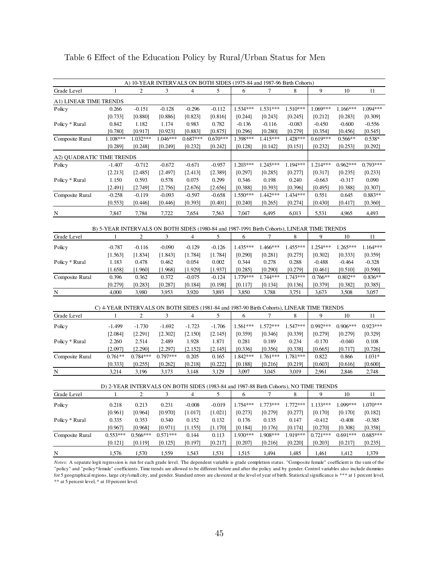|                           |                                                                                             |                       |                       |                     |                     | A) 10-YEAR INTERVALS ON BOTH SIDES (1975-84 and 1987-96 Birth Cohorts) |                     |                     |                       |                       |                       |
|---------------------------|---------------------------------------------------------------------------------------------|-----------------------|-----------------------|---------------------|---------------------|------------------------------------------------------------------------|---------------------|---------------------|-----------------------|-----------------------|-----------------------|
| Grade Level               | $\mathbf{1}$                                                                                | 2                     | 3                     | 4                   | 5                   | 6                                                                      | 7                   | 8                   | $\boldsymbol{9}$      | 10                    | 11                    |
| A1) LINEAR TIME TRENDS    |                                                                                             |                       |                       |                     |                     |                                                                        |                     |                     |                       |                       |                       |
| Policy                    | 0.266                                                                                       | $-0.151$              | $-0.128$              | $-0.296$            | $-0.112$            | $1.534***$                                                             | $1.531***$          | $1.510***$          | 1.069***              | $1.166***$            | 1.094***              |
|                           | [0.733]                                                                                     | [0.880]               | [0.886]               | [0.823]             | [0.816]             | [0.244]                                                                | [0.243]             | [0.245]             | $[0.212]$             | [0.283]               | [0.309]               |
| Policy * Rural            | 0.842                                                                                       | 1.182                 | 1.174                 | 0.983               | 0.782               | $-0.136$                                                               | $-0.116$            | $-0.083$            | $-0.450$              | $-0.600$              | $-0.556$              |
|                           | [0.780]                                                                                     | [0.917]               | [0.923]               | [0.883]             | [0.875]             | [0.296]                                                                | [0.280]             | [0.279]             | [0.354]               | [0.456]               | [0.545]               |
| Composite Rural           | 1.108***                                                                                    | $1.032***$            | 1.046***              | $0.687***$          | $0.670***$          | 1.398***                                                               | $1.415***$          | 1.428***            | $0.619***$            | $0.566**$             | $0.538*$              |
|                           | [0.289]                                                                                     | [0.248]               | [0.249]               | [0.232]             | [0.242]             | [0.128]                                                                | [0.142]             | [0.151]             | [0.232]               | [0.253]               | [0.292]               |
| A2) QUADRATIC TIME TRENDS |                                                                                             |                       |                       |                     |                     |                                                                        |                     |                     |                       |                       |                       |
| Policy                    | $-1.407$                                                                                    | $-0.712$              | $-0.672$              | $-0.671$            | $-0.957$            | $1.203***$                                                             | $1.245***$          | 1.194***            | $1.214***$            | $0.962***$            | $0.793***$            |
|                           | [2.213]                                                                                     | [2.485]               | [2.497]               | [2.413]             | [2.389]             | [0.297]                                                                | [0.285]             | [0.277]             | [0.317]               | [0.235]               | [0.233]               |
| Policy * Rural            | 1.150                                                                                       | 0.593                 | 0.578                 | 0.075               | 0.299               | 0.346                                                                  | 0.198               | 0.240               | $-0.663$              | $-0.317$              | 0.090                 |
|                           | [2.491]                                                                                     | [2.749]               | [2.756]               | [2.676]             | [2.656]             | [0.388]                                                                | [0.393]             | [0.396]             | [0.495]               | [0.388]               | [0.307]               |
| Composite Rural           | $-0.258$                                                                                    | $-0.119$              | $-0.093$              | $-0.597$            | $-0.658$            | $1.550***$                                                             | $1.442***$          | 1.434***            | 0.551                 | 0.645                 | $0.883**$             |
|                           | [0.553]                                                                                     | [0.446]               | [0.446]               | [0.393]             | [0.401]             | [0.240]                                                                | [0.265]             | [0.274]             | [0.430]               | [0.417]               | [0.360]               |
| N                         | 7,847                                                                                       | 7,784                 | 7,722                 | 7,654               | 7,563               | 7,047                                                                  | 6,495               | 6,013               | 5,531                 | 4,965                 | 4,493                 |
|                           |                                                                                             |                       |                       |                     |                     |                                                                        |                     |                     |                       |                       |                       |
|                           | B) 5-YEAR INTERVALS ON BOTH SIDES (1980-84 and 1987-1991 Birth Cohorts), LINEAR TIME TRENDS |                       |                       |                     |                     |                                                                        |                     |                     |                       |                       |                       |
| Grade Level               | 1                                                                                           | 2                     | 3                     | 4                   | 5                   | 6                                                                      | 7                   | 8                   | 9                     | $10\,$                | 11                    |
| Policy                    | $-0.787$                                                                                    | $-0.116$              | $-0.090$              | $-0.129$            | $-0.126$            | 1.435***                                                               | 1.466***            | 1.455***            | $1.254***$            | $1.265***$            | $1.164***$            |
|                           | [1.563]                                                                                     | [1.834]               | [1.843]               | [1.784]             | [1.784]             | [0.290]                                                                | [0.281]             | [0.275]             | [0.302]               | [0.333]               | [0.359]               |
| Policy * Rural            | 1.183                                                                                       | 0.478                 | 0.462                 | 0.054               | 0.002               | 0.344                                                                  | 0.278               | 0.288               | $-0.488$              | $-0.464$              | $-0.328$              |
|                           | [1.658]                                                                                     | [1.960]               | [1.968]               | [1.929]             | [1.937]             | [0.285]<br>1.779***                                                    | [0.290]             | [0.279]             | [0.461]               | [0.510]               | [0.590]               |
| Composite Rural           | 0.396<br>[0.279]                                                                            | 0.362<br>[0.283]      | 0.372<br>[0.287]      | $-0.075$<br>[0.184] | $-0.124$<br>[0.198] | [0.117]                                                                | 1.744***<br>[0.134] | 1.743***<br>[0.136] | $0.766**$<br>[0.379]  | $0.802**$<br>[0.382]  | $0.836**$<br>[0.385]  |
| $\overline{\mathbf{N}}$   | 4,000                                                                                       | 3,980                 | 3,953                 | 3,920               | 3,893               | 3,850                                                                  | 3,788               | 3,751               | 3,673                 | 3,508                 | 3,057                 |
|                           |                                                                                             |                       |                       |                     |                     |                                                                        |                     |                     |                       |                       |                       |
|                           | C) 4-YEAR INTERVALS ON BOTH SIDES (1981-84 and 1987-90 Birth Cohorts), LINEAR TIME TRENDS   |                       |                       |                     |                     |                                                                        |                     |                     |                       |                       |                       |
| Grade Level               | 1                                                                                           | $\overline{c}$        | 3                     | $\overline{4}$      | 5                   | 6                                                                      | 7                   | 8                   | 9                     | $10\,$                | 11                    |
| Policy                    | $-1.499$                                                                                    | $-1.730$              | $-1.692$              | $-1.723$            | $-1.706$            | $1.561***$                                                             | $1.572***$          | 1.547***            | $0.992***$            | $0.906***$            | $0.923***$            |
|                           | [2.084]                                                                                     | [2.291]               | [2.302]               | [2.150]             | [2.145]             | [0.359]                                                                | [0.346]             | [0.339]             | [0.279]               | [0.279]               | [0.329]               |
| Policy * Rural            | 2.260                                                                                       | 2.514                 | 2.489                 | 1.928               | 1.871               | 0.281                                                                  | 0.189               | 0.234               | $-0.170$              | $-0.040$              | 0.108                 |
|                           | [2.097]                                                                                     | [2.290]               | [2.297]               | [2.152]             | [2.145]             | [0.336]                                                                | [0.356]             | [0.338]             | $[0.665]$             | [0.717]               | [0.726]               |
| Composite Rural           | $0.761**$                                                                                   | $0.784***$            | $0.797***$            | 0.205               | 0.165               | 1.842***                                                               | 1.761***            | 1.781***            | 0.822                 | 0.866                 | $1.031*$              |
|                           | [0.333]                                                                                     | [0.255]               | $[0.262]$             | [0.218]             | [0.222]             | [0.188]                                                                | [0.216]             | [0.219]             | [0.603]               | [0.616]               | [0.600]               |
| N                         | 3,214                                                                                       | 3,196                 | 3,173                 | 3,148               | 3,129               | 3,097                                                                  | 3,045               | 3,019               | 2,961                 | 2,846                 | 2,748                 |
|                           |                                                                                             |                       |                       |                     |                     |                                                                        |                     |                     |                       |                       |                       |
| Grade Level               | D) 2-YEAR INTERVALS ON BOTH SIDES (1983-84 and 1987-88 Birth Cohorts), NO TIME TRENDS<br>1  | 2                     | 3                     | 4                   | 5                   | 6                                                                      | 7                   | 8                   | 9                     | $10\,$                | 11                    |
|                           |                                                                                             |                       |                       |                     |                     |                                                                        |                     |                     |                       |                       |                       |
| Policy                    | 0.218                                                                                       | 0.213                 | 0.231                 | $-0.008$            | $-0.019$            | 1.754***                                                               | 1.773***            | 1.772***            | $1.133***$            | 1.099***              | 1.070***              |
|                           | [0.961]                                                                                     | [0.964]               | [0.970]               | [1.017]             | [1.021]             | [0.273]                                                                | [0.279]             | [0.277]             | [0.170]               | [0.170]               | [0.182]               |
| Policy * Rural            | 0.335                                                                                       | 0.353                 | 0.340                 | 0.152               | 0.132               | 0.176                                                                  | 0.135               | 0.147               | $-0.412$              | $-0.408$              | $-0.385$              |
| Composite Rural           | [0.967]<br>$0.553***$                                                                       | [0.968]<br>$0.566***$ | [0.971]<br>$0.571***$ | [1.155]<br>0.144    | [1.170]             | [0.184]<br>1.930***                                                    | [0.176]<br>1.908*** | [0.174]<br>1.919*** | [0.270]<br>$0.721***$ | [0.308]<br>$0.691***$ | [0.358]<br>$0.685***$ |
|                           | [0.121]                                                                                     | [0.119]               | [0.125]               | [0.197]             | 0.113<br>[0.217]    | [0.207]                                                                | [0.216]             | [0.220]             | [0.203]               | [0.217]               | [0.235]               |
|                           |                                                                                             |                       |                       |                     |                     |                                                                        |                     |                     |                       |                       |                       |
| $\overline{\mathbf{N}}$   | 1,576                                                                                       | 1,570                 | 1,559                 | 1,543               | 1,531               | 1,515                                                                  | 1,494               | 1,485               | 1,461                 | 1,412                 | 1,379                 |

Table 6 Effect of the Education Policy by Rural/Urban Status for Men

*Notes:* A separate logit regression is run for each grade level. The dependent variable is grade completion status. "Composite female" coefficient is the sum of the "policy" and "policy\*female" coefficients. Time trends are allowed to be different before and after the policy and by gender. Control variables also include dummies for 5 geographical regions, large city/small city, and gender. Standard errors are clustered at the level of year of birth. Statistical significance is \*\*\* at 1 percent level, \*\* at 5 percent level, \* at 10 percent level.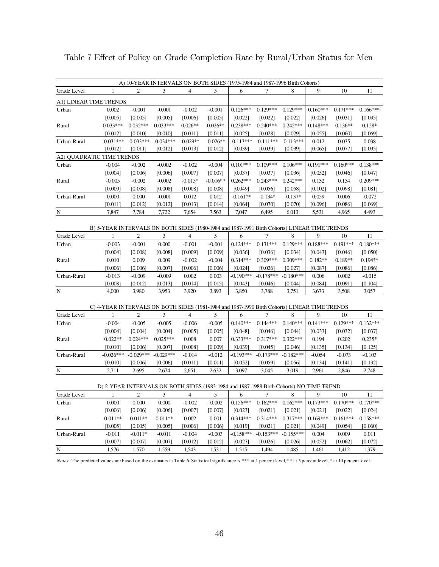|             |                                                                                              |                  | A) 10-YEAR INTERVALS ON BOTH SIDES (1975-1984 and 1987-1996 Birth Cohorts) |                    |                     |                        |                        |                    |                     |                     |                     |
|-------------|----------------------------------------------------------------------------------------------|------------------|----------------------------------------------------------------------------|--------------------|---------------------|------------------------|------------------------|--------------------|---------------------|---------------------|---------------------|
| Grade Level | 1                                                                                            | 2                | 3                                                                          | 4                  | 5                   | 6                      | 7                      | 8                  | 9                   | 10                  | 11                  |
|             | A1) LINEAR TIME TRENDS                                                                       |                  |                                                                            |                    |                     |                        |                        |                    |                     |                     |                     |
| Urban       | 0.002                                                                                        | $-0.001$         | $-0.001$                                                                   | $-0.002$           | $-0.001$            | $0.126***$             | $0.129***$             | $0.129***$         | $0.160***$          | $0.171***$          | $0.166***$          |
|             | [0.005]                                                                                      | [0.005]          | [0.005]                                                                    | [0.006]            | [0.005]             | [0.022]                | [0.022]                | $[0.022]$          | [0.026]             | [0.031]             | [0.035]             |
| Rural       | $0.033***$                                                                                   | $0.032***$       | $0.033***$                                                                 | $0.026**$          | $0.026**$           | $0.238***$             | $0.240***$             | $0.242***$         | $0.148***$          | $0.136**$           | $0.128*$            |
|             | [0.012]                                                                                      | [0.010]          | [0.010]                                                                    | [0.011]            | [0.011]             | [0.025]                | [0.028]                | [0.029]            | [0.055]             | [0.060]             | [0.069]             |
| Urban-Rural | $-0.031***$                                                                                  | $-0.033***$      | $-0.034***$                                                                | $-0.029**$         | $-0.026**$          | $-0.113***$            | $-0.111***$            | $-0.113***$        | 0.012               | 0.035               | 0.038               |
|             | [0.012]                                                                                      | [0.011]          | [0.012]                                                                    | [0.013]            | [0.012]             | [0.039]                | [0.039]                | [0.039]            | [0.065]             | [0.077]             | [0.095]             |
|             | A2) OUADRATIC TIME TRENDS                                                                    |                  |                                                                            |                    |                     |                        |                        |                    |                     |                     |                     |
| Urban       | $-0.004$                                                                                     | $-0.002$         | $-0.002$                                                                   | $-0.002$           | $-0.004$            | $0.101***$             | $0.109***$             | $0.106***$         | $0.191***$          | $0.160***$          | $0.138***$          |
|             | [0.004]                                                                                      | [0.006]          | [0.006]                                                                    | [0.007]            | [0.007]             | [0.037]                | [0.037]                | [0.036]            | [0.052]             | [0.046]             | [0.047]             |
| Rural       | $-0.005$                                                                                     | $-0.002$         | $-0.002$                                                                   | $-0.015*$          | $-0.016**$          | $0.262***$             | $0.243***$             | $0.242***$         | 0.132               | 0.154               | $0.209***$          |
|             | [0.009]                                                                                      | [0.008]          | [0.008]                                                                    | [0.008]            | [0.008]             | [0.049]                | [0.056]                | [0.058]            | [0.102]             | [0.098]             | [0.081]             |
| Urban-Rural | 0.000                                                                                        | 0.000            | $-0.001$                                                                   | 0.012              | 0.012               | $-0.161**$             | $-0.134*$              | $-0.137*$          | 0.059               | 0.006               | $-0.072$            |
|             | [0.011]                                                                                      | [0.012]          | [0.012]                                                                    | [0.013]            | [0.014]             | [0.064]                | [0.070]                | $[0.070]$          | [0.096]             | [0.086]             | [0.069]             |
| N           | 7,847                                                                                        | 7,784            | 7,722                                                                      | 7,654              | 7,563               | 7,047                  | 6,495                  | 6,013              | 5,531               | 4,965               | 4,493               |
|             | B) 5-YEAR INTERVALS ON BOTH SIDES (1980-1984 and 1987-1991 Birth Cohorts) LINEAR TIME TRENDS |                  |                                                                            |                    |                     |                        |                        |                    |                     |                     |                     |
| Grade Level | $\mathbf{1}$                                                                                 | $\overline{c}$   | 3                                                                          | $\overline{4}$     | 5                   | 6                      | 7                      | 8                  | 9                   | 10                  | 11                  |
| Urban       | $-0.003$                                                                                     | $-0.001$         | 0.000                                                                      | $-0.001$           | $-0.001$            | $0.124***$             | $0.131***$             | $0.129***$         | $0.188***$          | $0.191***$          | $0.180***$          |
|             | [0.004]                                                                                      | [0.008]          | [0.008]                                                                    | [0.009]            | [0.009]             | [0.036]                | [0.036]                | [0.034]            | [0.043]             | [0.046]             | [0.050]             |
| Rural       | 0.010                                                                                        | 0.009            | 0.009                                                                      | $-0.002$           | $-0.004$            | $0.314***$             | $0.309***$             | $0.309***$         | $0.182**$           | $0.189**$           | $0.194**$           |
|             | [0.006]                                                                                      | [0.006]          | [0.007]                                                                    | [0.006]            | [0.006]             | [0.024]                | [0.026]                | [0.027]            | [0.087]             | [0.086]             | [0.086]             |
| Urban-Rural | $-0.013$                                                                                     | $-0.009$         | $-0.009$                                                                   | 0.002              | 0.003               | $-0.190***$            | $-0.178***$            | $-0.180***$        | 0.006               | 0.002               | $-0.015$            |
|             | [0.008]                                                                                      | [0.012]          | [0.013]                                                                    | $[0.014]$          | [0.015]             | [0.043]                | [0.046]                | [0.044]            | [0.084]             | [0.091]             | [0.104]             |
| N           | 4,000                                                                                        | 3,980            | 3,953                                                                      | 3,920              | 3,893               | 3,850                  | 3,788                  | 3,751              | 3,673               | 3,508               | 3,057               |
|             |                                                                                              |                  |                                                                            |                    |                     |                        |                        |                    |                     |                     |                     |
|             | C) 4-YEAR INTERVALS ON BOTH SIDES (1981-1984 and 1987-1990 Birth Cohorts) LINEAR TIME TRENDS |                  |                                                                            |                    |                     |                        |                        |                    |                     |                     |                     |
| Grade Level | $\mathbf{1}$                                                                                 | $\overline{2}$   | 3                                                                          | 4                  | 5                   | 6                      | 7                      | 8                  | 9                   | 10                  | 11                  |
| Urban       | $-0.004$                                                                                     | $-0.005$         | $-0.005$                                                                   | $-0.006$           | $-0.005$            | $0.140***$             | $0.144***$             | $0.140***$         | $0.141***$          | $0.129***$          | $0.132***$          |
|             | [0.004]                                                                                      | [0.004]          | [0.004]                                                                    | [0.005]            | [0.005]             | [0.048]                | [0.046]                | [0.044]            | [0.033]             | [0.032]             | [0.037]             |
| Rural       | $0.022**$                                                                                    | $0.024***$       | $0.025***$                                                                 | $0.008\,$          | 0.007               | $0.333***$             | $0.317***$             | $0.322***$         | 0.194               | 0.202               | $0.235*$            |
|             | [0.010]                                                                                      | [0.006]          | [0.007]                                                                    | [0.008]            | [0.009]             | [0.039]                | [0.045]                | [0.046]            | [0.135]             | [0.134]             | [0.125]             |
| Urban-Rural | $-0.026***$                                                                                  | $-0.029***$      | $-0.029***$<br>[0.006]                                                     | $-0.014$           | $-0.012$<br>[0.011] | $-0.193***$<br>[0.052] | $-0.173***$<br>[0.059] | $-0.182***$        | $-0.054$<br>[0.134] | $-0.073$<br>[0.141] | $-0.103$<br>[0.132] |
| N           | $[0.010]$<br>2,711                                                                           | [0.006]<br>2,695 | 2,674                                                                      | $[0.011]$<br>2,651 | 2,632               | 3,097                  | 3,045                  | $[0.056]$<br>3,019 | 2,961               | 2,846               | 2,748               |
|             |                                                                                              |                  |                                                                            |                    |                     |                        |                        |                    |                     |                     |                     |
|             | D) 2-YEAR INTERVALS ON BOTH SIDES (1983-1984 and 1987-1988 Birth Cohorts) NO TIME TREND      |                  |                                                                            |                    |                     |                        |                        |                    |                     |                     |                     |
| Grade Level | 1                                                                                            | $\boldsymbol{2}$ | 3                                                                          | 4                  | 5                   | 6                      | 7                      | 8                  | 9                   | 10                  | 11                  |
| Urban       | 0.000                                                                                        | 0.000            | 0.000                                                                      | $-0.002$           | $-0.002$            | $0.156***$             | $0.162***$             | $0.162***$         | $0.173***$          | $0.170***$          | $0.170***$          |
|             | [0.006]                                                                                      | [0.006]          | [0.006]                                                                    | [0.007]            | [0.007]             | [0.023]                | [0.021]                | [0.021]            | [0.021]             | [0.022]             | [0.024]             |
| Rural       | $0.011**$                                                                                    | $0.011**$        | $0.011**$                                                                  | 0.002              | 0.001               | $0.314***$             | $0.314***$             | $0.317***$         | $0.169***$          | $0.161***$          | $0.158***$          |
|             | [0.005]                                                                                      | [0.005]          | [0.005]                                                                    | [0.006]            | [0.006]             | [0.019]                | [0.021]                | [0.021]            | [0.049]             | [0.054]             | [0.060]             |
| Urban-Rural | $-0.011$                                                                                     | $-0.011*$        | $-0.011$                                                                   | $-0.004$           | $-0.003$            | $-0.158***$            | $-0.153***$            | $-0.155***$        | 0.004               | 0.009               | 0.011               |
|             | [0.007]                                                                                      | [0.007]          | [0.007]                                                                    | [0.012]            | [0.012]             | [0.027]                | $[0.026]$              | $[0.026]$          | [0.052]             | [0.062]             | [0.072]             |
| ${\bf N}$   | 1,576                                                                                        | 1,570            | 1,559                                                                      | 1,543              | 1,531               | 1,515                  | 1,494                  | 1,485              | 1,461               | 1,412               | 1,379               |

Table 7 Effect of Policy on Grade Completion Rate by Rural/Urban Status for Men

*Notes*: The predicted values are based on the estimates in Table 6. Statistical significance is \*\*\* at 1 percent level, \*\* at 5 percent level, \* at 10 percent level.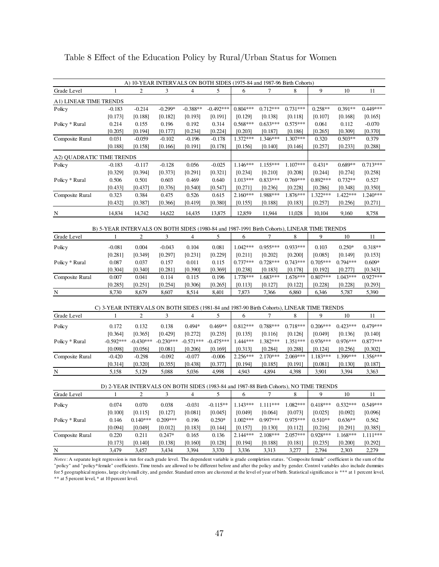|                           |                                                                                             | A) 10-YEAR INTERVALS ON BOTH SIDES (1975-84 and 1987-96 Birth Cohorts) |             |                          |             |            |            |            |            |            |            |
|---------------------------|---------------------------------------------------------------------------------------------|------------------------------------------------------------------------|-------------|--------------------------|-------------|------------|------------|------------|------------|------------|------------|
| Grade Level               | 1                                                                                           | 2                                                                      | 3           | 4                        | 5           | 6          | 7          | 8          | 9          | 10         | 11         |
| A1) LINEAR TIME TRENDS    |                                                                                             |                                                                        |             |                          |             |            |            |            |            |            |            |
| Policy                    | $-0.183$                                                                                    | $-0.214$                                                               | $-0.299*$   | $-0.388**$               | $-0.492***$ | $0.804***$ | $0.712***$ | $0.731***$ | $0.258**$  | $0.391**$  | $0.449***$ |
|                           | [0.173]                                                                                     | [0.188]                                                                | [0.182]     | [0.193]                  | [0.191]     | [0.129]    | [0.138]    | [0.118]    | [0.107]    | [0.168]    | [0.165]    |
| Policy * Rural            | 0.214                                                                                       | 0.155                                                                  | 0.196       | 0.192                    | 0.314       | $0.568***$ | $0.633***$ | $0.575***$ | 0.061      | 0.112      | $-0.070$   |
|                           | [0.205]                                                                                     | [0.194]                                                                | [0.177]     | [0.234]                  | [0.224]     | [0.203]    | [0.187]    | [0.186]    | [0.265]    | [0.309]    | [0.370]    |
| Composite Rural           | 0.031                                                                                       | $-0.059$                                                               | $-0.102$    | $-0.196$                 | $-0.178$    | $1.372***$ | $1.346***$ | 1.307***   | 0.320      | $0.503**$  | 0.379      |
|                           | [0.188]                                                                                     | [0.158]                                                                | [0.166]     | [0.191]                  | [0.178]     | [0.156]    | [0.140]    | [0.146]    | [0.257]    | [0.233]    | [0.288]    |
| A2) QUADRATIC TIME TRENDS |                                                                                             |                                                                        |             |                          |             |            |            |            |            |            |            |
| Policy                    | $-0.183$                                                                                    | $-0.117$                                                               | $-0.128$    | 0.056                    | $-0.025$    | $1.146***$ | $1.155***$ | $1.107***$ | $0.431*$   | $0.689**$  | $0.713***$ |
|                           | [0.329]                                                                                     | [0.394]                                                                | [0.373]     | [0.291]                  | [0.321]     | [0.234]    | [0.210]    | [0.208]    | [0.244]    | [0.274]    | [0.258]    |
| Policy * Rural            | 0.506                                                                                       | 0.501                                                                  | 0.603       | 0.469                    | 0.640       | $1.013***$ | $0.833***$ | $0.769***$ | $0.892***$ | $0.732**$  | 0.527      |
|                           | [0.433]                                                                                     | [0.437]                                                                | [0.376]     | [0.540]                  | [0.547]     | [0.271]    | [0.236]    | [0.228]    | [0.286]    | [0.348]    | [0.350]    |
| Composite Rural           | 0.323                                                                                       | 0.384                                                                  | 0.475       | 0.526                    | 0.615       | $2.160***$ | 1.988***   | 1.876***   | 1.322***   | $1.422***$ | $1.240***$ |
|                           | $[0.432]$                                                                                   | [0.387]                                                                | [0.366]     | [0.419]                  | [0.380]     | [0.155]    | [0.188]    | [0.183]    | [0.257]    | [0.256]    | [0.271]    |
| N                         | 14,834                                                                                      | 14,742                                                                 | 14,622      | 14,435                   | 13,875      | 12,859     | 11,944     | 11,028     | 10,104     | 9,160      | 8,758      |
|                           |                                                                                             |                                                                        |             |                          |             |            |            |            |            |            |            |
|                           | B) 5-YEAR INTERVALS ON BOTH SIDES (1980-84 and 1987-1991 Birth Cohorts), LINEAR TIME TRENDS |                                                                        |             |                          |             |            |            |            |            |            |            |
| Grade Level               | 1                                                                                           | 2                                                                      | 3           | $\overline{\mathcal{L}}$ | 5           | 6          | 7          | 8          | 9          | 10         | 11         |
| Policy                    | $-0.081$                                                                                    | 0.004                                                                  | $-0.043$    | 0.104                    | 0.081       | $1.042***$ | 0.955***   | $0.933***$ | 0.103      | $0.250*$   | $0.318**$  |
|                           | [0.281]                                                                                     | [0.349]                                                                | [0.297]     | [0.231]                  | [0.229]     | [0.211]    | [0.202]    | [0.200]    | [0.085]    | [0.149]    | [0.153]    |
| Policy * Rural            | 0.087                                                                                       | 0.037                                                                  | 0.157       | 0.011                    | 0.115       | $0.737***$ | $0.728***$ | $0.743***$ | $0.705***$ | $0.794***$ | $0.609*$   |
|                           | [0.304]                                                                                     | [0.340]                                                                | [0.281]     | [0.390]                  | [0.369]     | [0.238]    | [0.183]    | [0.178]    | [0.192]    | [0.277]    | [0.343]    |
| Composite Rural           | 0.007                                                                                       | 0.041                                                                  | 0.114       | 0.115                    | 0.196       | 1.778***   | $1.683***$ | $1.676***$ | $0.807***$ | $1.043***$ | $0.927***$ |
|                           | [0.285]                                                                                     | [0.251]                                                                | [0.254]     | [0.306]                  | [0.265]     | [0.113]    | [0.127]    | [0.122]    | [0.228]    | [0.228]    | [0.293]    |
| $\overline{\mathbf{N}}$   | 8,730                                                                                       | 8,679                                                                  | 8,607       | 8,514                    | 8,401       | 7,873      | 7,366      | 6,860      | 6,346      | 5,787      | 5,390      |
|                           | C) 3-YEAR INTERVALS ON BOTH SIDES (1981-84 and 1987-90 Birth Cohorts), LINEAR TIME TRENDS   |                                                                        |             |                          |             |            |            |            |            |            |            |
| Grade Level               | $\mathbf{1}$                                                                                | $\overline{c}$                                                         | 3           | $\overline{\mathcal{L}}$ | 5           | 6          | 7          | 8          | 9          | 10         | 11         |
|                           | 0.172                                                                                       | 0.132                                                                  | 0.138       | $0.494*$                 | $0.469**$   | $0.812***$ | $0.788***$ | $0.718***$ | $0.206***$ | $0.423***$ | $0.479***$ |
| Policy                    | [0.364]                                                                                     | [0.365]                                                                | [0.429]     | [0.272]                  | [0.235]     | [0.135]    | [0.116]    | [0.126]    | [0.049]    | [0.136]    | [0.140]    |
| Policy * Rural            | $-0.592***$                                                                                 | $-0.430***$                                                            | $-0.230***$ | $-0.571***$              | $-0.475***$ | 1.444***   | 1.382***   | $1.351***$ | $0.976***$ | $0.976***$ | $0.877***$ |
|                           | [0.098]                                                                                     | [0.056]                                                                | [0.081]     | [0.206]                  | [0.169]     | [0.313]    | [0.284]    | [0.288]    | [0.124]    | [0.256]    | [0.302]    |
| Composite Rural           | $-0.420$                                                                                    | $-0.298$                                                               | $-0.092$    | $-0.077$                 | $-0.006$    | $2.256***$ | $2.170***$ | 2.069***   | 1.183***   | 1.399***   | 1.356***   |
|                           | [0.314]                                                                                     | [0.320]                                                                | [0.355]     | [0.438]                  | [0.377]     | [0.194]    | [0.185]    | [0.191]    | [0.081]    | [0.130]    | [0.187]    |
| N                         | 5,158                                                                                       | 5,129                                                                  | 5,088       | 5,036                    | 4,998       | 4,943      | 4,894      | 4,398      | 3,901      | 3,394      | 3,363      |
|                           |                                                                                             |                                                                        |             |                          |             |            |            |            |            |            |            |
|                           | D) 2-YEAR INTERVALS ON BOTH SIDES (1983-84 and 1987-88 Birth Cohorts), NO TIME TRENDS       |                                                                        |             |                          |             |            |            |            |            |            |            |
| Grade Level               | 1                                                                                           | 2                                                                      | 3           | 4                        | 5           | 6          | 7          | 8          | 9          | 10         | 11         |
| Policy                    | 0.074                                                                                       | 0.070                                                                  | 0.038       | $-0.031$                 | $-0.115**$  | $1.143***$ | 1.111***   | $1.082***$ | $0.418***$ | $0.532***$ | $0.549***$ |
|                           | [0.100]                                                                                     | [0.115]                                                                | [0.127]     | [0.081]                  | [0.045]     | [0.049]    | [0.064]    | [0.073]    | [0.025]    | [0.092]    | [0.096]    |
| Policy * Rural            | 0.146                                                                                       | $0.140***$                                                             | $0.209***$  | 0.196                    | $0.250*$    | $1.002***$ | $0.997***$ | $0.975***$ | $0.510**$  | $0.636**$  | 0.562      |
|                           | [0.094]                                                                                     | [0.049]                                                                | [0.012]     | [0.183]                  | [0.144]     | [0.157]    | [0.130]    | [0.112]    | [0.216]    | [0.291]    | [0.385]    |
| Composite Rural           | 0.220                                                                                       | 0.211                                                                  | $0.247*$    | 0.165                    | 0.136       | $2.144***$ | 2.108***   | 2.057***   | $0.928***$ | 1.168***   | $1.111***$ |
|                           | [0.173]                                                                                     | [0.140]                                                                | [0.138]     | [0.160]                  | [0.128]     | [0.194]    | [0.188]    | [0.181]    | [0.235]    | [0.200]    | [0.292]    |
| $\overline{\mathbf{N}}$   | 3,479                                                                                       | 3,457                                                                  | 3,434       | 3,394                    | 3,370       | 3,336      | 3,313      | 3,277      | 2,794      | 2,303      | 2,279      |

Table 8 Effect of the Education Policy by Rural/Urban Status for Women

*Notes*: A separate logit regression is run for each grade level. The dependent variable is grade completion status. "Composite female" coefficient is the sum of the "policy" and "policy\*female" coefficients. Time trends are allowed to be different before and after the policy and by gender. Control variables also include dummies for 5 geographical regions, large city/small city, and gender. Standard errors are clustered at the level of year of birth. Statistical significance is \*\*\* at 1 percent level, \*\* at 5 percent level, \* at 10 percent level.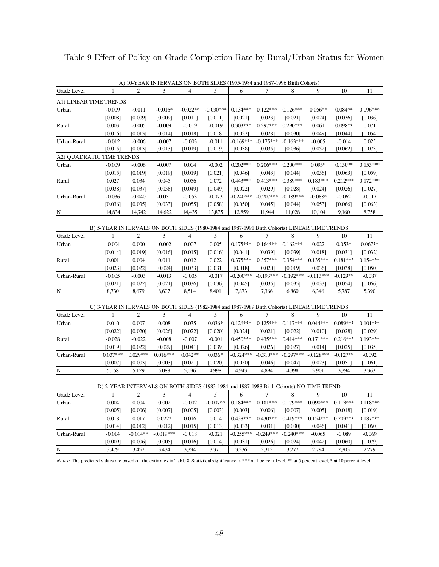| A) 10-YEAR INTERVALS ON BOTH SIDES (1975-1984 and 1987-1996 Birth Cohorts)                                                                                     |                                              |
|----------------------------------------------------------------------------------------------------------------------------------------------------------------|----------------------------------------------|
| $\mathbf{1}$<br>2<br>3<br>$\overline{4}$<br>5<br>Grade Level<br>6<br>7<br>8                                                                                    | 9<br>10<br>11                                |
| A1) LINEAR TIME TRENDS                                                                                                                                         |                                              |
| $-0.016*$<br>$-0.022**$<br>$-0.030***$<br>$0.134***$<br>$0.122***$<br>$0.126***$<br>$-0.011$<br>Urban<br>$-0.009$                                              | $0.056**$<br>$0.084**$<br>$0.096***$         |
| [0.008]<br>[0.009]<br>[0.009]<br>[0.011]<br>$[0.011]$<br>$[0.021]$<br>[0.023]<br>$[0.021]$                                                                     | [0.024]<br>[0.036]<br>[0.036]                |
| $0.303***$<br>$0.297***$<br>$0.290***$<br>0.003<br>$-0.009$<br>$-0.019$<br>$-0.019$<br>$-0.005$<br>Rural                                                       | $0.098**$<br>0.071<br>0.061                  |
| $[0.016]$<br>[0.013]<br>[0.014]<br>[0.018]<br>$[0.018]$<br>$[0.032]$<br>[0.028]<br>[0.030]                                                                     | [0.049]<br>$[0.054]$<br>[0.044]              |
| $-0.169***$<br>$-0.175***$<br>$-0.163***$<br>Urban-Rural<br>$-0.012$<br>$-0.006$<br>$-0.007$<br>$-0.003$<br>$-0.011$                                           | 0.025<br>$-0.005$<br>$-0.014$                |
| [0.015]<br>[0.013]<br>[0.019]<br>[0.019]<br>[0.038]<br>[0.013]<br>[0.035]<br>[0.036]                                                                           | [0.052]<br>[0.073]<br>[0.062]                |
| A2) OUADRATIC TIME TRENDS                                                                                                                                      |                                              |
| $-0.009$<br>0.004<br>$-0.002$<br>$0.202***$<br>$0.206***$<br>$0.200***$<br>Urban<br>$-0.006$<br>$-0.007$                                                       | $0.095*$<br>$0.150**$<br>$0.155***$          |
| [0.015]<br>[0.019]<br>[0.019]<br>[0.019]<br>[0.021]<br>[0.046]<br>[0.043]<br>[0.044]                                                                           | [0.056]<br>[0.063]<br>[0.059]                |
| $0.443***$<br>$0.413***$<br>$0.389***$<br>0.027<br>0.034<br>0.045<br>0.056<br>0.072<br>Rural                                                                   | $0.183***$<br>$0.212***$<br>$0.172***$       |
| [0.038]<br>[0.037]<br>[0.038]<br>[0.049]<br>[0.049]<br>[0.022]<br>[0.029]<br>[0.028]                                                                           | [0.027]<br>[0.024]<br>[0.026]                |
| $-0.240***$<br>$-0.207***$<br>$-0.189***$<br>Urban-Rural<br>$-0.036$<br>$-0.040$<br>$-0.051$<br>$-0.053$<br>$-0.073$                                           | $-0.088*$<br>$-0.062$<br>$-0.017$            |
| [0.036]<br>[0.035]<br>[0.033]<br>[0.055]<br>[0.058]<br>$[0.050]$<br>[0.045]<br>[0.044]                                                                         | [0.053]<br>[0.066]<br>[0.063]                |
| 14,834<br>14,742<br>14,622<br>14,435<br>13,875<br>12,859<br>11,944<br>11,028<br>$\overline{\mathbf{N}}$                                                        | 10,104<br>9,160<br>8,758                     |
| B) 5-YEAR INTERVALS ON BOTH SIDES (1980-1984 and 1987-1991 Birth Cohorts) LINEAR TIME TRENDS                                                                   |                                              |
| Grade Level<br>2<br>3<br>$\overline{4}$<br>5<br>6<br>7<br>8<br>1                                                                                               | 9<br>10<br>11                                |
| 0.000<br>$-0.002$<br>0.007<br>$0.175***$<br>$0.164***$<br>$0.162***$<br>Urban<br>$-0.004$<br>0.005                                                             | 0.022<br>$0.053*$<br>$0.067**$               |
| [0.019]<br>[0.015]<br>[0.016]<br>[0.041]<br>[0.039]<br>[0.014]<br>[0.016]<br>[0.039]                                                                           | [0.018]<br>[0.031]<br>[0.032]                |
| 0.004<br>0.011<br>0.012<br>$0.375***$<br>$0.357***$<br>$0.354***$<br>0.001<br>0.022<br>Rural                                                                   | $0.135***$<br>$0.181***$<br>$0.154***$       |
| [0.023]<br>[0.022]<br>[0.024]<br>[0.033]<br>[0.031]<br>[0.018]<br>[0.020]<br>[0.019]                                                                           | [0.036]<br>[0.050]<br>[0.038]                |
| $-0.200***$<br>$-0.193***$<br>$-0.192***$<br>Urban-Rural<br>$-0.005$<br>$-0.003$<br>$-0.013$<br>$-0.005$<br>$-0.017$                                           | $-0.113***$<br>$-0.129**$<br>$-0.087$        |
| $[0.021]$<br>[0.022]<br>[0.021]<br>[0.036]<br>$[0.036]$<br>[0.045]<br>[0.035]<br>[0.035]                                                                       | [0.033]<br>[0.054]<br>[0.066]                |
| ${\bf N}$<br>8,730<br>8,679<br>8,607<br>8,514<br>8,401<br>7,873<br>7,366<br>6,860                                                                              | 5,390<br>6,346<br>5,787                      |
|                                                                                                                                                                |                                              |
| C) 3-YEAR INTERVALS ON BOTH SIDES (1982-1984 and 1987-1989 Birth Cohorts) LINEAR TIME TRENDS                                                                   |                                              |
| $\overline{c}$<br>3<br>$\overline{4}$<br>5<br>7<br>8<br>Grade Level<br>1<br>6                                                                                  | 9<br>10<br>11                                |
| $0.036*$<br>$0.126***$<br>$0.125***$<br>$0.117***$<br>Urban<br>0.010<br>0.007<br>0.008<br>0.035                                                                | $0.044***$<br>$0.089***$<br>$0.101***$       |
| [0.022]<br>[0.022]<br>[0.020]<br>[0.026]<br>$[0.020]$<br>[0.024]<br>[0.021]<br>[0.022]                                                                         | $[0.010]$<br>[0.028]<br>[0.029]              |
| $-0.022$<br>$-0.008$<br>$-0.007$<br>$-0.001$<br>$0.450***$<br>$0.435***$<br>$0.414***$<br>$-0.028$<br>Rural                                                    | $0.171***$<br>$0.216***$<br>$0.193***$       |
| [0.039]<br>[0.019]<br>[0.022]<br>[0.029]<br>[0.041]<br>[0.026]<br>[0.026]<br>[0.027]                                                                           | [0.014]<br>[0.025]<br>[0.035]                |
| $0.037***$<br>$0.029***$<br>$0.016***$<br>$0.042**$<br>$-0.324***$<br>$-0.310***$<br>$-0.297***$<br>Urban-Rural<br>$0.036*$                                    | $-0.128***$<br>$-0.127**$<br>$-0.092$        |
| [0.007]<br>[0.003]<br>[0.020]<br>[0.050]<br>[0.047]<br>[0.003]<br>$[0.021]$<br>[0.046]                                                                         | [0.023]<br>[0.061]<br>[0.051]                |
| 5,158<br>5,129<br>5,088<br>4,998<br>4.943<br>4,894<br>4,398<br>N<br>5,036                                                                                      | 3,901<br>3,394<br>3,363                      |
|                                                                                                                                                                |                                              |
| D) 2-YEAR INTERVALS ON BOTH SIDES (1983-1984 and 1987-1988 Birth Cohorts) NO TIME TREND<br>7<br>1                                                              | 9<br>10                                      |
| Grade Level<br>2<br>3<br>$\overline{4}$<br>5<br>6<br>8<br>$-0.007**$<br>$0.181***$<br>$0.179***$<br>0.004<br>0.004<br>0.002<br>$-0.002$<br>$0.184***$<br>Urban | 11<br>$0.090***$<br>$0.113***$<br>$0.118***$ |
| [0.005]<br>[0.006]<br>[0.003]<br>[0.003]<br>[0.006]<br>[0.007]<br>[0.007]<br>[0.005]                                                                           | [0.005]<br>[0.018]<br>[0.019]                |
| 0.438***<br>$0.430***$<br>$0.419***$<br>0.017<br>$0.022*$<br>0.016<br>0.014<br>0.018                                                                           | $0.154***$<br>$0.203***$<br>$0.187***$       |
| Rural<br>[0.013]<br>[0.014]<br>[0.012]<br>[0.012]<br>[0.015]<br>[0.033]<br>[0.031]<br>[0.030]                                                                  | [0.046]<br>[0.041]<br>[0.060]                |
| $-0.249***$<br>Urban-Rural<br>$-0.014**$<br>$-0.019***$<br>$-0.255***$<br>$-0.240***$<br>$-0.014$<br>$-0.018$<br>$-0.021$                                      | $-0.089$<br>$-0.069$<br>$-0.065$             |
| [0.009]<br>[0.006]<br>[0.005]<br>[0.016]<br>[0.014]<br>[0.031]<br>[0.026]<br>[0.024]                                                                           | [0.042]<br>[0.060]<br>[0.079]                |
| ${\bf N}$<br>3,479<br>3,457<br>3,434<br>3,394<br>3,370<br>3,336<br>3,313<br>3,277                                                                              | 2,794<br>2,303<br>2,279                      |

Table 9 Effect of Policy on Grade Completion Rate by Rural/Urban Status for Women

*Notes*: The predicted values are based on the estimates in Table 8. Statistical significance is \*\*\* at 1 percent level, \*\* at 5 percent level, \* at 10 percent level.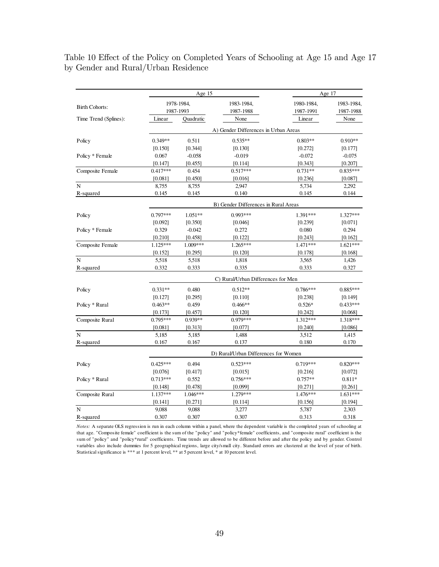#### Table 10 Effect of the Policy on Completed Years of Schooling at Age 15 and Age 17 by Gender and Rural/Urban Residence

|                                                                                                                                                                                                                                                                              |            | Age 15     |                                      |            | Age 17     |
|------------------------------------------------------------------------------------------------------------------------------------------------------------------------------------------------------------------------------------------------------------------------------|------------|------------|--------------------------------------|------------|------------|
|                                                                                                                                                                                                                                                                              |            | 1978-1984, | 1983-1984,                           | 1980-1984, | 1983-1984, |
|                                                                                                                                                                                                                                                                              |            | 1987-1993  | 1987-1988                            | 1987-1991  | 1987-1988  |
| <b>Birth Cohorts:</b><br>Time Trend (Splines):<br>Policy<br>Policy * Female<br>Composite Female<br>R-squared<br>Policy<br>Policy * Female<br>Composite Female<br>N<br>R-squared<br>Policy<br>Policy * Rural<br>Composite Rural<br>N<br>R-squared<br>Policy<br>Policy * Rural | Linear     | Quadratic  | None                                 | Linear     | None       |
|                                                                                                                                                                                                                                                                              |            |            | A) Gender Differences in Urban Areas |            |            |
|                                                                                                                                                                                                                                                                              | $0.349**$  | 0.511      | $0.535**$                            | $0.803**$  | $0.910**$  |
|                                                                                                                                                                                                                                                                              | [0.150]    | [0.344]    | [0.130]                              | [0.272]    | [0.177]    |
|                                                                                                                                                                                                                                                                              | 0.067      | $-0.058$   | $-0.019$                             | $-0.072$   | $-0.075$   |
|                                                                                                                                                                                                                                                                              | [0.147]    | [0.455]    | [0.114]                              | [0.343]    | [0.207]    |
|                                                                                                                                                                                                                                                                              | $0.417***$ | 0.454      | $0.517***$                           | $0.731**$  | $0.835***$ |
|                                                                                                                                                                                                                                                                              | [0.081]    | [0.450]    | [0.016]                              | [0.236]    | [0.087]    |
| $\mathbf N$                                                                                                                                                                                                                                                                  | 8,755      | 8,755      | 2,947                                | 5,734      | 2,292      |
|                                                                                                                                                                                                                                                                              | 0.145      | 0.145      | 0.140                                | 0.145      | 0.144      |
|                                                                                                                                                                                                                                                                              |            |            | B) Gender Differences in Rural Areas |            |            |
|                                                                                                                                                                                                                                                                              | $0.797***$ | $1.051**$  | $0.993***$                           | 1.391***   | 1.327***   |
|                                                                                                                                                                                                                                                                              | [0.092]    | [0.350]    | [0.046]                              | [0.239]    | [0.071]    |
|                                                                                                                                                                                                                                                                              | 0.329      | $-0.042$   | 0.272                                | 0.080      | 0.294      |
|                                                                                                                                                                                                                                                                              | [0.210]    | [0.458]    | [0.122]                              | [0.243]    | [0.162]    |
|                                                                                                                                                                                                                                                                              | $1.125***$ | $1.009***$ | 1.265***                             | 1.471***   | 1.621***   |
|                                                                                                                                                                                                                                                                              | [0.152]    | [0.295]    | [0.120]                              | [0.178]    | [0.168]    |
|                                                                                                                                                                                                                                                                              | 5,518      | 5,518      | 1,818                                | 3.565      | 1,426      |
|                                                                                                                                                                                                                                                                              | 0.332      | 0.333      | 0.335                                | 0.333      | 0.327      |
|                                                                                                                                                                                                                                                                              |            |            | C) Rural/Urban Differences for Men   |            |            |
|                                                                                                                                                                                                                                                                              | $0.331**$  | 0.480      | $0.512**$                            | $0.786***$ | $0.885***$ |
|                                                                                                                                                                                                                                                                              | [0.127]    | [0.295]    | [0.110]                              | [0.238]    | [0.149]    |
|                                                                                                                                                                                                                                                                              | $0.463**$  | 0.459      | $0.466**$                            | $0.526*$   | $0.433***$ |
|                                                                                                                                                                                                                                                                              | [0.173]    | [0.457]    | [0.120]                              | [0.242]    | [0.068]    |
|                                                                                                                                                                                                                                                                              | $0.795***$ | $0.939**$  | $0.979***$                           | $1.312***$ | 1.318***   |
|                                                                                                                                                                                                                                                                              | [0.081]    | [0.313]    | [0.077]                              | [0.240]    | [0.086]    |
|                                                                                                                                                                                                                                                                              | 5,185      | 5,185      | 1,488                                | 3,512      | 1,415      |
|                                                                                                                                                                                                                                                                              | 0.167      | 0.167      | 0.137                                | 0.180      | 0.170      |
|                                                                                                                                                                                                                                                                              |            |            | D) Rural/Urban Differences for Women |            |            |
|                                                                                                                                                                                                                                                                              | $0.425***$ | 0.494      | $0.523***$                           | $0.719***$ | $0.820***$ |
|                                                                                                                                                                                                                                                                              | [0.076]    | [0.417]    | [0.015]                              | [0.216]    | [0.072]    |
|                                                                                                                                                                                                                                                                              | $0.713***$ | 0.552      | $0.756***$                           | $0.757**$  | $0.811*$   |
|                                                                                                                                                                                                                                                                              | [0.148]    | [0.478]    | [0.099]                              | [0.271]    | [0.261]    |
| Composite Rural                                                                                                                                                                                                                                                              | 1.137***   | 1.046***   | 1.279***                             | 1.476***   | 1.631***   |
|                                                                                                                                                                                                                                                                              | [0.141]    | [0.271]    | [0.114]                              | [0.156]    | [0.194]    |
| N                                                                                                                                                                                                                                                                            | 9,088      | 9,088      | 3,277                                | 5,787      | 2,303      |
| R-squared                                                                                                                                                                                                                                                                    | 0.307      | 0.307      | 0.307                                | 0.313      | 0.318      |

*Notes:* A separate OLS regression is run in each column within a panel, where the dependent variable is the completed years of schooling at that age. "Composite female" coefficient is the sum of the "policy" and "policy\*female" coefficients, and "composite rural" coefficient is the sum of "policy" and "policy\*rural" coefficients. Time trends are allowed to be different before and after the policy and by gender. Control variables also include dummies for 5 geographical regions, large city/small city. Standard errors are clustered at the level of year of birth. Statistical significance is \*\*\* at 1 percent level, \*\* at 5 percent level, \* at 10 percent level.